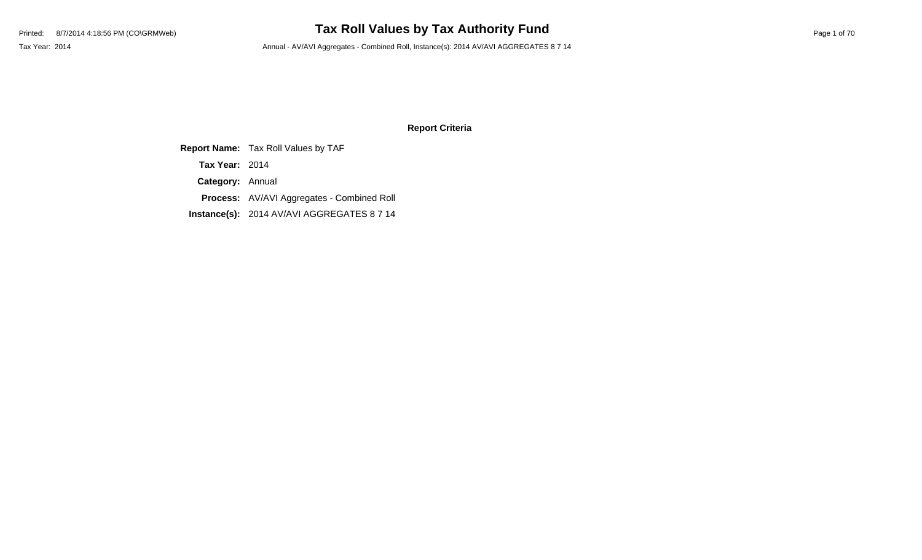# Printed: 8/7/2014 4:18:56 PM (CO\GRMWeb) **Tax Roll Values by Tax Authority Fund** Page 1 of 70

Tax Year: 2014 Annual - AV/AVI Aggregates - Combined Roll, Instance(s): 2014 AV/AVI AGGREGATES 8 7 14

#### **Report Criteria**

**Report Name:** Tax Roll Values by TAF

**Tax Year:** 2014

**Category:** Annual

**Process:** AV/AVI Aggregates - Combined Roll

**Instance(s):** 2014 AV/AVI AGGREGATES 8 7 14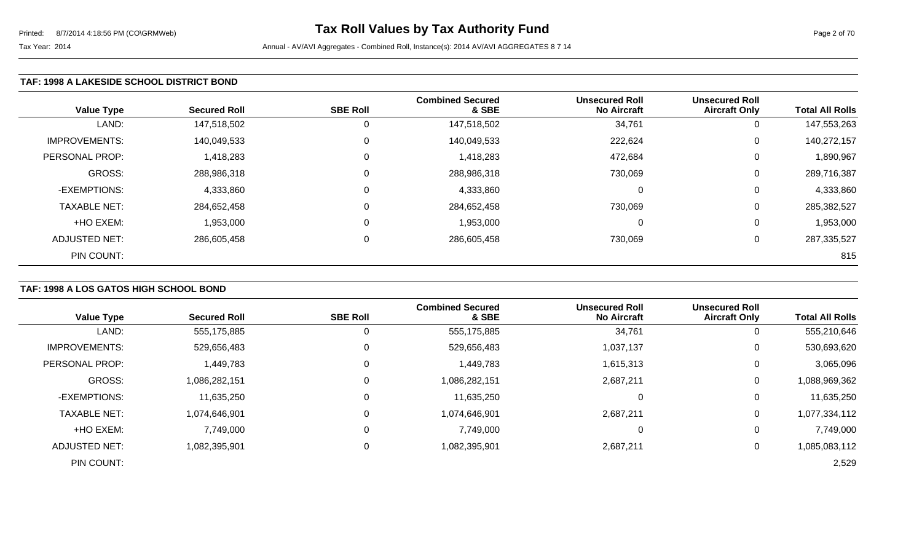#### **TAF: 1998 A LAKESIDE SCHOOL DISTRICT BOND**

| <b>Value Type</b>    | <b>Secured Roll</b> | <b>SBE Roll</b> | <b>Combined Secured</b><br>& SBE | <b>Unsecured Roll</b><br><b>No Aircraft</b> | <b>Unsecured Roll</b><br><b>Aircraft Only</b> | <b>Total All Rolls</b> |
|----------------------|---------------------|-----------------|----------------------------------|---------------------------------------------|-----------------------------------------------|------------------------|
| LAND:                | 147,518,502         | 0               | 147,518,502                      | 34,761                                      | 0                                             | 147,553,263            |
| <b>IMPROVEMENTS:</b> | 140,049,533         | 0               | 140,049,533                      | 222,624                                     | 0                                             | 140,272,157            |
| PERSONAL PROP:       | 1,418,283           | $\Omega$        | 1,418,283                        | 472,684                                     | 0                                             | 1,890,967              |
| <b>GROSS:</b>        | 288,986,318         | $\Omega$        | 288,986,318                      | 730,069                                     | 0                                             | 289,716,387            |
| -EXEMPTIONS:         | 4,333,860           | $\Omega$        | 4,333,860                        | $\Omega$                                    | 0                                             | 4,333,860              |
| <b>TAXABLE NET:</b>  | 284,652,458         | $\Omega$        | 284,652,458                      | 730,069                                     | 0                                             | 285,382,527            |
| +HO EXEM:            | 1,953,000           | $\Omega$        | 1,953,000                        | $\Omega$                                    | 0                                             | 1,953,000              |
| <b>ADJUSTED NET:</b> | 286,605,458         | $\mathbf 0$     | 286,605,458                      | 730,069                                     | 0                                             | 287,335,527            |
| PIN COUNT:           |                     |                 |                                  |                                             |                                               | 815                    |

### **TAF: 1998 A LOS GATOS HIGH SCHOOL BOND**

| <b>Value Type</b>    | <b>Secured Roll</b> | <b>SBE Roll</b> | <b>Combined Secured</b><br>& SBE | <b>Unsecured Roll</b><br><b>No Aircraft</b> | <b>Unsecured Roll</b><br><b>Aircraft Only</b> | <b>Total All Rolls</b> |
|----------------------|---------------------|-----------------|----------------------------------|---------------------------------------------|-----------------------------------------------|------------------------|
| LAND:                | 555,175,885         | U               | 555,175,885                      | 34,761                                      | υ                                             | 555,210,646            |
| <b>IMPROVEMENTS:</b> | 529,656,483         | 0               | 529,656,483                      | 1,037,137                                   | 0                                             | 530,693,620            |
| PERSONAL PROP:       | 1,449,783           | 0               | 1,449,783                        | 1,615,313                                   | 0                                             | 3,065,096              |
| GROSS:               | 1,086,282,151       | 0               | 1,086,282,151                    | 2,687,211                                   | 0                                             | 1,088,969,362          |
| -EXEMPTIONS:         | 11,635,250          | 0               | 11,635,250                       | 0                                           | 0                                             | 11,635,250             |
| <b>TAXABLE NET:</b>  | 1,074,646,901       | 0               | 1,074,646,901                    | 2,687,211                                   | 0                                             | 1,077,334,112          |
| +HO EXEM:            | 7,749,000           | 0               | 7,749,000                        | 0                                           | 0                                             | 7,749,000              |
| <b>ADJUSTED NET:</b> | 1,082,395,901       | 0               | 1,082,395,901                    | 2,687,211                                   | 0                                             | 1,085,083,112          |
| PIN COUNT:           |                     |                 |                                  |                                             |                                               | 2,529                  |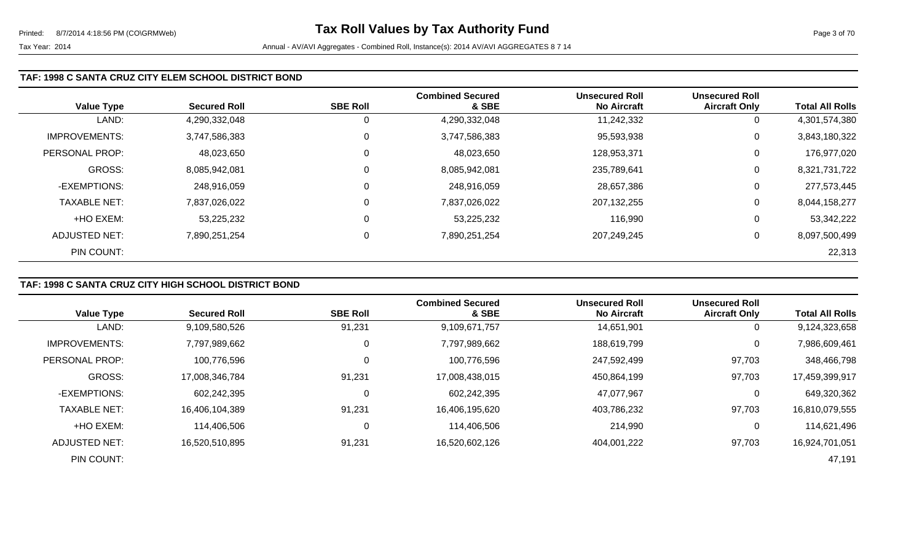#### **TAF: 1998 C SANTA CRUZ CITY ELEM SCHOOL DISTRICT BOND**

| <b>Value Type</b>    | <b>Secured Roll</b> | <b>SBE Roll</b> | <b>Combined Secured</b><br>& SBE | <b>Unsecured Roll</b><br><b>No Aircraft</b> | <b>Unsecured Roll</b><br><b>Aircraft Only</b> | <b>Total All Rolls</b> |
|----------------------|---------------------|-----------------|----------------------------------|---------------------------------------------|-----------------------------------------------|------------------------|
| LAND:                | 4,290,332,048       | 0               | 4,290,332,048                    | 11,242,332                                  | 0                                             | 4,301,574,380          |
| <b>IMPROVEMENTS:</b> | 3,747,586,383       | 0               | 3,747,586,383                    | 95,593,938                                  | 0                                             | 3,843,180,322          |
| PERSONAL PROP:       | 48,023,650          | 0               | 48,023,650                       | 128,953,371                                 | 0                                             | 176,977,020            |
| <b>GROSS:</b>        | 8,085,942,081       | 0               | 8,085,942,081                    | 235,789,641                                 | 0                                             | 8,321,731,722          |
| -EXEMPTIONS:         | 248,916,059         | 0               | 248,916,059                      | 28,657,386                                  | 0                                             | 277,573,445            |
| <b>TAXABLE NET:</b>  | 7,837,026,022       | 0               | 7,837,026,022                    | 207,132,255                                 | 0                                             | 8,044,158,277          |
| +HO EXEM:            | 53,225,232          | 0               | 53,225,232                       | 116,990                                     | 0                                             | 53,342,222             |
| ADJUSTED NET:        | 7,890,251,254       | 0               | 7,890,251,254                    | 207,249,245                                 | 0                                             | 8,097,500,499          |
| PIN COUNT:           |                     |                 |                                  |                                             |                                               | 22,313                 |

### **TAF: 1998 C SANTA CRUZ CITY HIGH SCHOOL DISTRICT BOND**

|                      |                     |                 | <b>Combined Secured</b> | <b>Unsecured Roll</b> | <b>Unsecured Roll</b> |                        |
|----------------------|---------------------|-----------------|-------------------------|-----------------------|-----------------------|------------------------|
| <b>Value Type</b>    | <b>Secured Roll</b> | <b>SBE Roll</b> | & SBE                   | <b>No Aircraft</b>    | <b>Aircraft Only</b>  | <b>Total All Rolls</b> |
| LAND:                | 9,109,580,526       | 91,231          | 9,109,671,757           | 14,651,901            | 0                     | 9,124,323,658          |
| <b>IMPROVEMENTS:</b> | 7,797,989,662       | 0               | 7,797,989,662           | 188,619,799           | 0                     | 7,986,609,461          |
| PERSONAL PROP:       | 100,776,596         | 0               | 100,776,596             | 247,592,499           | 97,703                | 348,466,798            |
| GROSS:               | 17,008,346,784      | 91,231          | 17,008,438,015          | 450,864,199           | 97,703                | 17,459,399,917         |
| -EXEMPTIONS:         | 602,242,395         | 0               | 602,242,395             | 47,077,967            | 0                     | 649,320,362            |
| <b>TAXABLE NET:</b>  | 16,406,104,389      | 91,231          | 16,406,195,620          | 403,786,232           | 97,703                | 16,810,079,555         |
| +HO EXEM:            | 114,406,506         | 0               | 114,406,506             | 214,990               | 0                     | 114,621,496            |
| ADJUSTED NET:        | 16,520,510,895      | 91,231          | 16,520,602,126          | 404,001,222           | 97,703                | 16,924,701,051         |
| PIN COUNT:           |                     |                 |                         |                       |                       | 47,191                 |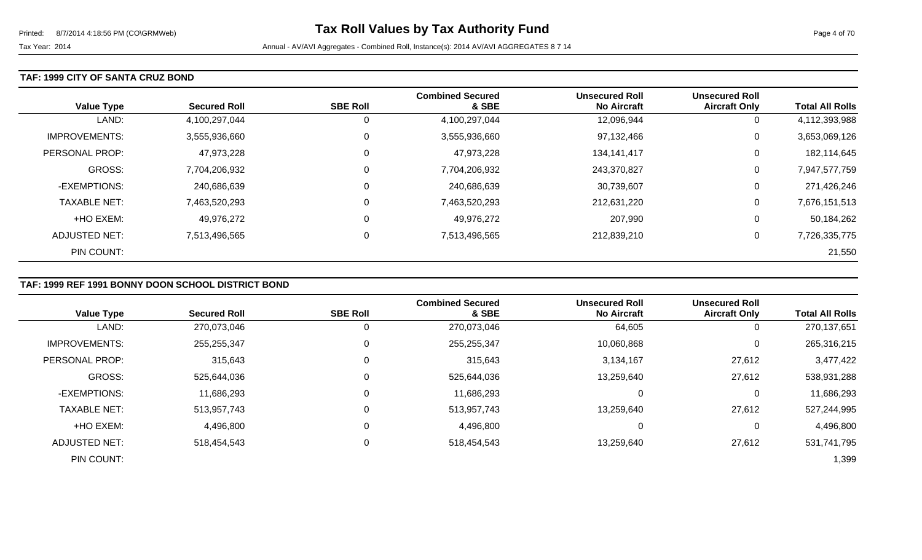#### **TAF: 1999 CITY OF SANTA CRUZ BOND**

| <b>Value Type</b>    | <b>Secured Roll</b> | <b>SBE Roll</b> | <b>Combined Secured</b><br>& SBE | <b>Unsecured Roll</b><br><b>No Aircraft</b> | <b>Unsecured Roll</b><br><b>Aircraft Only</b> | <b>Total All Rolls</b> |
|----------------------|---------------------|-----------------|----------------------------------|---------------------------------------------|-----------------------------------------------|------------------------|
| LAND:                | 4,100,297,044       |                 | 4,100,297,044                    | 12,096,944                                  | 0                                             | 4,112,393,988          |
| <b>IMPROVEMENTS:</b> | 3,555,936,660       | $\Omega$        | 3,555,936,660                    | 97,132,466                                  | 0                                             | 3,653,069,126          |
| PERSONAL PROP:       | 47,973,228          |                 | 47,973,228                       | 134, 141, 417                               | 0                                             | 182,114,645            |
| <b>GROSS:</b>        | 7,704,206,932       | $\Omega$        | 7,704,206,932                    | 243,370,827                                 | 0                                             | 7,947,577,759          |
| -EXEMPTIONS:         | 240,686,639         |                 | 240,686,639                      | 30,739,607                                  | 0                                             | 271,426,246            |
| <b>TAXABLE NET:</b>  | 7,463,520,293       | 0               | 7,463,520,293                    | 212,631,220                                 | 0                                             | 7,676,151,513          |
| +HO EXEM:            | 49,976,272          | $\Omega$        | 49,976,272                       | 207,990                                     | 0                                             | 50,184,262             |
| ADJUSTED NET:        | 7,513,496,565       | 0               | 7,513,496,565                    | 212,839,210                                 | 0                                             | 7,726,335,775          |
| PIN COUNT:           |                     |                 |                                  |                                             |                                               | 21,550                 |

#### **TAF: 1999 REF 1991 BONNY DOON SCHOOL DISTRICT BOND**

|                       |                     |                 | <b>Combined Secured</b> | <b>Unsecured Roll</b> | <b>Unsecured Roll</b> |                        |
|-----------------------|---------------------|-----------------|-------------------------|-----------------------|-----------------------|------------------------|
| <b>Value Type</b>     | <b>Secured Roll</b> | <b>SBE Roll</b> | & SBE                   | <b>No Aircraft</b>    | <b>Aircraft Only</b>  | <b>Total All Rolls</b> |
| LAND:                 | 270,073,046         | 0               | 270,073,046             | 64,605                |                       | 270,137,651            |
| <b>IMPROVEMENTS:</b>  | 255,255,347         | 0               | 255,255,347             | 10,060,868            | 0                     | 265,316,215            |
| <b>PERSONAL PROP:</b> | 315,643             | 0               | 315,643                 | 3,134,167             | 27,612                | 3,477,422              |
| <b>GROSS:</b>         | 525,644,036         | 0               | 525,644,036             | 13,259,640            | 27,612                | 538,931,288            |
| -EXEMPTIONS:          | 11,686,293          | 0               | 11,686,293              | 0                     |                       | 11,686,293             |
| <b>TAXABLE NET:</b>   | 513.957.743         | 0               | 513,957,743             | 13,259,640            | 27,612                | 527,244,995            |
| +HO EXEM:             | 4,496,800           | $\mathbf 0$     | 4,496,800               | 0                     | 0                     | 4,496,800              |
| ADJUSTED NET:         | 518,454,543         | 0               | 518,454,543             | 13,259,640            | 27,612                | 531,741,795            |
| PIN COUNT:            |                     |                 |                         |                       |                       | 1,399                  |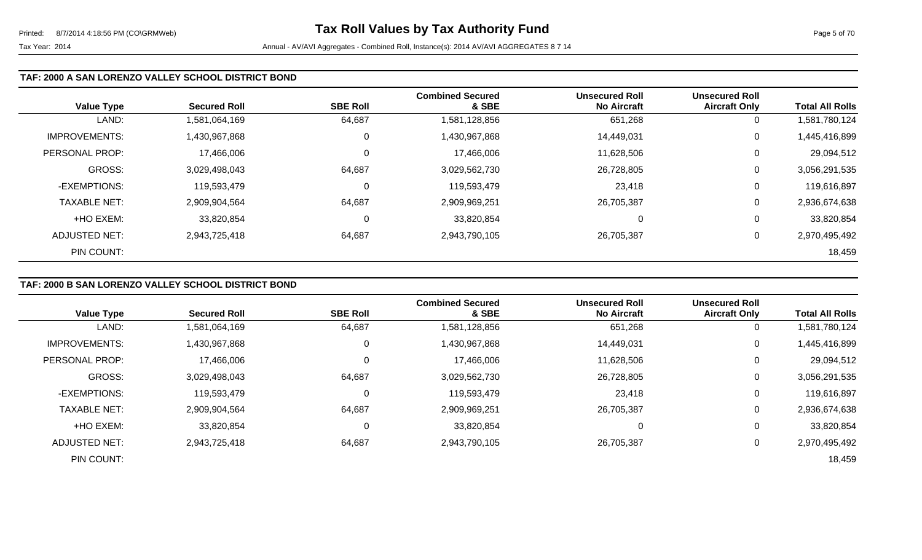#### **TAF: 2000 A SAN LORENZO VALLEY SCHOOL DISTRICT BOND**

| <b>Value Type</b>    | <b>Secured Roll</b> | <b>SBE Roll</b> | <b>Combined Secured</b><br>& SBE | <b>Unsecured Roll</b><br><b>No Aircraft</b> | <b>Unsecured Roll</b><br><b>Aircraft Only</b> | <b>Total All Rolls</b> |
|----------------------|---------------------|-----------------|----------------------------------|---------------------------------------------|-----------------------------------------------|------------------------|
| LAND:                | 1,581,064,169       | 64,687          | 1,581,128,856                    | 651,268                                     | 0                                             | 1,581,780,124          |
| <b>IMPROVEMENTS:</b> | 1,430,967,868       | 0               | 1,430,967,868                    | 14,449,031                                  | 0                                             | 1,445,416,899          |
| PERSONAL PROP:       | 17,466,006          | 0               | 17,466,006                       | 11,628,506                                  | 0                                             | 29,094,512             |
| <b>GROSS:</b>        | 3,029,498,043       | 64,687          | 3,029,562,730                    | 26,728,805                                  | 0                                             | 3,056,291,535          |
| -EXEMPTIONS:         | 119,593,479         | 0               | 119,593,479                      | 23,418                                      | 0                                             | 119,616,897            |
| <b>TAXABLE NET:</b>  | 2,909,904,564       | 64,687          | 2,909,969,251                    | 26,705,387                                  | 0                                             | 2,936,674,638          |
| +HO EXEM:            | 33,820,854          | 0               | 33,820,854                       | 0                                           | 0                                             | 33,820,854             |
| ADJUSTED NET:        | 2,943,725,418       | 64,687          | 2,943,790,105                    | 26,705,387                                  | 0                                             | 2,970,495,492          |
| PIN COUNT:           |                     |                 |                                  |                                             |                                               | 18,459                 |

### **TAF: 2000 B SAN LORENZO VALLEY SCHOOL DISTRICT BOND**

|                      |                     |                 | <b>Combined Secured</b> | <b>Unsecured Roll</b> | <b>Unsecured Roll</b> |                        |
|----------------------|---------------------|-----------------|-------------------------|-----------------------|-----------------------|------------------------|
| <b>Value Type</b>    | <b>Secured Roll</b> | <b>SBE Roll</b> | & SBE                   | <b>No Aircraft</b>    | <b>Aircraft Only</b>  | <b>Total All Rolls</b> |
| LAND:                | 1,581,064,169       | 64,687          | 1,581,128,856           | 651,268               | $\overline{0}$        | ,581,780,124           |
| <b>IMPROVEMENTS:</b> | 1,430,967,868       | 0               | 1,430,967,868           | 14,449,031            | 0                     | 1,445,416,899          |
| PERSONAL PROP:       | 17,466,006          | $\mathbf 0$     | 17,466,006              | 11,628,506            | 0                     | 29,094,512             |
| <b>GROSS:</b>        | 3,029,498,043       | 64,687          | 3,029,562,730           | 26,728,805            | $\overline{0}$        | 3,056,291,535          |
| -EXEMPTIONS:         | 119,593,479         | 0               | 119,593,479             | 23,418                | 0                     | 119,616,897            |
| <b>TAXABLE NET:</b>  | 2,909,904,564       | 64,687          | 2,909,969,251           | 26,705,387            | 0                     | 2,936,674,638          |
| +HO EXEM:            | 33,820,854          | 0               | 33,820,854              | 0                     | 0                     | 33,820,854             |
| ADJUSTED NET:        | 2,943,725,418       | 64,687          | 2,943,790,105           | 26,705,387            | 0                     | 2,970,495,492          |
| PIN COUNT:           |                     |                 |                         |                       |                       | 18,459                 |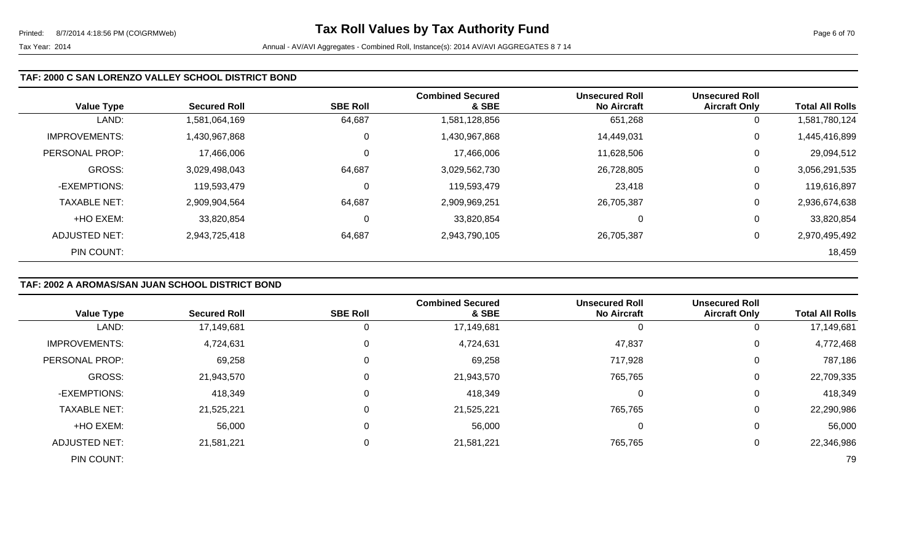#### **TAF: 2000 C SAN LORENZO VALLEY SCHOOL DISTRICT BOND**

| <b>Value Type</b>    | <b>Secured Roll</b> | <b>SBE Roll</b> | <b>Combined Secured</b><br>& SBE | <b>Unsecured Roll</b><br><b>No Aircraft</b> | <b>Unsecured Roll</b><br><b>Aircraft Only</b> | <b>Total All Rolls</b> |
|----------------------|---------------------|-----------------|----------------------------------|---------------------------------------------|-----------------------------------------------|------------------------|
| LAND:                | 1,581,064,169       | 64,687          | 1,581,128,856                    | 651,268                                     | 0                                             | 1,581,780,124          |
| <b>IMPROVEMENTS:</b> | 1,430,967,868       | 0               | 1,430,967,868                    | 14,449,031                                  | 0                                             | 1,445,416,899          |
| PERSONAL PROP:       | 17,466,006          | 0               | 17,466,006                       | 11,628,506                                  | 0                                             | 29,094,512             |
| GROSS:               | 3,029,498,043       | 64,687          | 3,029,562,730                    | 26,728,805                                  | 0                                             | 3,056,291,535          |
| -EXEMPTIONS:         | 119,593,479         | 0               | 119,593,479                      | 23,418                                      | 0                                             | 119,616,897            |
| <b>TAXABLE NET:</b>  | 2,909,904,564       | 64,687          | 2,909,969,251                    | 26,705,387                                  | 0                                             | 2,936,674,638          |
| +HO EXEM:            | 33,820,854          | C               | 33,820,854                       | 0                                           | 0                                             | 33,820,854             |
| ADJUSTED NET:        | 2,943,725,418       | 64,687          | 2,943,790,105                    | 26,705,387                                  | 0                                             | 2,970,495,492          |
| PIN COUNT:           |                     |                 |                                  |                                             |                                               | 18,459                 |

#### **TAF: 2002 A AROMAS/SAN JUAN SCHOOL DISTRICT BOND**

| <b>Value Type</b>    | <b>Secured Roll</b> | <b>SBE Roll</b> | <b>Combined Secured</b><br>& SBE | <b>Unsecured Roll</b><br><b>No Aircraft</b> | <b>Unsecured Roll</b><br><b>Aircraft Only</b> | <b>Total All Rolls</b> |
|----------------------|---------------------|-----------------|----------------------------------|---------------------------------------------|-----------------------------------------------|------------------------|
| LAND:                | 17,149,681          |                 | 17,149,681                       |                                             | 0                                             | 17,149,681             |
| <b>IMPROVEMENTS:</b> | 4,724,631           |                 | 4,724,631                        | 47,837                                      | 0                                             | 4,772,468              |
| PERSONAL PROP:       | 69,258              | 0               | 69,258                           | 717,928                                     | 0                                             | 787,186                |
| <b>GROSS:</b>        | 21,943,570          |                 | 21,943,570                       | 765,765                                     | 0                                             | 22,709,335             |
| -EXEMPTIONS:         | 418,349             | $\Omega$        | 418,349                          |                                             | 0                                             | 418,349                |
| <b>TAXABLE NET:</b>  | 21,525,221          |                 | 21,525,221                       | 765,765                                     | 0                                             | 22,290,986             |
| +HO EXEM:            | 56,000              | $\Omega$        | 56,000                           |                                             | 0                                             | 56,000                 |
| <b>ADJUSTED NET:</b> | 21,581,221          | $\Omega$        | 21,581,221                       | 765,765                                     | 0                                             | 22,346,986             |
| PIN COUNT:           |                     |                 |                                  |                                             |                                               | 79                     |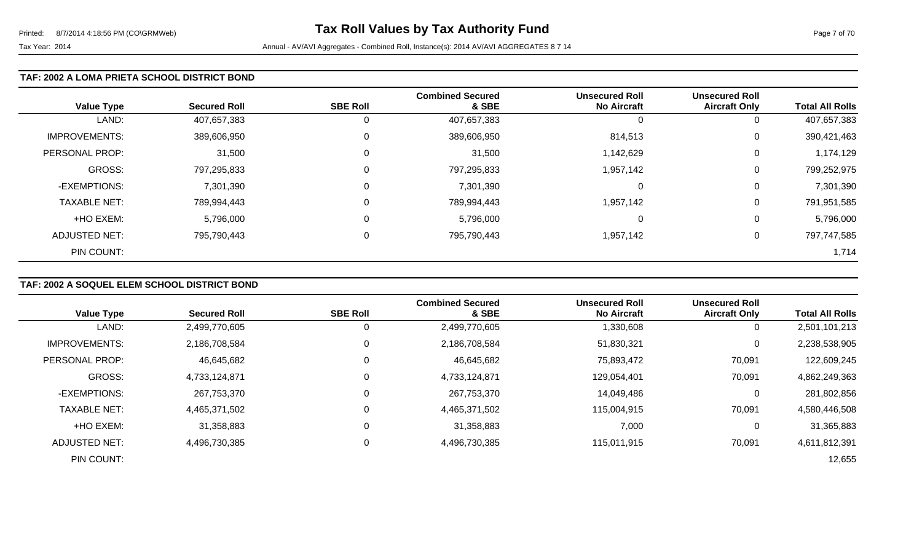#### **TAF: 2002 A LOMA PRIETA SCHOOL DISTRICT BOND**

| <b>Value Type</b>     | <b>Secured Roll</b> | <b>SBE Roll</b> | <b>Combined Secured</b><br>& SBE | <b>Unsecured Roll</b><br><b>No Aircraft</b> | <b>Unsecured Roll</b><br><b>Aircraft Only</b> | <b>Total All Rolls</b> |
|-----------------------|---------------------|-----------------|----------------------------------|---------------------------------------------|-----------------------------------------------|------------------------|
| LAND:                 | 407,657,383         |                 | 407,657,383                      | 0                                           |                                               | 407,657,383            |
| <b>IMPROVEMENTS:</b>  | 389,606,950         |                 | 389,606,950                      | 814,513                                     | 0                                             | 390,421,463            |
| <b>PERSONAL PROP:</b> | 31,500              |                 | 31,500                           | 1,142,629                                   | 0                                             | 1,174,129              |
| <b>GROSS:</b>         | 797,295,833         |                 | 797,295,833                      | 1,957,142                                   | 0                                             | 799,252,975            |
| -EXEMPTIONS:          | 7,301,390           |                 | 7,301,390                        | 0                                           | 0                                             | 7,301,390              |
| <b>TAXABLE NET:</b>   | 789,994,443         |                 | 789,994,443                      | 1,957,142                                   | 0                                             | 791,951,585            |
| +HO EXEM:             | 5,796,000           |                 | 5,796,000                        | 0                                           | $\Omega$                                      | 5,796,000              |
| ADJUSTED NET:         | 795,790,443         |                 | 795,790,443                      | 1,957,142                                   | 0                                             | 797,747,585            |
| PIN COUNT:            |                     |                 |                                  |                                             |                                               | 1,714                  |

#### **TAF: 2002 A SOQUEL ELEM SCHOOL DISTRICT BOND**

|                      |                     |                 | <b>Combined Secured</b> | <b>Unsecured Roll</b> | <b>Unsecured Roll</b> |                        |
|----------------------|---------------------|-----------------|-------------------------|-----------------------|-----------------------|------------------------|
| <b>Value Type</b>    | <b>Secured Roll</b> | <b>SBE Roll</b> | & SBE                   | <b>No Aircraft</b>    | <b>Aircraft Only</b>  | <b>Total All Rolls</b> |
| LAND:                | 2,499,770,605       | 0               | 2,499,770,605           | 806,030,1             |                       | 2,501,101,213          |
| <b>IMPROVEMENTS:</b> | 2,186,708,584       | 0               | 2,186,708,584           | 51,830,321            | 0                     | 2,238,538,905          |
| PERSONAL PROP:       | 46,645,682          | $\mathbf 0$     | 46,645,682              | 75,893,472            | 70,091                | 122,609,245            |
| <b>GROSS:</b>        | 4,733,124,871       | 0               | 4,733,124,871           | 129,054,401           | 70,091                | 4,862,249,363          |
| -EXEMPTIONS:         | 267,753,370         | 0               | 267,753,370             | 14,049,486            |                       | 281,802,856            |
| <b>TAXABLE NET:</b>  | 4,465,371,502       | $\Omega$        | 4,465,371,502           | 115,004,915           | 70,091                | 4,580,446,508          |
| +HO EXEM:            | 31,358,883          | 0               | 31,358,883              | 7,000                 |                       | 31,365,883             |
| <b>ADJUSTED NET:</b> | 4,496,730,385       | 0               | 4,496,730,385           | 115,011,915           | 70,091                | 4,611,812,391          |
| PIN COUNT:           |                     |                 |                         |                       |                       | 12,655                 |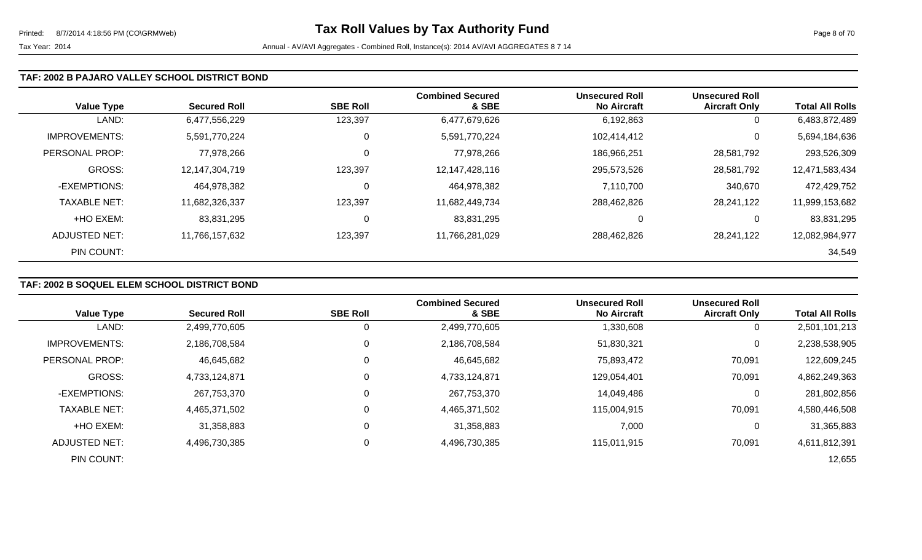#### **TAF: 2002 B PAJARO VALLEY SCHOOL DISTRICT BOND**

| <b>Value Type</b>    | <b>Secured Roll</b> | <b>SBE Roll</b> | <b>Combined Secured</b><br>& SBE | <b>Unsecured Roll</b><br><b>No Aircraft</b> | <b>Unsecured Roll</b><br><b>Aircraft Only</b> | <b>Total All Rolls</b> |
|----------------------|---------------------|-----------------|----------------------------------|---------------------------------------------|-----------------------------------------------|------------------------|
| LAND:                | 6,477,556,229       | 123,397         | 6,477,679,626                    | 6,192,863                                   | 0                                             | 6,483,872,489          |
| <b>IMPROVEMENTS:</b> | 5,591,770,224       | 0               | 5,591,770,224                    | 102,414,412                                 | 0                                             | 5,694,184,636          |
| PERSONAL PROP:       | 77,978,266          | 0               | 77,978,266                       | 186,966,251                                 | 28,581,792                                    | 293,526,309            |
| <b>GROSS:</b>        | 12,147,304,719      | 123,397         | 12,147,428,116                   | 295,573,526                                 | 28,581,792                                    | 12,471,583,434         |
| -EXEMPTIONS:         | 464,978,382         | 0               | 464,978,382                      | 7,110,700                                   | 340,670                                       | 472,429,752            |
| <b>TAXABLE NET:</b>  | 11,682,326,337      | 123,397         | 11,682,449,734                   | 288,462,826                                 | 28,241,122                                    | 11,999,153,682         |
| +HO EXEM:            | 83,831,295          | 0               | 83,831,295                       | 0                                           | 0                                             | 83,831,295             |
| <b>ADJUSTED NET:</b> | 11,766,157,632      | 123,397         | 11,766,281,029                   | 288,462,826                                 | 28,241,122                                    | 12,082,984,977         |
| PIN COUNT:           |                     |                 |                                  |                                             |                                               | 34,549                 |

### **TAF: 2002 B SOQUEL ELEM SCHOOL DISTRICT BOND**

|                      |                     |                 | <b>Combined Secured</b> | <b>Unsecured Roll</b> | <b>Unsecured Roll</b> |                        |
|----------------------|---------------------|-----------------|-------------------------|-----------------------|-----------------------|------------------------|
| <b>Value Type</b>    | <b>Secured Roll</b> | <b>SBE Roll</b> | & SBE                   | <b>No Aircraft</b>    | <b>Aircraft Only</b>  | <b>Total All Rolls</b> |
| LAND:                | 2,499,770,605       | 0               | 2,499,770,605           | 1,330,608             | 0                     | 2,501,101,213          |
| <b>IMPROVEMENTS:</b> | 2,186,708,584       | 0               | 2,186,708,584           | 51,830,321            | $\mathbf 0$           | 2,238,538,905          |
| PERSONAL PROP:       | 46,645,682          | 0               | 46,645,682              | 75,893,472            | 70,091                | 122,609,245            |
| <b>GROSS:</b>        | 4,733,124,871       | $\mathbf 0$     | 4,733,124,871           | 129,054,401           | 70,091                | 4,862,249,363          |
| -EXEMPTIONS:         | 267,753,370         | $\Omega$        | 267,753,370             | 14,049,486            | 0                     | 281,802,856            |
| <b>TAXABLE NET:</b>  | 4,465,371,502       | $\mathbf 0$     | 4,465,371,502           | 115,004,915           | 70,091                | 4,580,446,508          |
| +HO EXEM:            | 31,358,883          | $\mathbf{0}$    | 31,358,883              | 7,000                 | $\overline{0}$        | 31,365,883             |
| <b>ADJUSTED NET:</b> | 4,496,730,385       | 0               | 4,496,730,385           | 115,011,915           | 70,091                | 4,611,812,391          |
| PIN COUNT:           |                     |                 |                         |                       |                       | 12,655                 |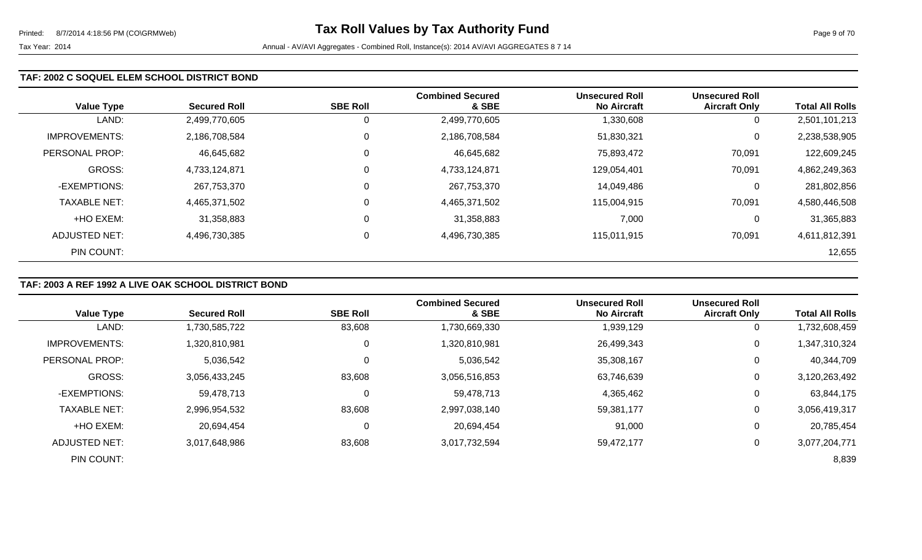#### **TAF: 2002 C SOQUEL ELEM SCHOOL DISTRICT BOND**

| <b>Value Type</b>    | <b>Secured Roll</b> | <b>SBE Roll</b> | <b>Combined Secured</b><br>& SBE | <b>Unsecured Roll</b><br><b>No Aircraft</b> | <b>Unsecured Roll</b><br><b>Aircraft Only</b> | <b>Total All Rolls</b> |
|----------------------|---------------------|-----------------|----------------------------------|---------------------------------------------|-----------------------------------------------|------------------------|
| LAND:                | 2,499,770,605       | 0               | 2,499,770,605                    | 1,330,608                                   | 0                                             | 2,501,101,213          |
| <b>IMPROVEMENTS:</b> | 2,186,708,584       | 0               | 2,186,708,584                    | 51,830,321                                  | 0                                             | 2,238,538,905          |
| PERSONAL PROP:       | 46,645,682          | 0               | 46,645,682                       | 75,893,472                                  | 70,091                                        | 122,609,245            |
| <b>GROSS:</b>        | 4,733,124,871       | 0               | 4,733,124,871                    | 129,054,401                                 | 70,091                                        | 4,862,249,363          |
| -EXEMPTIONS:         | 267,753,370         | 0               | 267,753,370                      | 14,049,486                                  | 0                                             | 281,802,856            |
| <b>TAXABLE NET:</b>  | 4,465,371,502       | 0               | 4,465,371,502                    | 115,004,915                                 | 70,091                                        | 4,580,446,508          |
| +HO EXEM:            | 31,358,883          | 0               | 31,358,883                       | 7,000                                       | 0                                             | 31,365,883             |
| ADJUSTED NET:        | 4,496,730,385       | 0               | 4,496,730,385                    | 115,011,915                                 | 70,091                                        | 4,611,812,391          |
| PIN COUNT:           |                     |                 |                                  |                                             |                                               | 12,655                 |

#### **TAF: 2003 A REF 1992 A LIVE OAK SCHOOL DISTRICT BOND**

|                       |                     |                 | <b>Combined Secured</b> | <b>Unsecured Roll</b> | <b>Unsecured Roll</b> |                        |
|-----------------------|---------------------|-----------------|-------------------------|-----------------------|-----------------------|------------------------|
| <b>Value Type</b>     | <b>Secured Roll</b> | <b>SBE Roll</b> | & SBE                   | <b>No Aircraft</b>    | <b>Aircraft Only</b>  | <b>Total All Rolls</b> |
| LAND:                 | 1,730,585,722       | 83,608          | 1,730,669,330           | 1,939,129             | $\overline{0}$        | 1,732,608,459          |
| <b>IMPROVEMENTS:</b>  | 1,320,810,981       | 0               | 1,320,810,981           | 26,499,343            | 0                     | 1,347,310,324          |
| <b>PERSONAL PROP:</b> | 5,036,542           | $\mathbf 0$     | 5,036,542               | 35,308,167            | 0                     | 40,344,709             |
| <b>GROSS:</b>         | 3,056,433,245       | 83,608          | 3,056,516,853           | 63,746,639            | 0                     | 3,120,263,492          |
| -EXEMPTIONS:          | 59,478,713          | 0               | 59,478,713              | 4,365,462             | 0                     | 63,844,175             |
| <b>TAXABLE NET:</b>   | 2,996,954,532       | 83,608          | 2,997,038,140           | 59,381,177            | 0                     | 3,056,419,317          |
| +HO EXEM:             | 20,694,454          | 0               | 20,694,454              | 91,000                | 0                     | 20,785,454             |
| ADJUSTED NET:         | 3,017,648,986       | 83,608          | 3,017,732,594           | 59,472,177            | 0                     | 3,077,204,771          |
| PIN COUNT:            |                     |                 |                         |                       |                       | 8,839                  |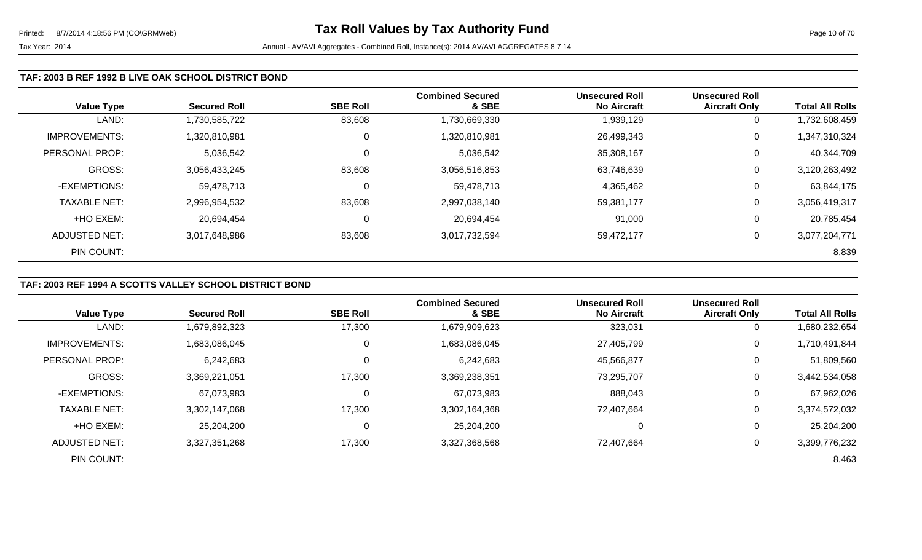#### **TAF: 2003 B REF 1992 B LIVE OAK SCHOOL DISTRICT BOND**

| <b>Value Type</b>    | <b>Secured Roll</b> | <b>SBE Roll</b> | <b>Combined Secured</b><br>& SBE | <b>Unsecured Roll</b><br><b>No Aircraft</b> | <b>Unsecured Roll</b><br><b>Aircraft Only</b> | <b>Total All Rolls</b> |
|----------------------|---------------------|-----------------|----------------------------------|---------------------------------------------|-----------------------------------------------|------------------------|
| LAND:                | 1,730,585,722       | 83,608          | 1,730,669,330                    | 1,939,129                                   | 0                                             | 1,732,608,459          |
| <b>IMPROVEMENTS:</b> | 1,320,810,981       | 0               | 1,320,810,981                    | 26,499,343                                  | 0                                             | 1,347,310,324          |
| PERSONAL PROP:       | 5,036,542           | $\overline{0}$  | 5,036,542                        | 35,308,167                                  | 0                                             | 40,344,709             |
| GROSS:               | 3,056,433,245       | 83,608          | 3,056,516,853                    | 63,746,639                                  | 0                                             | 3,120,263,492          |
| -EXEMPTIONS:         | 59,478,713          | 0               | 59,478,713                       | 4,365,462                                   | 0                                             | 63,844,175             |
| <b>TAXABLE NET:</b>  | 2,996,954,532       | 83,608          | 2,997,038,140                    | 59,381,177                                  | 0                                             | 3,056,419,317          |
| +HO EXEM:            | 20,694,454          | 0               | 20,694,454                       | 91,000                                      | 0                                             | 20,785,454             |
| ADJUSTED NET:        | 3,017,648,986       | 83,608          | 3,017,732,594                    | 59,472,177                                  | 0                                             | 3,077,204,771          |
| PIN COUNT:           |                     |                 |                                  |                                             |                                               | 8,839                  |

# **TAF: 2003 REF 1994 A SCOTTS VALLEY SCHOOL DISTRICT BOND**

|                      |                     |                 | <b>Combined Secured</b> | <b>Unsecured Roll</b> | <b>Unsecured Roll</b> |                        |
|----------------------|---------------------|-----------------|-------------------------|-----------------------|-----------------------|------------------------|
| <b>Value Type</b>    | <b>Secured Roll</b> | <b>SBE Roll</b> | & SBE                   | <b>No Aircraft</b>    | <b>Aircraft Only</b>  | <b>Total All Rolls</b> |
| LAND:                | 1,679,892,323       | 17,300          | 1,679,909,623           | 323,031               | 0                     | 1,680,232,654          |
| <b>IMPROVEMENTS:</b> | 1,683,086,045       | 0               | 1,683,086,045           | 27,405,799            | 0                     | 1,710,491,844          |
| PERSONAL PROP:       | 6,242,683           | $\mathbf 0$     | 6,242,683               | 45,566,877            | 0                     | 51,809,560             |
| <b>GROSS:</b>        | 3,369,221,051       | 17,300          | 3,369,238,351           | 73,295,707            | $\overline{0}$        | 3,442,534,058          |
| -EXEMPTIONS:         | 67,073,983          | 0               | 67,073,983              | 888,043               | 0                     | 67,962,026             |
| <b>TAXABLE NET:</b>  | 3,302,147,068       | 17,300          | 3,302,164,368           | 72,407,664            | 0                     | 3,374,572,032          |
| +HO EXEM:            | 25,204,200          | 0               | 25,204,200              | 0                     | 0                     | 25,204,200             |
| ADJUSTED NET:        | 3,327,351,268       | 17,300          | 3,327,368,568           | 72.407.664            | 0                     | 3,399,776,232          |
| PIN COUNT:           |                     |                 |                         |                       |                       | 8,463                  |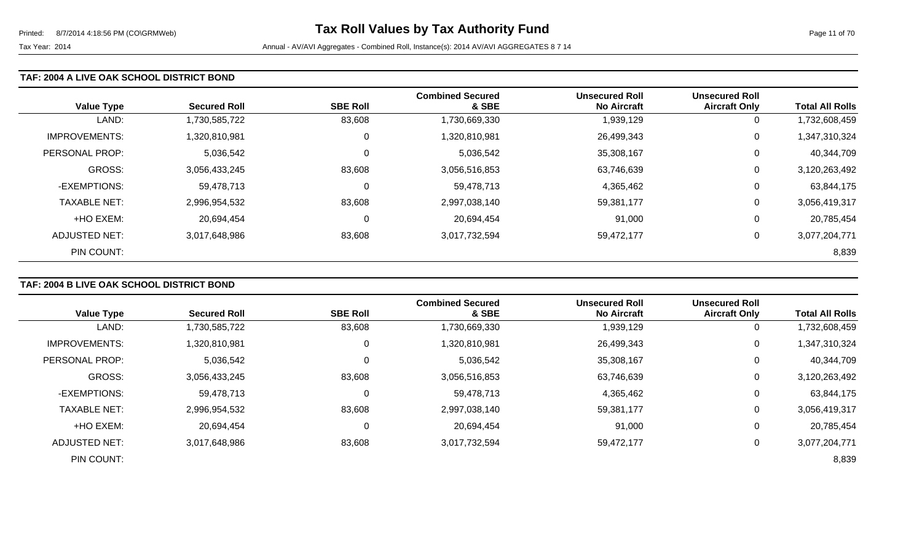#### **TAF: 2004 A LIVE OAK SCHOOL DISTRICT BOND**

| <b>Value Type</b>    | <b>Secured Roll</b> | <b>SBE Roll</b> | <b>Combined Secured</b><br>& SBE | <b>Unsecured Roll</b><br><b>No Aircraft</b> | <b>Unsecured Roll</b><br><b>Aircraft Only</b> | <b>Total All Rolls</b> |
|----------------------|---------------------|-----------------|----------------------------------|---------------------------------------------|-----------------------------------------------|------------------------|
| LAND:                | 1,730,585,722       | 83,608          | 1,730,669,330                    | 1,939,129                                   | 0                                             | 1,732,608,459          |
| <b>IMPROVEMENTS:</b> | 1,320,810,981       | 0               | 1,320,810,981                    | 26,499,343                                  | 0                                             | 1,347,310,324          |
| PERSONAL PROP:       | 5,036,542           | $\overline{0}$  | 5,036,542                        | 35,308,167                                  | 0                                             | 40,344,709             |
| GROSS:               | 3,056,433,245       | 83,608          | 3,056,516,853                    | 63,746,639                                  | 0                                             | 3,120,263,492          |
| -EXEMPTIONS:         | 59,478,713          | 0               | 59,478,713                       | 4,365,462                                   | 0                                             | 63,844,175             |
| <b>TAXABLE NET:</b>  | 2,996,954,532       | 83,608          | 2,997,038,140                    | 59,381,177                                  | 0                                             | 3,056,419,317          |
| +HO EXEM:            | 20,694,454          | 0               | 20,694,454                       | 91,000                                      | 0                                             | 20,785,454             |
| ADJUSTED NET:        | 3,017,648,986       | 83,608          | 3,017,732,594                    | 59,472,177                                  | 0                                             | 3,077,204,771          |
| PIN COUNT:           |                     |                 |                                  |                                             |                                               | 8,839                  |

# **TAF: 2004 B LIVE OAK SCHOOL DISTRICT BOND**

|                       |                     |                 | <b>Combined Secured</b> | <b>Unsecured Roll</b> | <b>Unsecured Roll</b> |                        |
|-----------------------|---------------------|-----------------|-------------------------|-----------------------|-----------------------|------------------------|
| <b>Value Type</b>     | <b>Secured Roll</b> | <b>SBE Roll</b> | & SBE                   | <b>No Aircraft</b>    | <b>Aircraft Only</b>  | <b>Total All Rolls</b> |
| LAND:                 | 1,730,585,722       | 83,608          | 1,730,669,330           | 1,939,129             | $\overline{0}$        | 1,732,608,459          |
| <b>IMPROVEMENTS:</b>  | 1,320,810,981       |                 | 1,320,810,981           | 26,499,343            | $\mathbf 0$           | 1,347,310,324          |
| <b>PERSONAL PROP:</b> | 5,036,542           |                 | 5,036,542               | 35,308,167            | 0                     | 40,344,709             |
| <b>GROSS:</b>         | 3,056,433,245       | 83,608          | 3,056,516,853           | 63,746,639            | 0                     | 3,120,263,492          |
| -EXEMPTIONS:          | 59,478,713          |                 | 59,478,713              | 4,365,462             | 0                     | 63,844,175             |
| <b>TAXABLE NET:</b>   | 2,996,954,532       | 83,608          | 2,997,038,140           | 59,381,177            | 0                     | 3,056,419,317          |
| +HO EXEM:             | 20,694,454          | 0               | 20,694,454              | 91,000                | 0                     | 20,785,454             |
| ADJUSTED NET:         | 3,017,648,986       | 83,608          | 3,017,732,594           | 59,472,177            | 0                     | 3,077,204,771          |
| PIN COUNT:            |                     |                 |                         |                       |                       | 8,839                  |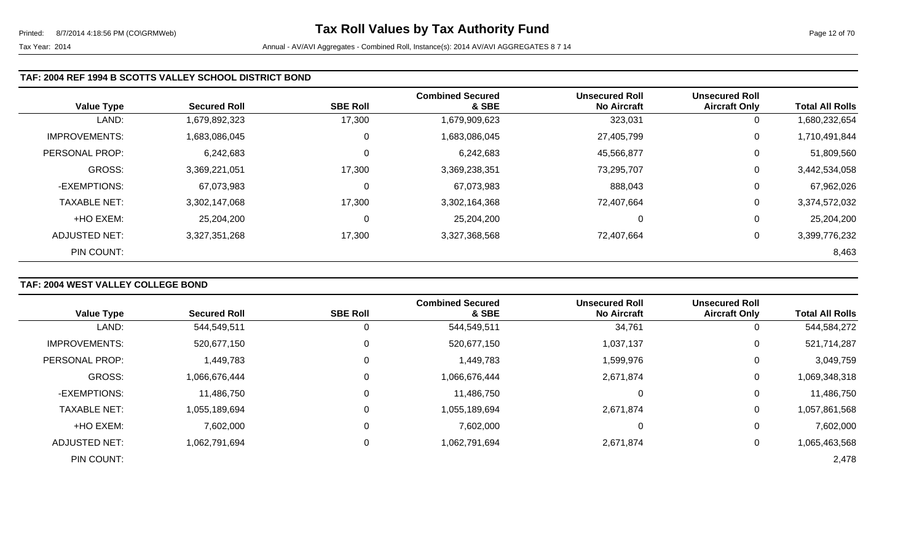| <b>Value Type</b>    | <b>Secured Roll</b> | <b>SBE Roll</b> | <b>Combined Secured</b><br>& SBE | <b>Unsecured Roll</b><br><b>No Aircraft</b> | <b>Unsecured Roll</b><br><b>Aircraft Only</b> | <b>Total All Rolls</b> |
|----------------------|---------------------|-----------------|----------------------------------|---------------------------------------------|-----------------------------------------------|------------------------|
| LAND:                | 1,679,892,323       | 17,300          | 1,679,909,623                    | 323,031                                     | 0                                             | 1,680,232,654          |
| <b>IMPROVEMENTS:</b> | 1,683,086,045       | 0               | 1,683,086,045                    | 27,405,799                                  | 0                                             | 1,710,491,844          |
| PERSONAL PROP:       | 6,242,683           | 0               | 6,242,683                        | 45,566,877                                  | $\mathbf 0$                                   | 51,809,560             |
| <b>GROSS:</b>        | 3,369,221,051       | 17,300          | 3,369,238,351                    | 73,295,707                                  | 0                                             | 3,442,534,058          |
| -EXEMPTIONS:         | 67,073,983          | 0               | 67,073,983                       | 888,043                                     | 0                                             | 67,962,026             |
| <b>TAXABLE NET:</b>  | 3,302,147,068       | 17,300          | 3,302,164,368                    | 72,407,664                                  | $\mathbf 0$                                   | 3,374,572,032          |
| +HO EXEM:            | 25,204,200          | 0               | 25,204,200                       |                                             | 0                                             | 25,204,200             |
| ADJUSTED NET:        | 3,327,351,268       | 17,300          | 3,327,368,568                    | 72,407,664                                  | $\boldsymbol{0}$                              | 3,399,776,232          |
| PIN COUNT:           |                     |                 |                                  |                                             |                                               | 8,463                  |

### **TAF: 2004 WEST VALLEY COLLEGE BOND**

|                      |                     |                 | <b>Combined Secured</b> | <b>Unsecured Roll</b> | <b>Unsecured Roll</b> |                        |
|----------------------|---------------------|-----------------|-------------------------|-----------------------|-----------------------|------------------------|
| <b>Value Type</b>    | <b>Secured Roll</b> | <b>SBE Roll</b> | & SBE                   | <b>No Aircraft</b>    | <b>Aircraft Only</b>  | <b>Total All Rolls</b> |
| LAND:                | 544,549,511         | 0               | 544,549,511             | 34,761                | υ                     | 544,584,272            |
| <b>IMPROVEMENTS:</b> | 520,677,150         | 0               | 520,677,150             | 1,037,137             | 0                     | 521,714,287            |
| PERSONAL PROP:       | 1,449,783           | 0               | 1,449,783               | 599,976, ا            | 0                     | 3,049,759              |
| <b>GROSS:</b>        | 1,066,676,444       | 0               | 1,066,676,444           | 2,671,874             | 0                     | 1,069,348,318          |
| -EXEMPTIONS:         | 11,486,750          | 0               | 11,486,750              | 0                     | 0                     | 11,486,750             |
| <b>TAXABLE NET:</b>  | 1,055,189,694       | 0               | 1,055,189,694           | 2,671,874             | 0                     | 1,057,861,568          |
| +HO EXEM:            | 7,602,000           | 0               | 7,602,000               | 0                     | 0                     | 7,602,000              |
| ADJUSTED NET:        | 1,062,791,694       | 0               | 1,062,791,694           | 2,671,874             | 0                     | 1,065,463,568          |
| PIN COUNT:           |                     |                 |                         |                       |                       | 2,478                  |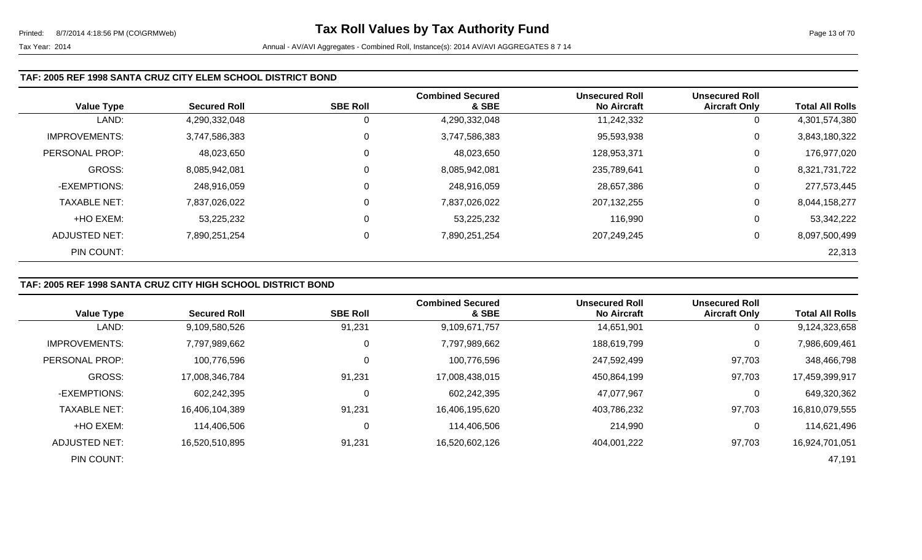#### **TAF: 2005 REF 1998 SANTA CRUZ CITY ELEM SCHOOL DISTRICT BOND**

| <b>Value Type</b>    | <b>Secured Roll</b> | <b>SBE Roll</b> | <b>Combined Secured</b><br>& SBE | <b>Unsecured Roll</b><br><b>No Aircraft</b> | <b>Unsecured Roll</b><br><b>Aircraft Only</b> | <b>Total All Rolls</b> |
|----------------------|---------------------|-----------------|----------------------------------|---------------------------------------------|-----------------------------------------------|------------------------|
| LAND:                | 4,290,332,048       | 0               | 4,290,332,048                    | 11,242,332                                  | 0                                             | 4,301,574,380          |
| <b>IMPROVEMENTS:</b> | 3,747,586,383       | 0               | 3,747,586,383                    | 95,593,938                                  | 0                                             | 3,843,180,322          |
| PERSONAL PROP:       | 48,023,650          | 0               | 48,023,650                       | 128,953,371                                 | 0                                             | 176,977,020            |
| <b>GROSS:</b>        | 8,085,942,081       | 0               | 8,085,942,081                    | 235,789,641                                 | 0                                             | 8,321,731,722          |
| -EXEMPTIONS:         | 248,916,059         | 0               | 248,916,059                      | 28,657,386                                  | 0                                             | 277,573,445            |
| <b>TAXABLE NET:</b>  | 7,837,026,022       | 0               | 7,837,026,022                    | 207,132,255                                 | 0                                             | 8,044,158,277          |
| +HO EXEM:            | 53,225,232          | $\mathbf 0$     | 53,225,232                       | 116,990                                     | 0                                             | 53,342,222             |
| <b>ADJUSTED NET:</b> | 7,890,251,254       | 0               | 7,890,251,254                    | 207,249,245                                 | 0                                             | 8,097,500,499          |
| PIN COUNT:           |                     |                 |                                  |                                             |                                               | 22,313                 |

### **TAF: 2005 REF 1998 SANTA CRUZ CITY HIGH SCHOOL DISTRICT BOND**

|                      |                     |                 | <b>Combined Secured</b> | <b>Unsecured Roll</b> | <b>Unsecured Roll</b> |                        |
|----------------------|---------------------|-----------------|-------------------------|-----------------------|-----------------------|------------------------|
| <b>Value Type</b>    | <b>Secured Roll</b> | <b>SBE Roll</b> | & SBE                   | <b>No Aircraft</b>    | <b>Aircraft Only</b>  | <b>Total All Rolls</b> |
| LAND:                | 9,109,580,526       | 91,231          | 9,109,671,757           | 14,651,901            | 0                     | 9,124,323,658          |
| <b>IMPROVEMENTS:</b> | 7,797,989,662       |                 | 7,797,989,662           | 188,619,799           | 0                     | 7,986,609,461          |
| PERSONAL PROP:       | 100,776,596         |                 | 100,776,596             | 247,592,499           | 97,703                | 348,466,798            |
| <b>GROSS:</b>        | 17,008,346,784      | 91,231          | 17,008,438,015          | 450,864,199           | 97,703                | 17,459,399,917         |
| -EXEMPTIONS:         | 602,242,395         |                 | 602,242,395             | 47,077,967            | 0                     | 649,320,362            |
| <b>TAXABLE NET:</b>  | 16,406,104,389      | 91,231          | 16,406,195,620          | 403,786,232           | 97,703                | 16,810,079,555         |
| +HO EXEM:            | 114,406,506         |                 | 114,406,506             | 214,990               | 0                     | 114,621,496            |
| ADJUSTED NET:        | 16,520,510,895      | 91,231          | 16,520,602,126          | 404,001,222           | 97,703                | 16,924,701,051         |
| PIN COUNT:           |                     |                 |                         |                       |                       | 47,191                 |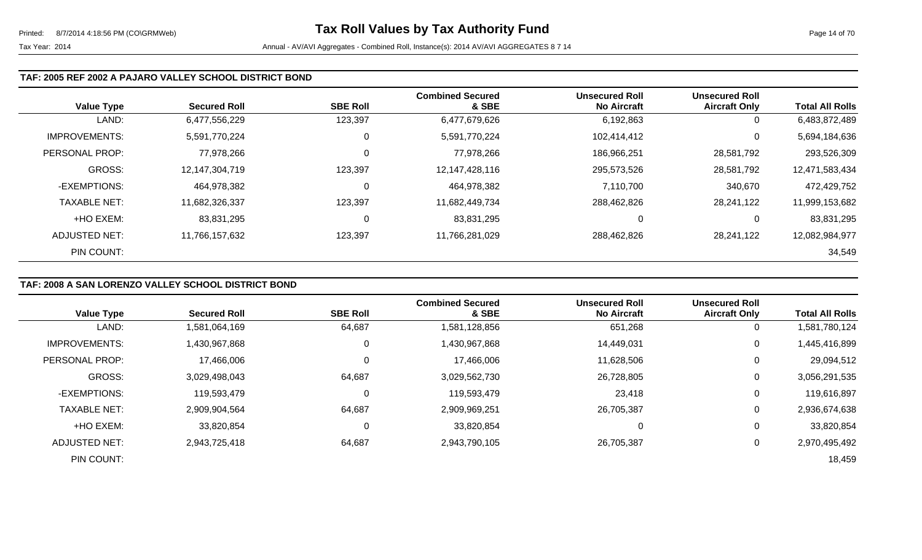#### **TAF: 2005 REF 2002 A PAJARO VALLEY SCHOOL DISTRICT BOND**

| <b>Value Type</b>    | <b>Secured Roll</b> | <b>SBE Roll</b> | <b>Combined Secured</b><br>& SBE | <b>Unsecured Roll</b><br><b>No Aircraft</b> | <b>Unsecured Roll</b><br><b>Aircraft Only</b> | <b>Total All Rolls</b> |
|----------------------|---------------------|-----------------|----------------------------------|---------------------------------------------|-----------------------------------------------|------------------------|
| LAND:                | 6,477,556,229       | 123,397         | 6,477,679,626                    | 6,192,863                                   | 0                                             | 6,483,872,489          |
| <b>IMPROVEMENTS:</b> | 5,591,770,224       | 0               | 5,591,770,224                    | 102,414,412                                 | 0                                             | 5,694,184,636          |
| PERSONAL PROP:       | 77,978,266          | 0               | 77,978,266                       | 186,966,251                                 | 28,581,792                                    | 293,526,309            |
| <b>GROSS:</b>        | 12,147,304,719      | 123,397         | 12,147,428,116                   | 295,573,526                                 | 28,581,792                                    | 12,471,583,434         |
| -EXEMPTIONS:         | 464,978,382         | 0               | 464,978,382                      | 7,110,700                                   | 340,670                                       | 472,429,752            |
| <b>TAXABLE NET:</b>  | 11,682,326,337      | 123,397         | 11,682,449,734                   | 288,462,826                                 | 28,241,122                                    | 11,999,153,682         |
| +HO EXEM:            | 83,831,295          | 0               | 83,831,295                       | 0                                           | 0                                             | 83,831,295             |
| ADJUSTED NET:        | 11,766,157,632      | 123,397         | 11,766,281,029                   | 288,462,826                                 | 28,241,122                                    | 12,082,984,977         |
| PIN COUNT:           |                     |                 |                                  |                                             |                                               | 34,549                 |

### **TAF: 2008 A SAN LORENZO VALLEY SCHOOL DISTRICT BOND**

|                      |                     |                 | <b>Combined Secured</b> | <b>Unsecured Roll</b> | <b>Unsecured Roll</b> |                        |
|----------------------|---------------------|-----------------|-------------------------|-----------------------|-----------------------|------------------------|
| <b>Value Type</b>    | <b>Secured Roll</b> | <b>SBE Roll</b> | & SBE                   | <b>No Aircraft</b>    | <b>Aircraft Only</b>  | <b>Total All Rolls</b> |
| LAND:                | 1,581,064,169       | 64,687          | 1,581,128,856           | 651,268               | 0                     | ,581,780,124           |
| <b>IMPROVEMENTS:</b> | 1,430,967,868       | 0               | 1,430,967,868           | 14,449,031            | 0                     | 1,445,416,899          |
| PERSONAL PROP:       | 17,466,006          | $\mathbf 0$     | 17,466,006              | 11,628,506            | 0                     | 29,094,512             |
| <b>GROSS:</b>        | 3,029,498,043       | 64,687          | 3,029,562,730           | 26,728,805            | 0                     | 3,056,291,535          |
| -EXEMPTIONS:         | 119,593,479         | 0               | 119,593,479             | 23,418                | 0                     | 119,616,897            |
| <b>TAXABLE NET:</b>  | 2,909,904,564       | 64,687          | 2,909,969,251           | 26,705,387            | 0                     | 2,936,674,638          |
| +HO EXEM:            | 33,820,854          | 0               | 33,820,854              | 0                     | $\mathbf 0$           | 33,820,854             |
| ADJUSTED NET:        | 2,943,725,418       | 64,687          | 2,943,790,105           | 26,705,387            | 0                     | 2,970,495,492          |
| PIN COUNT:           |                     |                 |                         |                       |                       | 18,459                 |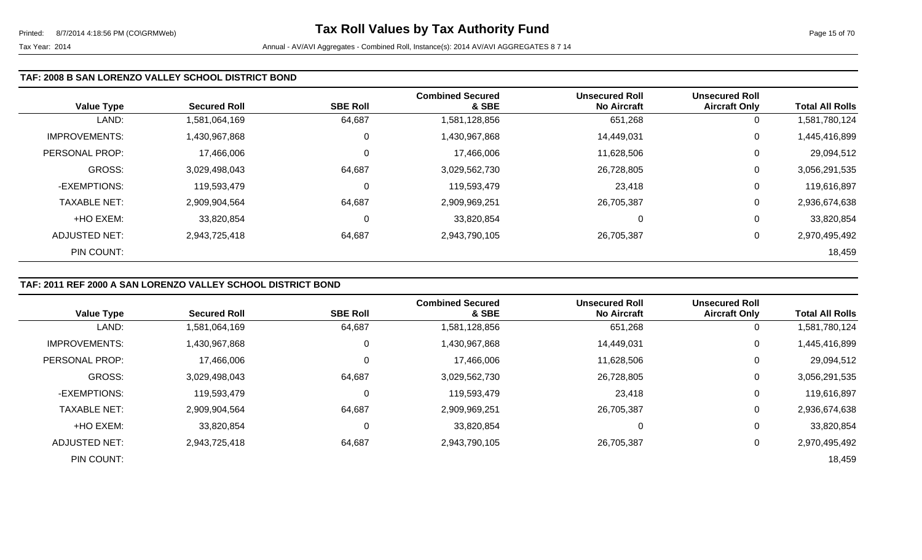| <b>Value Type</b>    | <b>Secured Roll</b> | <b>SBE Roll</b> | <b>Combined Secured</b><br>& SBE | <b>Unsecured Roll</b><br><b>No Aircraft</b> | <b>Unsecured Roll</b><br><b>Aircraft Only</b> | <b>Total All Rolls</b> |
|----------------------|---------------------|-----------------|----------------------------------|---------------------------------------------|-----------------------------------------------|------------------------|
| LAND:                | 1,581,064,169       | 64,687          | 1,581,128,856                    | 651,268                                     | 0                                             | 1,581,780,124          |
| <b>IMPROVEMENTS:</b> | 1,430,967,868       | 0               | 1,430,967,868                    | 14,449,031                                  | 0                                             | 1,445,416,899          |
| PERSONAL PROP:       | 17,466,006          | 0               | 17,466,006                       | 11,628,506                                  | 0                                             | 29,094,512             |
| GROSS:               | 3,029,498,043       | 64,687          | 3,029,562,730                    | 26,728,805                                  | 0                                             | 3,056,291,535          |
| -EXEMPTIONS:         | 119,593,479         | 0               | 119,593,479                      | 23,418                                      | 0                                             | 119,616,897            |
| <b>TAXABLE NET:</b>  | 2,909,904,564       | 64,687          | 2,909,969,251                    | 26,705,387                                  | $\mathbf 0$                                   | 2,936,674,638          |
| +HO EXEM:            | 33,820,854          | 0               | 33,820,854                       |                                             | 0                                             | 33,820,854             |
| ADJUSTED NET:        | 2,943,725,418       | 64,687          | 2,943,790,105                    | 26,705,387                                  | 0                                             | 2,970,495,492          |
| PIN COUNT:           |                     |                 |                                  |                                             |                                               | 18,459                 |

#### **TAF: 2011 REF 2000 A SAN LORENZO VALLEY SCHOOL DISTRICT BOND**

|                      |                     |                 | <b>Combined Secured</b> | <b>Unsecured Roll</b> | <b>Unsecured Roll</b> |                        |
|----------------------|---------------------|-----------------|-------------------------|-----------------------|-----------------------|------------------------|
| <b>Value Type</b>    | <b>Secured Roll</b> | <b>SBE Roll</b> | & SBE                   | <b>No Aircraft</b>    | <b>Aircraft Only</b>  | <b>Total All Rolls</b> |
| LAND:                | 1,581,064,169       | 64,687          | 1,581,128,856           | 651,268               | 0                     | ,581,780,124           |
| <b>IMPROVEMENTS:</b> | 1,430,967,868       | 0               | 1,430,967,868           | 14,449,031            | 0                     | 1,445,416,899          |
| PERSONAL PROP:       | 17,466,006          | $\mathbf 0$     | 17,466,006              | 11,628,506            | 0                     | 29,094,512             |
| <b>GROSS:</b>        | 3,029,498,043       | 64,687          | 3,029,562,730           | 26,728,805            | 0                     | 3,056,291,535          |
| -EXEMPTIONS:         | 119,593,479         | 0               | 119,593,479             | 23,418                | 0                     | 119,616,897            |
| <b>TAXABLE NET:</b>  | 2,909,904,564       | 64,687          | 2,909,969,251           | 26,705,387            | 0                     | 2,936,674,638          |
| +HO EXEM:            | 33,820,854          | 0               | 33,820,854              | 0                     | $\mathbf 0$           | 33,820,854             |
| ADJUSTED NET:        | 2,943,725,418       | 64,687          | 2,943,790,105           | 26,705,387            | 0                     | 2,970,495,492          |
| PIN COUNT:           |                     |                 |                         |                       |                       | 18,459                 |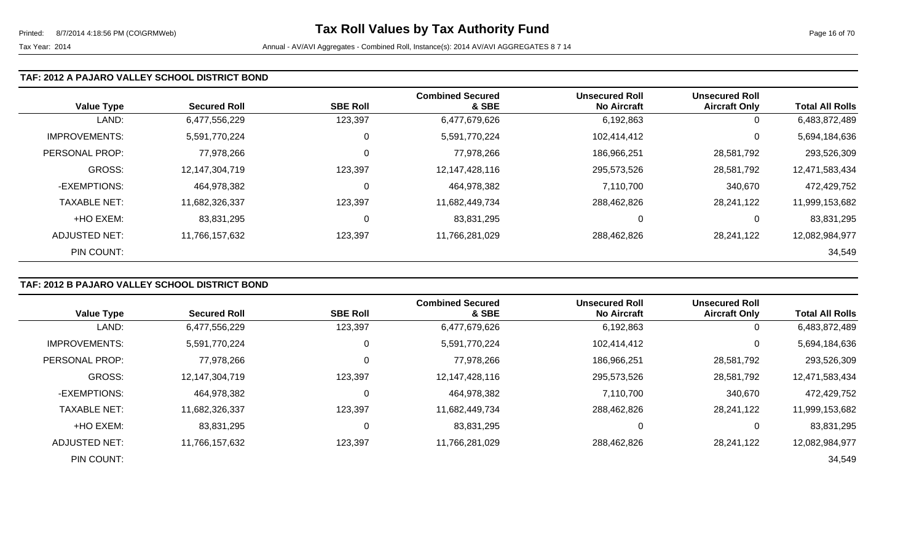### **TAF: 2012 A PAJARO VALLEY SCHOOL DISTRICT BOND**

| <b>Value Type</b>    | <b>Secured Roll</b> | <b>SBE Roll</b> | <b>Combined Secured</b><br>& SBE | <b>Unsecured Roll</b><br><b>No Aircraft</b> | <b>Unsecured Roll</b><br><b>Aircraft Only</b> | <b>Total All Rolls</b> |
|----------------------|---------------------|-----------------|----------------------------------|---------------------------------------------|-----------------------------------------------|------------------------|
| LAND:                | 6,477,556,229       | 123,397         | 6,477,679,626                    | 6,192,863                                   | 0                                             | 6,483,872,489          |
| <b>IMPROVEMENTS:</b> | 5,591,770,224       | 0               | 5,591,770,224                    | 102,414,412                                 | 0                                             | 5,694,184,636          |
| PERSONAL PROP:       | 77,978,266          | 0               | 77,978,266                       | 186,966,251                                 | 28,581,792                                    | 293,526,309            |
| <b>GROSS:</b>        | 12,147,304,719      | 123,397         | 12,147,428,116                   | 295,573,526                                 | 28,581,792                                    | 12,471,583,434         |
| -EXEMPTIONS:         | 464,978,382         | 0               | 464,978,382                      | 7,110,700                                   | 340,670                                       | 472,429,752            |
| <b>TAXABLE NET:</b>  | 11,682,326,337      | 123,397         | 11,682,449,734                   | 288,462,826                                 | 28,241,122                                    | 11,999,153,682         |
| +HO EXEM:            | 83,831,295          | 0               | 83,831,295                       | 0                                           | 0                                             | 83,831,295             |
| ADJUSTED NET:        | 11,766,157,632      | 123,397         | 11,766,281,029                   | 288,462,826                                 | 28,241,122                                    | 12,082,984,977         |
| PIN COUNT:           |                     |                 |                                  |                                             |                                               | 34,549                 |

#### **TAF: 2012 B PAJARO VALLEY SCHOOL DISTRICT BOND**

|                      |                     |                 | <b>Combined Secured</b> | <b>Unsecured Roll</b> | <b>Unsecured Roll</b> |                        |
|----------------------|---------------------|-----------------|-------------------------|-----------------------|-----------------------|------------------------|
| <b>Value Type</b>    | <b>Secured Roll</b> | <b>SBE Roll</b> | & SBE                   | <b>No Aircraft</b>    | <b>Aircraft Only</b>  | <b>Total All Rolls</b> |
| LAND:                | 6,477,556,229       | 123,397         | 6,477,679,626           | 6,192,863             | 0                     | 6,483,872,489          |
| <b>IMPROVEMENTS:</b> | 5,591,770,224       | 0               | 5,591,770,224           | 102,414,412           | 0                     | 5,694,184,636          |
| PERSONAL PROP:       | 77,978,266          | 0               | 77,978,266              | 186,966,251           | 28,581,792            | 293,526,309            |
| <b>GROSS:</b>        | 12,147,304,719      | 123,397         | 12,147,428,116          | 295,573,526           | 28,581,792            | 12,471,583,434         |
| -EXEMPTIONS:         | 464,978,382         | 0               | 464,978,382             | 7,110,700             | 340,670               | 472,429,752            |
| <b>TAXABLE NET:</b>  | 11,682,326,337      | 123,397         | 11,682,449,734          | 288,462,826           | 28,241,122            | 11,999,153,682         |
| +HO EXEM:            | 83,831,295          | 0               | 83,831,295              | 0                     | 0                     | 83,831,295             |
| ADJUSTED NET:        | 11,766,157,632      | 123,397         | 11,766,281,029          | 288,462,826           | 28,241,122            | 12,082,984,977         |
| PIN COUNT:           |                     |                 |                         |                       |                       | 34,549                 |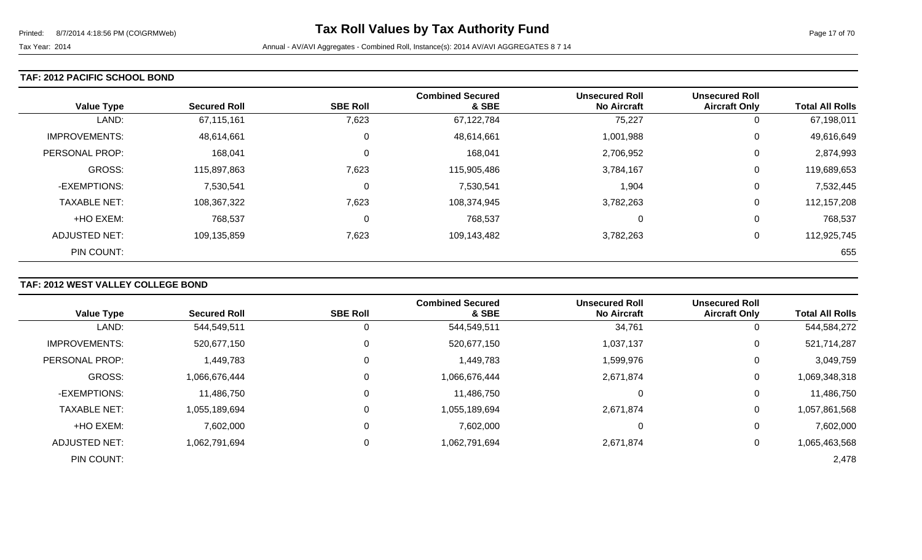#### **TAF: 2012 PACIFIC SCHOOL BOND**

| <b>Value Type</b>     | <b>Secured Roll</b> | <b>SBE Roll</b> | <b>Combined Secured</b><br>& SBE | <b>Unsecured Roll</b><br><b>No Aircraft</b> | <b>Unsecured Roll</b><br><b>Aircraft Only</b> | <b>Total All Rolls</b> |
|-----------------------|---------------------|-----------------|----------------------------------|---------------------------------------------|-----------------------------------------------|------------------------|
| LAND:                 | 67,115,161          | 7,623           | 67,122,784                       | 75,227                                      | 0                                             | 67,198,011             |
| <b>IMPROVEMENTS:</b>  | 48,614,661          | 0               | 48,614,661                       | 1,001,988                                   | 0                                             | 49,616,649             |
| <b>PERSONAL PROP:</b> | 168,041             | 0               | 168,041                          | 2,706,952                                   | 0                                             | 2,874,993              |
| <b>GROSS:</b>         | 115,897,863         | 7,623           | 115,905,486                      | 3,784,167                                   | 0                                             | 119,689,653            |
| -EXEMPTIONS:          | 7,530,541           | 0               | 7,530,541                        | 1,904                                       | 0                                             | 7,532,445              |
| <b>TAXABLE NET:</b>   | 108,367,322         | 7,623           | 108,374,945                      | 3,782,263                                   | 0                                             | 112, 157, 208          |
| +HO EXEM:             | 768,537             | 0               | 768,537                          | 0                                           | 0                                             | 768,537                |
| <b>ADJUSTED NET:</b>  | 109,135,859         | 7,623           | 109,143,482                      | 3,782,263                                   | 0                                             | 112,925,745            |
| PIN COUNT:            |                     |                 |                                  |                                             |                                               | 655                    |

### **TAF: 2012 WEST VALLEY COLLEGE BOND**

|                      |                     |                 | <b>Combined Secured</b> | <b>Unsecured Roll</b> | <b>Unsecured Roll</b> |                        |
|----------------------|---------------------|-----------------|-------------------------|-----------------------|-----------------------|------------------------|
| <b>Value Type</b>    | <b>Secured Roll</b> | <b>SBE Roll</b> | & SBE                   | <b>No Aircraft</b>    | <b>Aircraft Only</b>  | <b>Total All Rolls</b> |
| LAND:                | 544,549,511         | 0               | 544,549,511             | 34,761                | 0                     | 544,584,272            |
| <b>IMPROVEMENTS:</b> | 520,677,150         | 0               | 520,677,150             | 1,037,137             | 0                     | 521,714,287            |
| PERSONAL PROP:       | 1,449,783           | 0               | 1,449,783               | 1,599,976             | 0                     | 3,049,759              |
| <b>GROSS:</b>        | 1,066,676,444       | $\Omega$        | 1,066,676,444           | 2,671,874             | 0                     | 1,069,348,318          |
| -EXEMPTIONS:         | 11,486,750          | 0               | 11,486,750              | 0                     | 0                     | 11,486,750             |
| <b>TAXABLE NET:</b>  | 1,055,189,694       | 0               | 1,055,189,694           | 2,671,874             | 0                     | 1,057,861,568          |
| +HO EXEM:            | 7,602,000           | 0               | 7,602,000               | 0                     | 0                     | 7,602,000              |
| ADJUSTED NET:        | 1,062,791,694       | 0               | 1,062,791,694           | 2,671,874             | 0                     | 1,065,463,568          |
| PIN COUNT:           |                     |                 |                         |                       |                       | 2,478                  |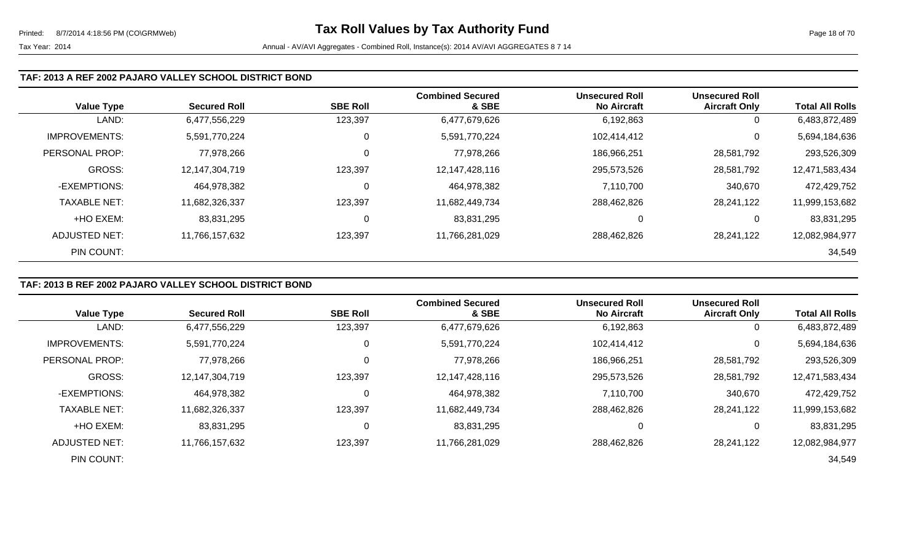#### **TAF: 2013 A REF 2002 PAJARO VALLEY SCHOOL DISTRICT BOND**

| <b>Value Type</b>    | <b>Secured Roll</b> | <b>SBE Roll</b> | <b>Combined Secured</b><br>& SBE | <b>Unsecured Roll</b><br><b>No Aircraft</b> | <b>Unsecured Roll</b><br><b>Aircraft Only</b> | <b>Total All Rolls</b> |
|----------------------|---------------------|-----------------|----------------------------------|---------------------------------------------|-----------------------------------------------|------------------------|
| LAND:                | 6,477,556,229       | 123,397         | 6,477,679,626                    | 6,192,863                                   | 0                                             | 6,483,872,489          |
| <b>IMPROVEMENTS:</b> | 5,591,770,224       | 0               | 5,591,770,224                    | 102,414,412                                 | 0                                             | 5,694,184,636          |
| PERSONAL PROP:       | 77,978,266          | 0               | 77,978,266                       | 186,966,251                                 | 28,581,792                                    | 293,526,309            |
| GROSS:               | 12,147,304,719      | 123,397         | 12,147,428,116                   | 295,573,526                                 | 28,581,792                                    | 12,471,583,434         |
| -EXEMPTIONS:         | 464,978,382         | 0               | 464,978,382                      | 7,110,700                                   | 340,670                                       | 472,429,752            |
| <b>TAXABLE NET:</b>  | 11,682,326,337      | 123,397         | 11,682,449,734                   | 288,462,826                                 | 28,241,122                                    | 11,999,153,682         |
| +HO EXEM:            | 83,831,295          | 0               | 83,831,295                       | 0                                           | 0                                             | 83,831,295             |
| <b>ADJUSTED NET:</b> | 11,766,157,632      | 123,397         | 11,766,281,029                   | 288,462,826                                 | 28,241,122                                    | 12,082,984,977         |
| PIN COUNT:           |                     |                 |                                  |                                             |                                               | 34,549                 |

### **TAF: 2013 B REF 2002 PAJARO VALLEY SCHOOL DISTRICT BOND**

|                      |                     |                 | <b>Combined Secured</b> | <b>Unsecured Roll</b> | <b>Unsecured Roll</b> |                        |
|----------------------|---------------------|-----------------|-------------------------|-----------------------|-----------------------|------------------------|
| <b>Value Type</b>    | <b>Secured Roll</b> | <b>SBE Roll</b> | & SBE                   | <b>No Aircraft</b>    | <b>Aircraft Only</b>  | <b>Total All Rolls</b> |
| LAND:                | 6,477,556,229       | 123,397         | 6,477,679,626           | 6,192,863             | 0                     | 6,483,872,489          |
| <b>IMPROVEMENTS:</b> | 5,591,770,224       | 0               | 5,591,770,224           | 102,414,412           | 0                     | 5,694,184,636          |
| PERSONAL PROP:       | 77,978,266          | 0               | 77,978,266              | 186,966,251           | 28,581,792            | 293,526,309            |
| GROSS:               | 12,147,304,719      | 123,397         | 12,147,428,116          | 295,573,526           | 28,581,792            | 12,471,583,434         |
| -EXEMPTIONS:         | 464,978,382         | 0               | 464,978,382             | 7,110,700             | 340,670               | 472,429,752            |
| <b>TAXABLE NET:</b>  | 11,682,326,337      | 123,397         | 11,682,449,734          | 288,462,826           | 28,241,122            | 11,999,153,682         |
| +HO EXEM:            | 83,831,295          | 0               | 83,831,295              |                       | 0                     | 83,831,295             |
| ADJUSTED NET:        | 11,766,157,632      | 123,397         | 11,766,281,029          | 288,462,826           | 28,241,122            | 12,082,984,977         |
| PIN COUNT:           |                     |                 |                         |                       |                       | 34,549                 |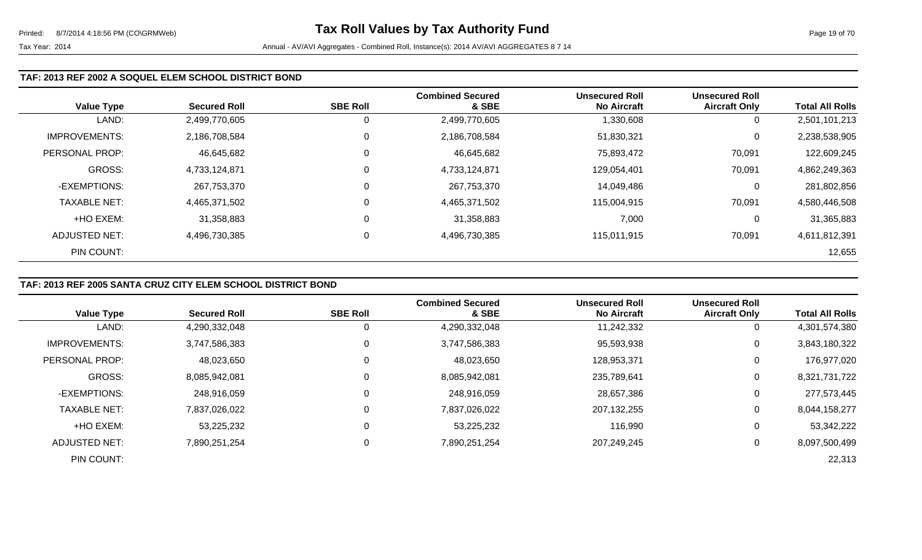#### **TAF: 2013 REF 2002 A SOQUEL ELEM SCHOOL DISTRICT BOND**

| <b>Value Type</b>     | <b>Secured Roll</b> | <b>SBE Roll</b> | <b>Combined Secured</b><br>& SBE | <b>Unsecured Roll</b><br><b>No Aircraft</b> | <b>Unsecured Roll</b><br><b>Aircraft Only</b> | <b>Total All Rolls</b> |
|-----------------------|---------------------|-----------------|----------------------------------|---------------------------------------------|-----------------------------------------------|------------------------|
| LAND:                 | 2,499,770,605       | 0               | 2,499,770,605                    | 1,330,608                                   | 0                                             | 2,501,101,213          |
| <b>IMPROVEMENTS:</b>  | 2,186,708,584       | 0               | 2,186,708,584                    | 51,830,321                                  | 0                                             | 2,238,538,905          |
| <b>PERSONAL PROP:</b> | 46,645,682          | 0               | 46,645,682                       | 75,893,472                                  | 70,091                                        | 122,609,245            |
| <b>GROSS:</b>         | 4,733,124,871       | 0               | 4,733,124,871                    | 129.054.401                                 | 70,091                                        | 4,862,249,363          |
| -EXEMPTIONS:          | 267,753,370         | 0               | 267,753,370                      | 14,049,486                                  | 0                                             | 281,802,856            |
| <b>TAXABLE NET:</b>   | 4,465,371,502       | 0               | 4,465,371,502                    | 115,004,915                                 | 70,091                                        | 4,580,446,508          |
| +HO EXEM:             | 31,358,883          | 0               | 31,358,883                       | 7,000                                       | 0                                             | 31,365,883             |
| ADJUSTED NET:         | 4,496,730,385       | 0               | 4,496,730,385                    | 115,011,915                                 | 70,091                                        | 4,611,812,391          |
| PIN COUNT:            |                     |                 |                                  |                                             |                                               | 12,655                 |

#### **TAF: 2013 REF 2005 SANTA CRUZ CITY ELEM SCHOOL DISTRICT BOND**

|                      |                     |                 | <b>Combined Secured</b> | <b>Unsecured Roll</b> | <b>Unsecured Roll</b> |                        |
|----------------------|---------------------|-----------------|-------------------------|-----------------------|-----------------------|------------------------|
| <b>Value Type</b>    | <b>Secured Roll</b> | <b>SBE Roll</b> | & SBE                   | <b>No Aircraft</b>    | <b>Aircraft Only</b>  | <b>Total All Rolls</b> |
| LAND:                | 4,290,332,048       | 0               | 4,290,332,048           | 11,242,332            | $\overline{0}$        | 4,301,574,380          |
| <b>IMPROVEMENTS:</b> | 3,747,586,383       | 0               | 3,747,586,383           | 95,593,938            | $\mathbf 0$           | 3,843,180,322          |
| PERSONAL PROP:       | 48,023,650          | 0               | 48,023,650              | 128,953,371           | 0                     | 176,977,020            |
| <b>GROSS:</b>        | 8,085,942,081       | 0               | 8,085,942,081           | 235,789,641           | 0                     | 8,321,731,722          |
| -EXEMPTIONS:         | 248,916,059         | 0               | 248,916,059             | 28,657,386            | 0                     | 277,573,445            |
| <b>TAXABLE NET:</b>  | 7,837,026,022       | $\mathbf{0}$    | 7,837,026,022           | 207,132,255           | 0                     | 8,044,158,277          |
| +HO EXEM:            | 53,225,232          | 0               | 53,225,232              | 116,990               | 0                     | 53,342,222             |
| <b>ADJUSTED NET:</b> | 7,890,251,254       | 0               | 7,890,251,254           | 207,249,245           | 0                     | 8,097,500,499          |
| PIN COUNT:           |                     |                 |                         |                       |                       | 22,313                 |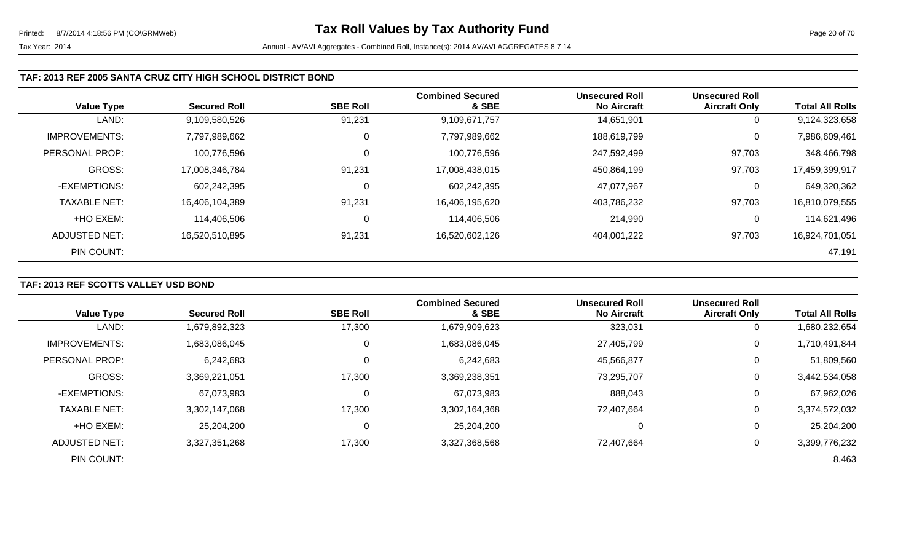| <b>Value Type</b>    | <b>Secured Roll</b> | <b>SBE Roll</b> | <b>Combined Secured</b><br>& SBE | <b>Unsecured Roll</b><br><b>No Aircraft</b> | <b>Unsecured Roll</b><br><b>Aircraft Only</b> | <b>Total All Rolls</b> |
|----------------------|---------------------|-----------------|----------------------------------|---------------------------------------------|-----------------------------------------------|------------------------|
| LAND:                | 9,109,580,526       | 91,231          | 9,109,671,757                    | 14,651,901                                  | O                                             | 9,124,323,658          |
| <b>IMPROVEMENTS:</b> | 7,797,989,662       | 0               | 7,797,989,662                    | 188,619,799                                 | 0                                             | 7,986,609,461          |
| PERSONAL PROP:       | 100,776,596         | $\mathbf 0$     | 100,776,596                      | 247,592,499                                 | 97,703                                        | 348,466,798            |
| <b>GROSS:</b>        | 17,008,346,784      | 91,231          | 17,008,438,015                   | 450,864,199                                 | 97,703                                        | 17,459,399,917         |
| -EXEMPTIONS:         | 602,242,395         | 0               | 602,242,395                      | 47,077,967                                  |                                               | 649,320,362            |
| <b>TAXABLE NET:</b>  | 16,406,104,389      | 91,231          | 16,406,195,620                   | 403,786,232                                 | 97,703                                        | 16,810,079,555         |
| +HO EXEM:            | 114,406,506         | 0               | 114,406,506                      | 214,990                                     |                                               | 114,621,496            |
| ADJUSTED NET:        | 16,520,510,895      | 91,231          | 16,520,602,126                   | 404,001,222                                 | 97,703                                        | 16,924,701,051         |
| PIN COUNT:           |                     |                 |                                  |                                             |                                               | 47,191                 |

### **TAF: 2013 REF SCOTTS VALLEY USD BOND**

|                      |                     |                 | <b>Combined Secured</b> | <b>Unsecured Roll</b> | <b>Unsecured Roll</b> |                        |
|----------------------|---------------------|-----------------|-------------------------|-----------------------|-----------------------|------------------------|
| <b>Value Type</b>    | <b>Secured Roll</b> | <b>SBE Roll</b> | & SBE                   | <b>No Aircraft</b>    | <b>Aircraft Only</b>  | <b>Total All Rolls</b> |
| LAND:                | 1,679,892,323       | 17,300          | 1,679,909,623           | 323,031               | 0                     | 1,680,232,654          |
| <b>IMPROVEMENTS:</b> | 1,683,086,045       | 0               | 1,683,086,045           | 27,405,799            | 0                     | 1,710,491,844          |
| PERSONAL PROP:       | 6,242,683           |                 | 6,242,683               | 45,566,877            | 0                     | 51,809,560             |
| <b>GROSS:</b>        | 3,369,221,051       | 17,300          | 3,369,238,351           | 73,295,707            | 0                     | 3,442,534,058          |
| -EXEMPTIONS:         | 67,073,983          | C               | 67,073,983              | 888,043               | 0                     | 67,962,026             |
| <b>TAXABLE NET:</b>  | 3,302,147,068       | 17,300          | 3,302,164,368           | 72,407,664            | 0                     | 3,374,572,032          |
| +HO EXEM:            | 25,204,200          | 0               | 25,204,200              |                       | 0                     | 25,204,200             |
| ADJUSTED NET:        | 3,327,351,268       | 17,300          | 3,327,368,568           | 72,407,664            | 0                     | 3,399,776,232          |
| PIN COUNT:           |                     |                 |                         |                       |                       | 8,463                  |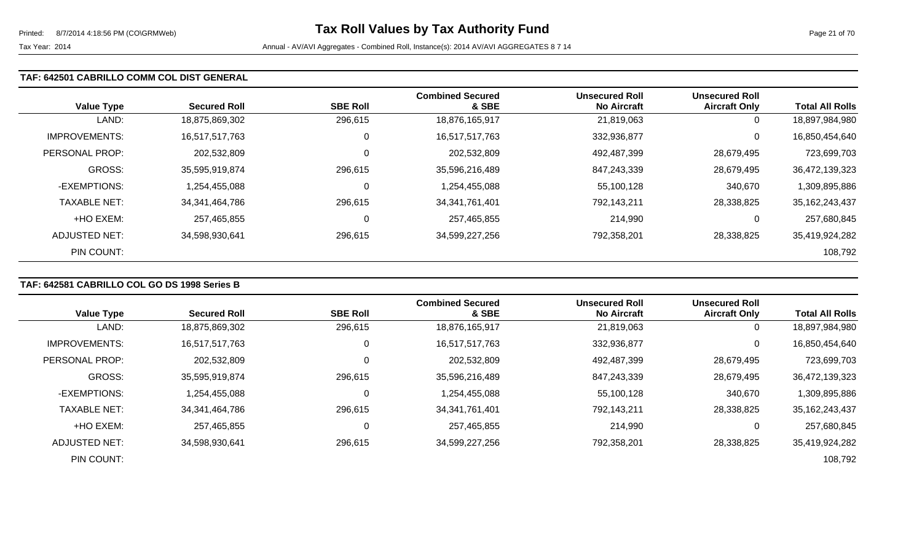#### **TAF: 642501 CABRILLO COMM COL DIST GENERAL**

| <b>Value Type</b>    | <b>Secured Roll</b> | <b>SBE Roll</b> | <b>Combined Secured</b><br>& SBE | <b>Unsecured Roll</b><br><b>No Aircraft</b> | <b>Unsecured Roll</b><br><b>Aircraft Only</b> | <b>Total All Rolls</b> |
|----------------------|---------------------|-----------------|----------------------------------|---------------------------------------------|-----------------------------------------------|------------------------|
| LAND:                | 18,875,869,302      | 296,615         | 18,876,165,917                   | 21,819,063                                  | 0                                             | 18,897,984,980         |
| <b>IMPROVEMENTS:</b> | 16,517,517,763      | 0               | 16,517,517,763                   | 332,936,877                                 | 0                                             | 16,850,454,640         |
| PERSONAL PROP:       | 202,532,809         | 0               | 202,532,809                      | 492,487,399                                 | 28,679,495                                    | 723,699,703            |
| <b>GROSS:</b>        | 35,595,919,874      | 296,615         | 35,596,216,489                   | 847,243,339                                 | 28,679,495                                    | 36,472,139,323         |
| -EXEMPTIONS:         | 1,254,455,088       |                 | 1,254,455,088                    | 55,100,128                                  | 340,670                                       | 1,309,895,886          |
| <b>TAXABLE NET:</b>  | 34,341,464,786      | 296,615         | 34, 341, 761, 401                | 792,143,211                                 | 28,338,825                                    | 35, 162, 243, 437      |
| +HO EXEM:            | 257,465,855         |                 | 257,465,855                      | 214,990                                     | 0                                             | 257,680,845            |
| ADJUSTED NET:        | 34,598,930,641      | 296,615         | 34,599,227,256                   | 792,358,201                                 | 28,338,825                                    | 35,419,924,282         |
| PIN COUNT:           |                     |                 |                                  |                                             |                                               | 108,792                |

### **TAF: 642581 CABRILLO COL GO DS 1998 Series B**

| <b>Value Type</b>    | <b>Secured Roll</b> | <b>SBE Roll</b> | <b>Combined Secured</b><br>& SBE | <b>Unsecured Roll</b><br><b>No Aircraft</b> | <b>Unsecured Roll</b><br><b>Aircraft Only</b> | <b>Total All Rolls</b> |
|----------------------|---------------------|-----------------|----------------------------------|---------------------------------------------|-----------------------------------------------|------------------------|
| LAND:                | 18,875,869,302      | 296,615         | 18,876,165,917                   | 21,819,063                                  | 0                                             | 18,897,984,980         |
| <b>IMPROVEMENTS:</b> | 16,517,517,763      | 0               | 16,517,517,763                   | 332,936,877                                 | 0                                             | 16,850,454,640         |
| PERSONAL PROP:       | 202,532,809         | 0               | 202,532,809                      | 492,487,399                                 | 28,679,495                                    | 723,699,703            |
| <b>GROSS:</b>        | 35,595,919,874      | 296,615         | 35,596,216,489                   | 847,243,339                                 | 28,679,495                                    | 36,472,139,323         |
| -EXEMPTIONS:         | 1,254,455,088       | 0               | 1,254,455,088                    | 55,100,128                                  | 340,670                                       | 1,309,895,886          |
| <b>TAXABLE NET:</b>  | 34.341.464.786      | 296,615         | 34, 341, 761, 401                | 792,143,211                                 | 28,338,825                                    | 35, 162, 243, 437      |
| +HO EXEM:            | 257,465,855         | 0               | 257,465,855                      | 214,990                                     | 0                                             | 257,680,845            |
| ADJUSTED NET:        | 34,598,930,641      | 296,615         | 34,599,227,256                   | 792,358,201                                 | 28,338,825                                    | 35,419,924,282         |
| PIN COUNT:           |                     |                 |                                  |                                             |                                               | 108,792                |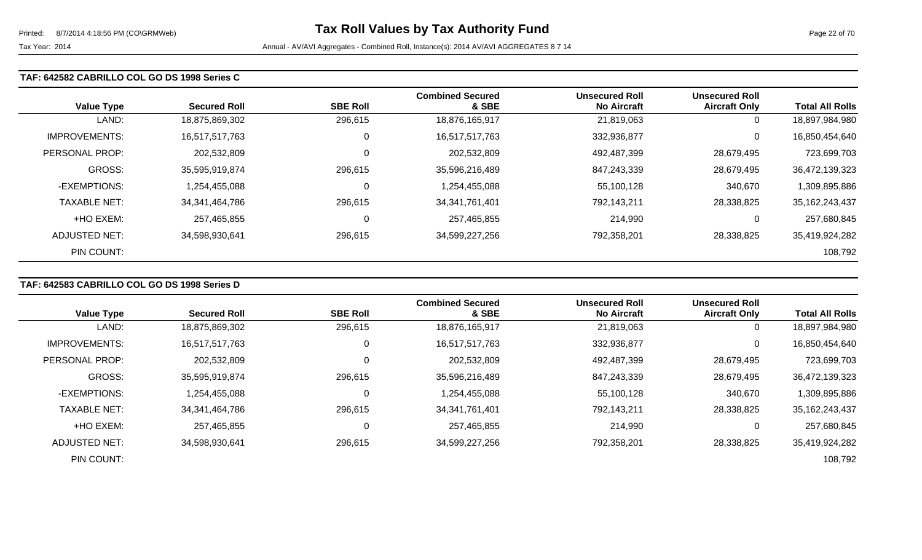#### **TAF: 642582 CABRILLO COL GO DS 1998 Series C**

| <b>Value Type</b>    | <b>Secured Roll</b> | <b>SBE Roll</b> | <b>Combined Secured</b><br>& SBE | <b>Unsecured Roll</b><br><b>No Aircraft</b> | <b>Unsecured Roll</b><br><b>Aircraft Only</b> | <b>Total All Rolls</b> |
|----------------------|---------------------|-----------------|----------------------------------|---------------------------------------------|-----------------------------------------------|------------------------|
| LAND:                | 18,875,869,302      | 296,615         | 18,876,165,917                   | 21,819,063                                  | 0                                             | 18,897,984,980         |
| <b>IMPROVEMENTS:</b> | 16,517,517,763      | 0               | 16,517,517,763                   | 332,936,877                                 | 0                                             | 16,850,454,640         |
| PERSONAL PROP:       | 202,532,809         | 0               | 202,532,809                      | 492,487,399                                 | 28,679,495                                    | 723,699,703            |
| <b>GROSS:</b>        | 35,595,919,874      | 296,615         | 35,596,216,489                   | 847,243,339                                 | 28,679,495                                    | 36,472,139,323         |
| -EXEMPTIONS:         | 1,254,455,088       | 0               | 1,254,455,088                    | 55,100,128                                  | 340,670                                       | 1,309,895,886          |
| <b>TAXABLE NET:</b>  | 34, 341, 464, 786   | 296,615         | 34, 341, 761, 401                | 792,143,211                                 | 28,338,825                                    | 35, 162, 243, 437      |
| +HO EXEM:            | 257,465,855         | 0               | 257,465,855                      | 214,990                                     | 0                                             | 257,680,845            |
| <b>ADJUSTED NET:</b> | 34,598,930,641      | 296,615         | 34,599,227,256                   | 792,358,201                                 | 28,338,825                                    | 35,419,924,282         |
| PIN COUNT:           |                     |                 |                                  |                                             |                                               | 108,792                |

### **TAF: 642583 CABRILLO COL GO DS 1998 Series D**

|                      |                     |                 | <b>Combined Secured</b> | <b>Unsecured Roll</b> | <b>Unsecured Roll</b> |                        |
|----------------------|---------------------|-----------------|-------------------------|-----------------------|-----------------------|------------------------|
| <b>Value Type</b>    | <b>Secured Roll</b> | <b>SBE Roll</b> | & SBE                   | <b>No Aircraft</b>    | <b>Aircraft Only</b>  | <b>Total All Rolls</b> |
| LAND:                | 18,875,869,302      | 296,615         | 18,876,165,917          | 21,819,063            | 0                     | 18,897,984,980         |
| <b>IMPROVEMENTS:</b> | 16,517,517,763      | 0               | 16,517,517,763          | 332,936,877           | 0                     | 16,850,454,640         |
| PERSONAL PROP:       | 202,532,809         |                 | 202,532,809             | 492,487,399           | 28,679,495            | 723,699,703            |
| GROSS:               | 35,595,919,874      | 296,615         | 35,596,216,489          | 847,243,339           | 28,679,495            | 36,472,139,323         |
| -EXEMPTIONS:         | 1,254,455,088       |                 | 1,254,455,088           | 55,100,128            | 340,670               | 1,309,895,886          |
| <b>TAXABLE NET:</b>  | 34,341,464,786      | 296,615         | 34, 341, 761, 401       | 792,143,211           | 28,338,825            | 35, 162, 243, 437      |
| +HO EXEM:            | 257,465,855         | 0               | 257,465,855             | 214,990               | 0                     | 257,680,845            |
| ADJUSTED NET:        | 34,598,930,641      | 296,615         | 34,599,227,256          | 792,358,201           | 28,338,825            | 35,419,924,282         |
| PIN COUNT:           |                     |                 |                         |                       |                       | 108,792                |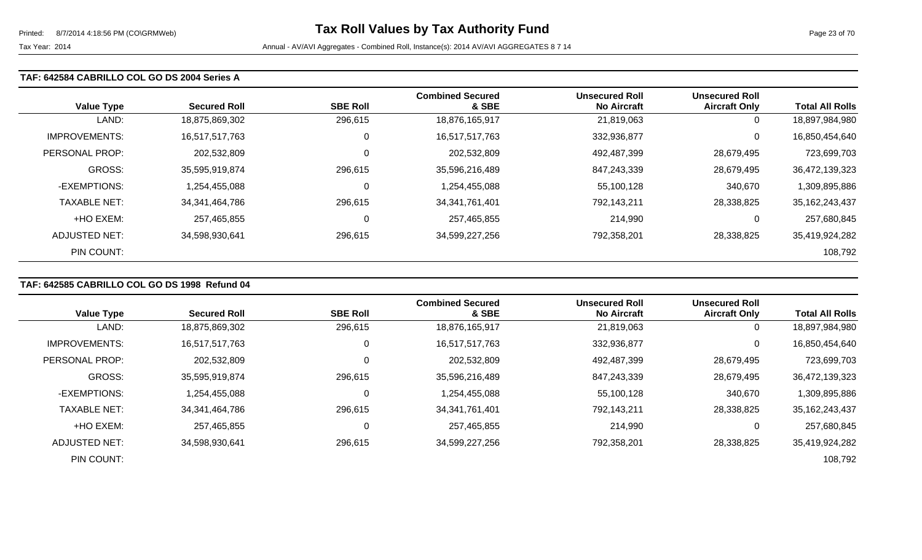#### **TAF: 642584 CABRILLO COL GO DS 2004 Series A**

| <b>Value Type</b>    | <b>Secured Roll</b> | <b>SBE Roll</b> | <b>Combined Secured</b><br>& SBE | <b>Unsecured Roll</b><br><b>No Aircraft</b> | <b>Unsecured Roll</b><br><b>Aircraft Only</b> | <b>Total All Rolls</b> |
|----------------------|---------------------|-----------------|----------------------------------|---------------------------------------------|-----------------------------------------------|------------------------|
| LAND:                | 18,875,869,302      | 296,615         | 18,876,165,917                   | 21,819,063                                  | 0                                             | 18,897,984,980         |
| <b>IMPROVEMENTS:</b> | 16,517,517,763      | 0               | 16,517,517,763                   | 332,936,877                                 | 0                                             | 16,850,454,640         |
| PERSONAL PROP:       | 202,532,809         | $\mathbf 0$     | 202,532,809                      | 492,487,399                                 | 28,679,495                                    | 723,699,703            |
| GROSS:               | 35,595,919,874      | 296,615         | 35,596,216,489                   | 847,243,339                                 | 28,679,495                                    | 36,472,139,323         |
| -EXEMPTIONS:         | 1,254,455,088       | 0               | 1,254,455,088                    | 55,100,128                                  | 340,670                                       | 1,309,895,886          |
| <b>TAXABLE NET:</b>  | 34,341,464,786      | 296,615         | 34, 341, 761, 401                | 792.143.211                                 | 28,338,825                                    | 35, 162, 243, 437      |
| +HO EXEM:            | 257,465,855         | 0               | 257,465,855                      | 214,990                                     | 0                                             | 257,680,845            |
| ADJUSTED NET:        | 34,598,930,641      | 296,615         | 34,599,227,256                   | 792.358.201                                 | 28,338,825                                    | 35,419,924,282         |
| PIN COUNT:           |                     |                 |                                  |                                             |                                               | 108,792                |

### **TAF: 642585 CABRILLO COL GO DS 1998 Refund 04**

|                      |                     |                 | <b>Combined Secured</b> | <b>Unsecured Roll</b> | <b>Unsecured Roll</b> |                        |
|----------------------|---------------------|-----------------|-------------------------|-----------------------|-----------------------|------------------------|
| <b>Value Type</b>    | <b>Secured Roll</b> | <b>SBE Roll</b> | & SBE                   | <b>No Aircraft</b>    | <b>Aircraft Only</b>  | <b>Total All Rolls</b> |
| LAND:                | 18,875,869,302      | 296,615         | 18,876,165,917          | 21,819,063            | $\mathbf 0$           | 18,897,984,980         |
| <b>IMPROVEMENTS:</b> | 16,517,517,763      | 0               | 16,517,517,763          | 332,936,877           | 0                     | 16,850,454,640         |
| PERSONAL PROP:       | 202,532,809         |                 | 202,532,809             | 492,487,399           | 28,679,495            | 723,699,703            |
| GROSS:               | 35,595,919,874      | 296,615         | 35,596,216,489          | 847,243,339           | 28,679,495            | 36,472,139,323         |
| -EXEMPTIONS:         | 1,254,455,088       |                 | 1,254,455,088           | 55,100,128            | 340,670               | 1,309,895,886          |
| <b>TAXABLE NET:</b>  | 34,341,464,786      | 296,615         | 34, 341, 761, 401       | 792,143,211           | 28,338,825            | 35, 162, 243, 437      |
| +HO EXEM:            | 257,465,855         | C               | 257,465,855             | 214,990               | 0                     | 257,680,845            |
| ADJUSTED NET:        | 34,598,930,641      | 296,615         | 34,599,227,256          | 792,358,201           | 28,338,825            | 35,419,924,282         |
| PIN COUNT:           |                     |                 |                         |                       |                       | 108,792                |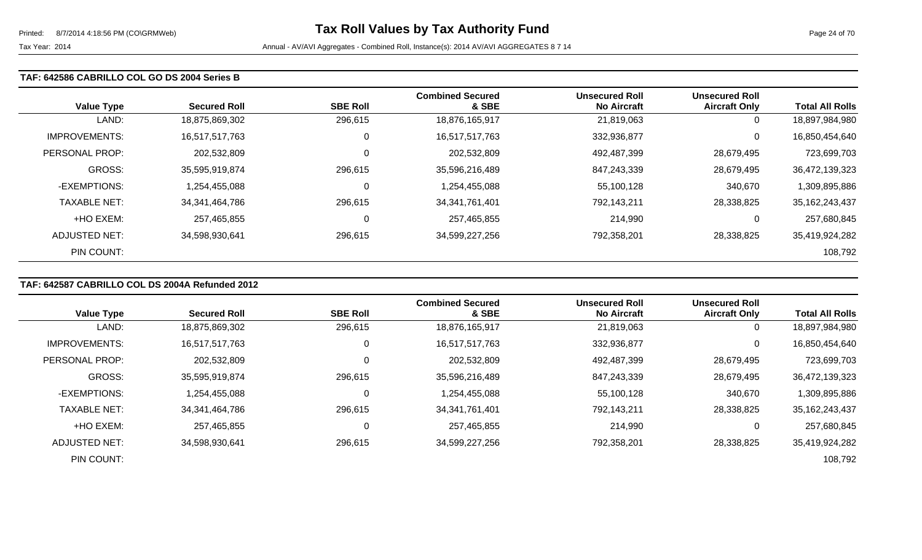#### **TAF: 642586 CABRILLO COL GO DS 2004 Series B**

| <b>Value Type</b>    | <b>Secured Roll</b> | <b>SBE Roll</b> | <b>Combined Secured</b><br>& SBE | <b>Unsecured Roll</b><br><b>No Aircraft</b> | <b>Unsecured Roll</b><br><b>Aircraft Only</b> | <b>Total All Rolls</b> |
|----------------------|---------------------|-----------------|----------------------------------|---------------------------------------------|-----------------------------------------------|------------------------|
| LAND:                | 18,875,869,302      | 296,615         | 18,876,165,917                   | 21,819,063                                  | 0                                             | 18,897,984,980         |
| <b>IMPROVEMENTS:</b> | 16,517,517,763      | 0               | 16,517,517,763                   | 332,936,877                                 | 0                                             | 16,850,454,640         |
| PERSONAL PROP:       | 202,532,809         | 0               | 202,532,809                      | 492,487,399                                 | 28,679,495                                    | 723,699,703            |
| <b>GROSS:</b>        | 35,595,919,874      | 296,615         | 35,596,216,489                   | 847,243,339                                 | 28,679,495                                    | 36,472,139,323         |
| -EXEMPTIONS:         | 1.254.455.088       | 0               | 1,254,455,088                    | 55,100,128                                  | 340,670                                       | 1,309,895,886          |
| <b>TAXABLE NET:</b>  | 34, 341, 464, 786   | 296,615         | 34, 341, 761, 401                | 792,143,211                                 | 28,338,825                                    | 35, 162, 243, 437      |
| +HO EXEM:            | 257,465,855         | 0               | 257,465,855                      | 214,990                                     | 0                                             | 257,680,845            |
| ADJUSTED NET:        | 34,598,930,641      | 296,615         | 34,599,227,256                   | 792,358,201                                 | 28,338,825                                    | 35,419,924,282         |
| PIN COUNT:           |                     |                 |                                  |                                             |                                               | 108,792                |

#### **TAF: 642587 CABRILLO COL DS 2004A Refunded 2012**

|                      |                     |                 | <b>Combined Secured</b> | <b>Unsecured Roll</b> | <b>Unsecured Roll</b> |                        |
|----------------------|---------------------|-----------------|-------------------------|-----------------------|-----------------------|------------------------|
| <b>Value Type</b>    | <b>Secured Roll</b> | <b>SBE Roll</b> | & SBE                   | <b>No Aircraft</b>    | <b>Aircraft Only</b>  | <b>Total All Rolls</b> |
| LAND:                | 18,875,869,302      | 296,615         | 18,876,165,917          | 21,819,063            | $\mathbf 0$           | 18,897,984,980         |
| <b>IMPROVEMENTS:</b> | 16,517,517,763      | 0               | 16,517,517,763          | 332,936,877           | 0                     | 16,850,454,640         |
| PERSONAL PROP:       | 202,532,809         |                 | 202,532,809             | 492,487,399           | 28,679,495            | 723,699,703            |
| GROSS:               | 35,595,919,874      | 296,615         | 35,596,216,489          | 847,243,339           | 28,679,495            | 36,472,139,323         |
| -EXEMPTIONS:         | 1,254,455,088       |                 | 1,254,455,088           | 55,100,128            | 340,670               | 1,309,895,886          |
| <b>TAXABLE NET:</b>  | 34,341,464,786      | 296,615         | 34, 341, 761, 401       | 792,143,211           | 28,338,825            | 35, 162, 243, 437      |
| +HO EXEM:            | 257,465,855         | C               | 257,465,855             | 214,990               | 0                     | 257,680,845            |
| ADJUSTED NET:        | 34,598,930,641      | 296,615         | 34,599,227,256          | 792,358,201           | 28,338,825            | 35,419,924,282         |
| PIN COUNT:           |                     |                 |                         |                       |                       | 108,792                |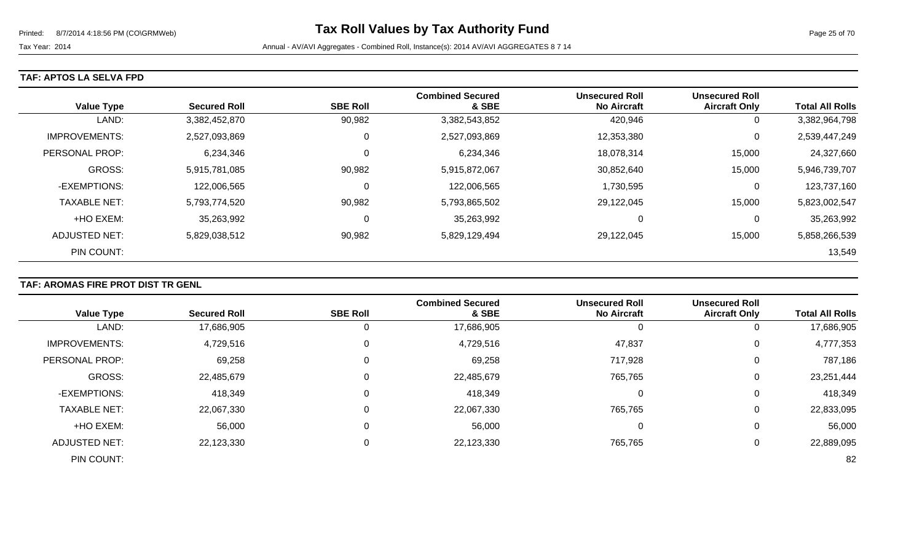#### **TAF: APTOS LA SELVA FPD**

| <b>Value Type</b>    | <b>Secured Roll</b> | <b>SBE Roll</b> | <b>Combined Secured</b><br>& SBE | <b>Unsecured Roll</b><br><b>No Aircraft</b> | <b>Unsecured Roll</b><br><b>Aircraft Only</b> | <b>Total All Rolls</b> |
|----------------------|---------------------|-----------------|----------------------------------|---------------------------------------------|-----------------------------------------------|------------------------|
| LAND:                | 3,382,452,870       | 90,982          | 3,382,543,852                    | 420,946                                     | 0                                             | 3,382,964,798          |
| <b>IMPROVEMENTS:</b> | 2,527,093,869       | 0               | 2,527,093,869                    | 12,353,380                                  | 0                                             | 2,539,447,249          |
| PERSONAL PROP:       | 6,234,346           | 0               | 6,234,346                        | 18,078,314                                  | 15,000                                        | 24,327,660             |
| <b>GROSS:</b>        | 5,915,781,085       | 90,982          | 5,915,872,067                    | 30,852,640                                  | 15,000                                        | 5,946,739,707          |
| -EXEMPTIONS:         | 122,006,565         | 0               | 122,006,565                      | 1,730,595                                   | 0                                             | 123,737,160            |
| <b>TAXABLE NET:</b>  | 5,793,774,520       | 90,982          | 5,793,865,502                    | 29,122,045                                  | 15,000                                        | 5,823,002,547          |
| +HO EXEM:            | 35,263,992          | 0               | 35,263,992                       | 0                                           | 0                                             | 35,263,992             |
| ADJUSTED NET:        | 5,829,038,512       | 90,982          | 5,829,129,494                    | 29,122,045                                  | 15,000                                        | 5,858,266,539          |
| PIN COUNT:           |                     |                 |                                  |                                             |                                               | 13,549                 |

### **TAF: AROMAS FIRE PROT DIST TR GENL**

|                      |                     |                 | <b>Combined Secured</b> | <b>Unsecured Roll</b> | <b>Unsecured Roll</b> |                        |
|----------------------|---------------------|-----------------|-------------------------|-----------------------|-----------------------|------------------------|
| <b>Value Type</b>    | <b>Secured Roll</b> | <b>SBE Roll</b> | & SBE                   | <b>No Aircraft</b>    | <b>Aircraft Only</b>  | <b>Total All Rolls</b> |
| LAND:                | 17,686,905          |                 | 17,686,905              | 0                     | 0                     | 17,686,905             |
| <b>IMPROVEMENTS:</b> | 4,729,516           |                 | 4,729,516               | 47,837                | 0                     | 4,777,353              |
| PERSONAL PROP:       | 69,258              |                 | 69,258                  | 717,928               | 0                     | 787,186                |
| <b>GROSS:</b>        | 22,485,679          |                 | 22,485,679              | 765,765               | 0                     | 23,251,444             |
| -EXEMPTIONS:         | 418,349             | 0               | 418,349                 | 0                     | $\mathbf 0$           | 418,349                |
| <b>TAXABLE NET:</b>  | 22,067,330          |                 | 22,067,330              | 765,765               | 0                     | 22,833,095             |
| +HO EXEM:            | 56,000              |                 | 56,000                  | 0                     | 0                     | 56,000                 |
| <b>ADJUSTED NET:</b> | 22,123,330          |                 | 22,123,330              | 765,765               | 0                     | 22,889,095             |
| PIN COUNT:           |                     |                 |                         |                       |                       | 82                     |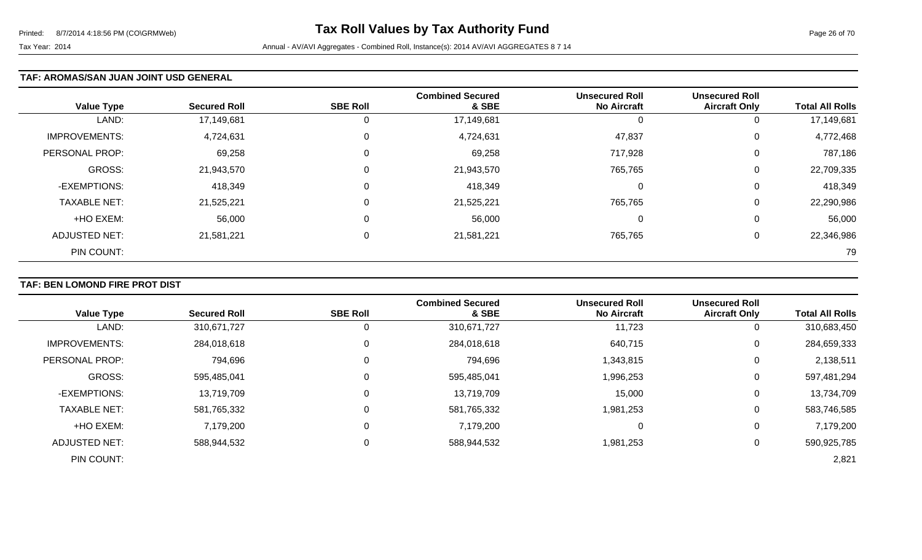#### **TAF: AROMAS/SAN JUAN JOINT USD GENERAL**

| <b>Value Type</b>    | <b>Secured Roll</b> | <b>SBE Roll</b> | <b>Combined Secured</b><br>& SBE | <b>Unsecured Roll</b><br><b>No Aircraft</b> | <b>Unsecured Roll</b><br><b>Aircraft Only</b> | <b>Total All Rolls</b> |
|----------------------|---------------------|-----------------|----------------------------------|---------------------------------------------|-----------------------------------------------|------------------------|
| LAND:                | 17,149,681          |                 | 17,149,681                       |                                             | 0                                             | 17,149,681             |
| <b>IMPROVEMENTS:</b> | 4,724,631           | $\Omega$        | 4,724,631                        | 47,837                                      | 0                                             | 4,772,468              |
| PERSONAL PROP:       | 69,258              | $\Omega$        | 69,258                           | 717,928                                     | 0                                             | 787,186                |
| <b>GROSS:</b>        | 21,943,570          | $\Omega$        | 21,943,570                       | 765,765                                     | 0                                             | 22,709,335             |
| -EXEMPTIONS:         | 418,349             |                 | 418,349                          |                                             | 0                                             | 418,349                |
| <b>TAXABLE NET:</b>  | 21,525,221          | 0               | 21,525,221                       | 765,765                                     | 0                                             | 22,290,986             |
| +HO EXEM:            | 56,000              | $\Omega$        | 56,000                           |                                             | 0                                             | 56,000                 |
| ADJUSTED NET:        | 21,581,221          | $\Omega$        | 21,581,221                       | 765,765                                     | 0                                             | 22,346,986             |
| PIN COUNT:           |                     |                 |                                  |                                             |                                               | 79                     |

### **TAF: BEN LOMOND FIRE PROT DIST**

|                       |                     |                 | <b>Combined Secured</b> | <b>Unsecured Roll</b> | <b>Unsecured Roll</b> |                        |
|-----------------------|---------------------|-----------------|-------------------------|-----------------------|-----------------------|------------------------|
| <b>Value Type</b>     | <b>Secured Roll</b> | <b>SBE Roll</b> | & SBE                   | <b>No Aircraft</b>    | <b>Aircraft Only</b>  | <b>Total All Rolls</b> |
| LAND:                 | 310,671,727         | 0               | 310,671,727             | 11,723                |                       | 310,683,450            |
| <b>IMPROVEMENTS:</b>  | 284,018,618         | 0               | 284,018,618             | 640,715               | 0                     | 284,659,333            |
| <b>PERSONAL PROP:</b> | 794,696             | 0               | 794,696                 | 343,815               | 0                     | 2,138,511              |
| <b>GROSS:</b>         | 595,485,041         | 0               | 595,485,041             | 1,996,253             | 0                     | 597,481,294            |
| -EXEMPTIONS:          | 13,719,709          | $\mathbf 0$     | 13,719,709              | 15,000                | 0                     | 13,734,709             |
| <b>TAXABLE NET:</b>   | 581,765,332         | 0               | 581,765,332             | 1,981,253             | 0                     | 583,746,585            |
| +HO EXEM:             | 7,179,200           | 0               | 7,179,200               | 0                     | 0                     | 7,179,200              |
| <b>ADJUSTED NET:</b>  | 588,944,532         | 0               | 588,944,532             | 1,981,253             | 0                     | 590,925,785            |
| PIN COUNT:            |                     |                 |                         |                       |                       | 2,821                  |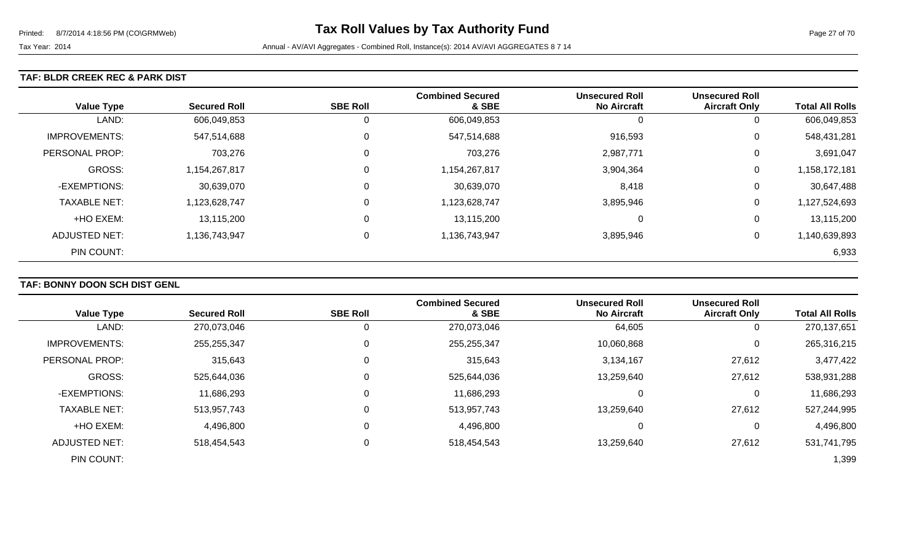#### **TAF: BLDR CREEK REC & PARK DIST**

| <b>Value Type</b>    | <b>Secured Roll</b> | <b>SBE Roll</b> | <b>Combined Secured</b><br>& SBE | <b>Unsecured Roll</b><br><b>No Aircraft</b> | <b>Unsecured Roll</b><br><b>Aircraft Only</b> | <b>Total All Rolls</b> |
|----------------------|---------------------|-----------------|----------------------------------|---------------------------------------------|-----------------------------------------------|------------------------|
| LAND:                | 606,049,853         | 0               | 606,049,853                      | -0                                          | 0                                             | 606,049,853            |
| <b>IMPROVEMENTS:</b> | 547,514,688         | $\mathbf 0$     | 547,514,688                      | 916,593                                     | 0                                             | 548,431,281            |
| PERSONAL PROP:       | 703,276             | 0               | 703,276                          | 2,987,771                                   | 0                                             | 3,691,047              |
| <b>GROSS:</b>        | 1,154,267,817       | $\Omega$        | 1,154,267,817                    | 3,904,364                                   | 0                                             | 1,158,172,181          |
| -EXEMPTIONS:         | 30,639,070          | $\mathbf 0$     | 30,639,070                       | 8,418                                       | 0                                             | 30,647,488             |
| <b>TAXABLE NET:</b>  | 1,123,628,747       | $\Omega$        | 1,123,628,747                    | 3,895,946                                   | 0                                             | 1,127,524,693          |
| +HO EXEM:            | 13,115,200          | 0               | 13,115,200                       | $\Omega$                                    | 0                                             | 13,115,200             |
| <b>ADJUSTED NET:</b> | 1,136,743,947       | 0               | 1,136,743,947                    | 3,895,946                                   | 0                                             | 1,140,639,893          |
| PIN COUNT:           |                     |                 |                                  |                                             |                                               | 6,933                  |

### **TAF: BONNY DOON SCH DIST GENL**

|                      |                     |                 | <b>Combined Secured</b> | <b>Unsecured Roll</b> | <b>Unsecured Roll</b> |                        |
|----------------------|---------------------|-----------------|-------------------------|-----------------------|-----------------------|------------------------|
| <b>Value Type</b>    | <b>Secured Roll</b> | <b>SBE Roll</b> | & SBE                   | <b>No Aircraft</b>    | <b>Aircraft Only</b>  | <b>Total All Rolls</b> |
| LAND:                | 270,073,046         |                 | 270,073,046             | 64,605                | 0                     | 270,137,651            |
| <b>IMPROVEMENTS:</b> | 255,255,347         |                 | 255,255,347             | 10,060,868            | 0                     | 265,316,215            |
| PERSONAL PROP:       | 315,643             |                 | 315,643                 | 3,134,167             | 27,612                | 3,477,422              |
| GROSS:               | 525,644,036         |                 | 525,644,036             | 13,259,640            | 27,612                | 538,931,288            |
| -EXEMPTIONS:         | 11,686,293          |                 | 11,686,293              |                       | 0                     | 11,686,293             |
| <b>TAXABLE NET:</b>  | 513,957,743         |                 | 513,957,743             | 13,259,640            | 27,612                | 527,244,995            |
| +HO EXEM:            | 4,496,800           |                 | 4,496,800               | υ                     | 0                     | 4,496,800              |
| <b>ADJUSTED NET:</b> | 518,454,543         |                 | 518,454,543             | 13,259,640            | 27,612                | 531,741,795            |
| PIN COUNT:           |                     |                 |                         |                       |                       | 1,399                  |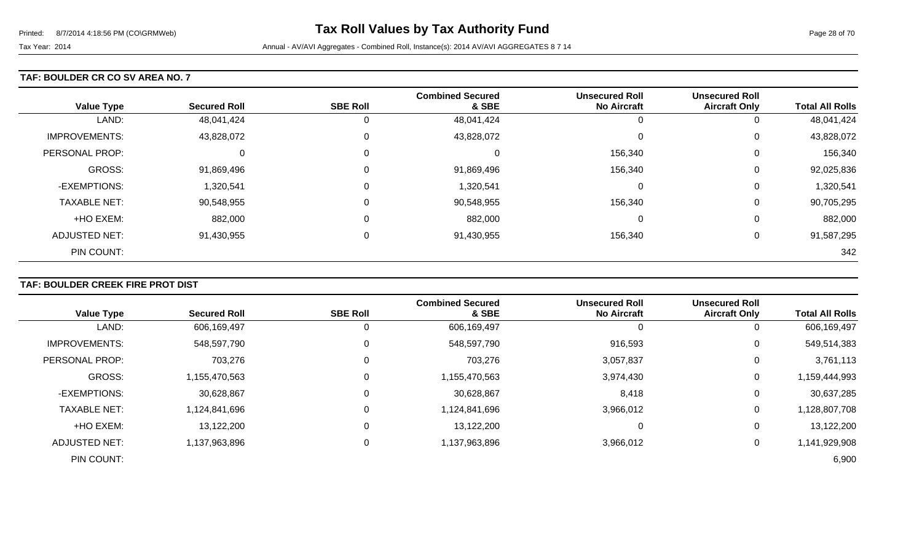#### **TAF: BOULDER CR CO SV AREA NO. 7**

| <b>Value Type</b>    | <b>Secured Roll</b> | <b>SBE Roll</b> | <b>Combined Secured</b><br>& SBE | <b>Unsecured Roll</b><br><b>No Aircraft</b> | <b>Unsecured Roll</b><br><b>Aircraft Only</b> | <b>Total All Rolls</b> |
|----------------------|---------------------|-----------------|----------------------------------|---------------------------------------------|-----------------------------------------------|------------------------|
| LAND:                | 48,041,424          |                 | 48,041,424                       |                                             | 0                                             | 48,041,424             |
| <b>IMPROVEMENTS:</b> | 43,828,072          | $\Omega$        | 43,828,072                       | ∩                                           | 0                                             | 43,828,072             |
| PERSONAL PROP:       | 0                   |                 | 0                                | 156,340                                     | 0                                             | 156,340                |
| <b>GROSS:</b>        | 91,869,496          | $\Omega$        | 91,869,496                       | 156,340                                     | 0                                             | 92,025,836             |
| -EXEMPTIONS:         | 1,320,541           |                 | 1,320,541                        |                                             | 0                                             | 1,320,541              |
| <b>TAXABLE NET:</b>  | 90,548,955          | $\Omega$        | 90,548,955                       | 156,340                                     | 0                                             | 90,705,295             |
| +HO EXEM:            | 882,000             |                 | 882,000                          | $\Omega$                                    | 0                                             | 882,000                |
| ADJUSTED NET:        | 91,430,955          |                 | 91,430,955                       | 156,340                                     | 0                                             | 91,587,295             |
| PIN COUNT:           |                     |                 |                                  |                                             |                                               | 342                    |

### **TAF: BOULDER CREEK FIRE PROT DIST**

|                       | <b>Secured Roll</b> | <b>SBE Roll</b> | <b>Combined Secured</b><br>& SBE | <b>Unsecured Roll</b><br><b>No Aircraft</b> | <b>Unsecured Roll</b> |                        |
|-----------------------|---------------------|-----------------|----------------------------------|---------------------------------------------|-----------------------|------------------------|
| <b>Value Type</b>     |                     |                 |                                  |                                             | <b>Aircraft Only</b>  | <b>Total All Rolls</b> |
| LAND:                 | 606,169,497         | 0               | 606,169,497                      |                                             | 0                     | 606,169,497            |
| <b>IMPROVEMENTS:</b>  | 548,597,790         | 0               | 548,597,790                      | 916,593                                     | 0                     | 549,514,383            |
| <b>PERSONAL PROP:</b> | 703,276             | 0               | 703,276                          | 3,057,837                                   | 0                     | 3,761,113              |
| <b>GROSS:</b>         | 1,155,470,563       | 0               | 1,155,470,563                    | 3,974,430                                   | 0                     | 1,159,444,993          |
| -EXEMPTIONS:          | 30,628,867          | 0               | 30,628,867                       | 8,418                                       | 0                     | 30,637,285             |
| <b>TAXABLE NET:</b>   | 1,124,841,696       | 0               | 1,124,841,696                    | 3,966,012                                   | 0                     | 1,128,807,708          |
| +HO EXEM:             | 13,122,200          | 0               | 13,122,200                       | 0                                           | 0                     | 13,122,200             |
| <b>ADJUSTED NET:</b>  | 1,137,963,896       | 0               | 1,137,963,896                    | 3,966,012                                   | 0                     | 1,141,929,908          |
| PIN COUNT:            |                     |                 |                                  |                                             |                       | 6,900                  |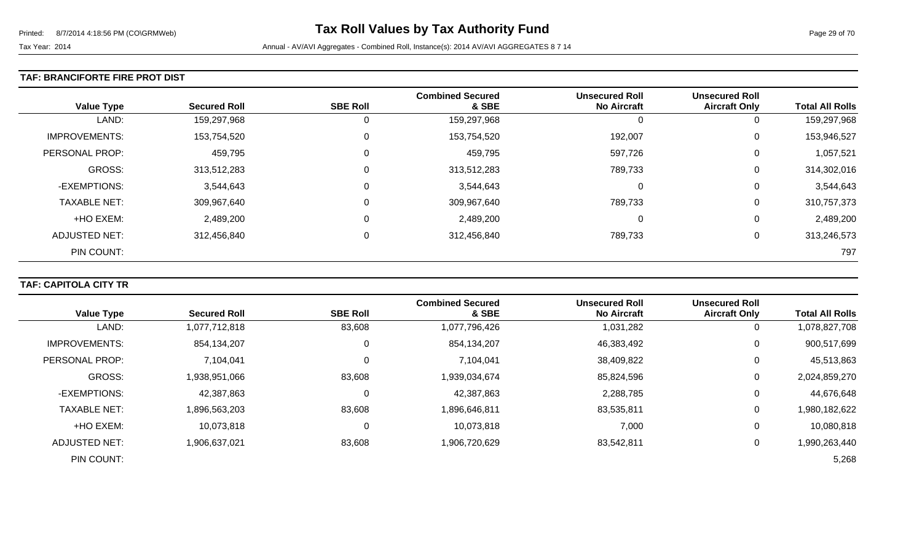#### **TAF: BRANCIFORTE FIRE PROT DIST**

| <b>Value Type</b>    | <b>Secured Roll</b> | <b>SBE Roll</b> | <b>Combined Secured</b><br>& SBE | <b>Unsecured Roll</b><br><b>No Aircraft</b> | <b>Unsecured Roll</b><br><b>Aircraft Only</b> | <b>Total All Rolls</b> |
|----------------------|---------------------|-----------------|----------------------------------|---------------------------------------------|-----------------------------------------------|------------------------|
| LAND:                | 159,297,968         | 0               | 159,297,968                      |                                             | 0                                             | 159,297,968            |
| <b>IMPROVEMENTS:</b> | 153,754,520         | $\overline{0}$  | 153,754,520                      | 192,007                                     | 0                                             | 153,946,527            |
| PERSONAL PROP:       | 459,795             | $\overline{0}$  | 459,795                          | 597,726                                     | 0                                             | 1,057,521              |
| <b>GROSS:</b>        | 313,512,283         | $\overline{0}$  | 313,512,283                      | 789,733                                     | 0                                             | 314,302,016            |
| -EXEMPTIONS:         | 3,544,643           | 0               | 3,544,643                        | 0                                           | 0                                             | 3,544,643              |
| <b>TAXABLE NET:</b>  | 309,967,640         | $\overline{0}$  | 309,967,640                      | 789,733                                     | 0                                             | 310,757,373            |
| +HO EXEM:            | 2,489,200           | $\mathbf 0$     | 2,489,200                        | 0                                           | 0                                             | 2,489,200              |
| <b>ADJUSTED NET:</b> | 312,456,840         | $\overline{0}$  | 312,456,840                      | 789,733                                     | 0                                             | 313,246,573            |
| PIN COUNT:           |                     |                 |                                  |                                             |                                               | 797                    |

### **TAF: CAPITOLA CITY TR**

|                      |                     |                 | <b>Combined Secured</b> | <b>Unsecured Roll</b> | <b>Unsecured Roll</b> |                        |
|----------------------|---------------------|-----------------|-------------------------|-----------------------|-----------------------|------------------------|
| <b>Value Type</b>    | <b>Secured Roll</b> | <b>SBE Roll</b> | & SBE                   | <b>No Aircraft</b>    | <b>Aircraft Only</b>  | <b>Total All Rolls</b> |
| LAND:                | 1,077,712,818       | 83,608          | 1,077,796,426           | 1,031,282             | 0                     | 1,078,827,708          |
| <b>IMPROVEMENTS:</b> | 854,134,207         | 0               | 854,134,207             | 46,383,492            | 0                     | 900,517,699            |
| PERSONAL PROP:       | 7,104,041           | 0               | 7,104,041               | 38,409,822            | $\mathbf 0$           | 45,513,863             |
| <b>GROSS:</b>        | 1,938,951,066       | 83,608          | 1,939,034,674           | 85,824,596            | $\mathbf 0$           | 2,024,859,270          |
| -EXEMPTIONS:         | 42,387,863          | 0               | 42,387,863              | 2,288,785             | 0                     | 44,676,648             |
| <b>TAXABLE NET:</b>  | 1,896,563,203       | 83,608          | 1,896,646,811           | 83,535,811            | 0                     | ,980,182,622           |
| +HO EXEM:            | 10,073,818          | 0               | 10,073,818              | 7,000                 | 0                     | 10,080,818             |
| ADJUSTED NET:        | 1,906,637,021       | 83,608          | 1,906,720,629           | 83,542,811            | $\mathbf 0$           | 1,990,263,440          |
| PIN COUNT:           |                     |                 |                         |                       |                       | 5,268                  |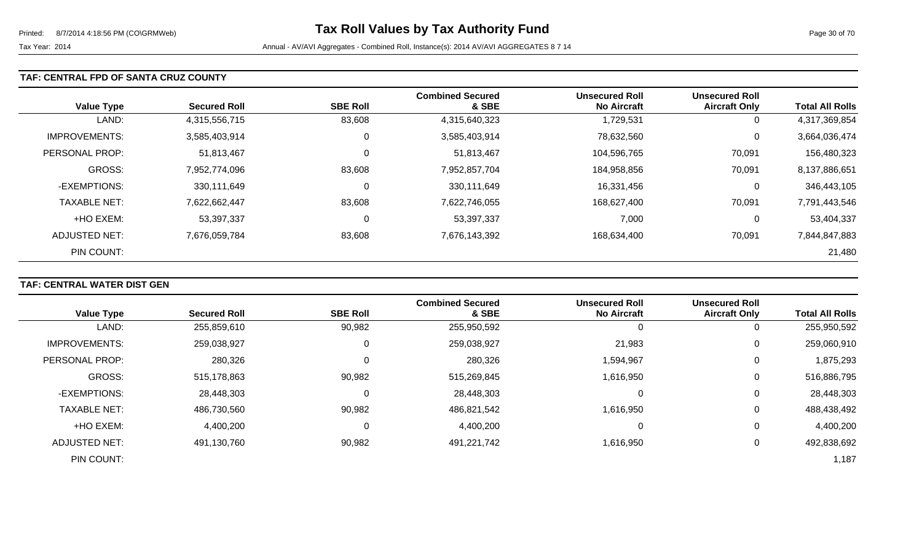#### **TAF: CENTRAL FPD OF SANTA CRUZ COUNTY**

| <b>Value Type</b>    | <b>Secured Roll</b> | <b>SBE Roll</b> | <b>Combined Secured</b><br>& SBE | Unsecured Roll<br><b>No Aircraft</b> | <b>Unsecured Roll</b><br><b>Aircraft Only</b> | <b>Total All Rolls</b> |
|----------------------|---------------------|-----------------|----------------------------------|--------------------------------------|-----------------------------------------------|------------------------|
| LAND:                | 4,315,556,715       | 83,608          | 4,315,640,323                    | 1,729,531                            | 0                                             | 4,317,369,854          |
| <b>IMPROVEMENTS:</b> | 3,585,403,914       | 0               | 3,585,403,914                    | 78,632,560                           | 0                                             | 3,664,036,474          |
| PERSONAL PROP:       | 51,813,467          | 0               | 51,813,467                       | 104,596,765                          | 70,091                                        | 156,480,323            |
| <b>GROSS:</b>        | 7,952,774,096       | 83,608          | 7,952,857,704                    | 184,958,856                          | 70,091                                        | 8,137,886,651          |
| -EXEMPTIONS:         | 330,111,649         | 0               | 330,111,649                      | 16,331,456                           | 0                                             | 346,443,105            |
| <b>TAXABLE NET:</b>  | 7,622,662,447       | 83,608          | 7,622,746,055                    | 168,627,400                          | 70,091                                        | 7,791,443,546          |
| +HO EXEM:            | 53,397,337          | 0               | 53,397,337                       | 7,000                                | 0                                             | 53,404,337             |
| <b>ADJUSTED NET:</b> | 7,676,059,784       | 83,608          | 7,676,143,392                    | 168,634,400                          | 70,091                                        | 7,844,847,883          |
| PIN COUNT:           |                     |                 |                                  |                                      |                                               | 21,480                 |

### **TAF: CENTRAL WATER DIST GEN**

|                      |                     |                 | <b>Combined Secured</b> | <b>Unsecured Roll</b> | <b>Unsecured Roll</b> |                        |
|----------------------|---------------------|-----------------|-------------------------|-----------------------|-----------------------|------------------------|
| <b>Value Type</b>    | <b>Secured Roll</b> | <b>SBE Roll</b> | & SBE                   | <b>No Aircraft</b>    | <b>Aircraft Only</b>  | <b>Total All Rolls</b> |
| LAND:                | 255,859,610         | 90,982          | 255,950,592             | 0                     | O                     | 255,950,592            |
| <b>IMPROVEMENTS:</b> | 259,038,927         |                 | 259,038,927             | 21,983                | 0                     | 259,060,910            |
| PERSONAL PROP:       | 280,326             | 0               | 280,326                 | 1,594,967             | 0                     | 1,875,293              |
| <b>GROSS:</b>        | 515,178,863         | 90,982          | 515,269,845             | 1,616,950             | 0                     | 516,886,795            |
| -EXEMPTIONS:         | 28,448,303          |                 | 28,448,303              | 0                     | 0                     | 28,448,303             |
| <b>TAXABLE NET:</b>  | 486,730,560         | 90,982          | 486,821,542             | 1,616,950             | 0                     | 488,438,492            |
| +HO EXEM:            | 4,400,200           |                 | 4,400,200               | 0                     | 0                     | 4,400,200              |
| <b>ADJUSTED NET:</b> | 491,130,760         | 90,982          | 491,221,742             | 1,616,950             | 0                     | 492,838,692            |
| PIN COUNT:           |                     |                 |                         |                       |                       | 1,187                  |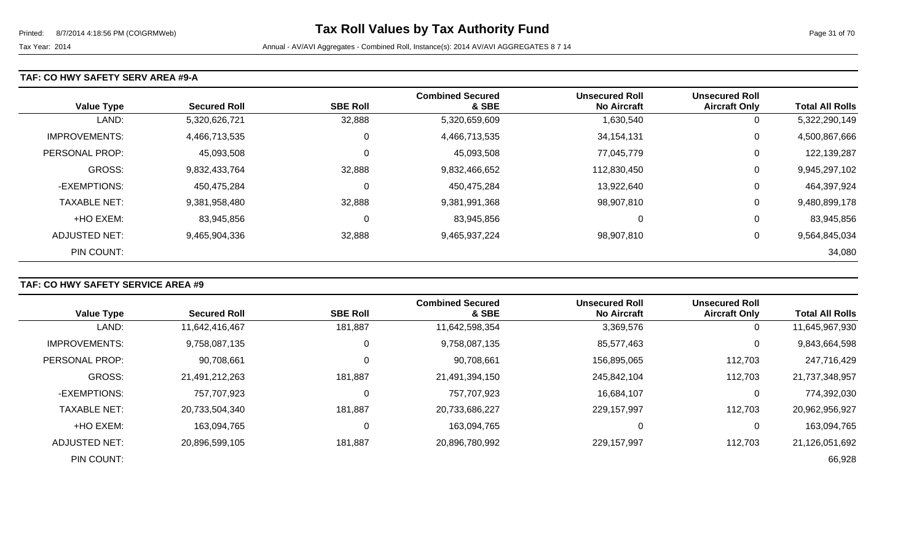#### **TAF: CO HWY SAFETY SERV AREA #9-A**

| <b>Value Type</b>    | <b>Secured Roll</b> | <b>SBE Roll</b> | <b>Combined Secured</b><br>& SBE | <b>Unsecured Roll</b><br><b>No Aircraft</b> | <b>Unsecured Roll</b><br><b>Aircraft Only</b> | <b>Total All Rolls</b> |
|----------------------|---------------------|-----------------|----------------------------------|---------------------------------------------|-----------------------------------------------|------------------------|
| LAND:                | 5,320,626,721       | 32,888          | 5,320,659,609                    | 1,630,540                                   | 0                                             | 5,322,290,149          |
| <b>IMPROVEMENTS:</b> | 4,466,713,535       | 0               | 4,466,713,535                    | 34, 154, 131                                | 0                                             | 4,500,867,666          |
| PERSONAL PROP:       | 45,093,508          | $\overline{0}$  | 45,093,508                       | 77,045,779                                  | 0                                             | 122,139,287            |
| <b>GROSS:</b>        | 9,832,433,764       | 32,888          | 9,832,466,652                    | 112,830,450                                 | 0                                             | 9,945,297,102          |
| -EXEMPTIONS:         | 450,475,284         | 0               | 450,475,284                      | 13,922,640                                  | 0                                             | 464,397,924            |
| <b>TAXABLE NET:</b>  | 9,381,958,480       | 32,888          | 9,381,991,368                    | 98,907,810                                  | 0                                             | 9,480,899,178          |
| +HO EXEM:            | 83,945,856          | 0               | 83,945,856                       | 0                                           | 0                                             | 83,945,856             |
| ADJUSTED NET:        | 9,465,904,336       | 32,888          | 9,465,937,224                    | 98,907,810                                  | 0                                             | 9,564,845,034          |
| PIN COUNT:           |                     |                 |                                  |                                             |                                               | 34,080                 |

### **TAF: CO HWY SAFETY SERVICE AREA #9**

|                      |                     |                 | <b>Combined Secured</b> | <b>Unsecured Roll</b> | <b>Unsecured Roll</b> |                        |
|----------------------|---------------------|-----------------|-------------------------|-----------------------|-----------------------|------------------------|
| <b>Value Type</b>    | <b>Secured Roll</b> | <b>SBE Roll</b> | & SBE                   | <b>No Aircraft</b>    | <b>Aircraft Only</b>  | <b>Total All Rolls</b> |
| LAND:                | 11,642,416,467      | 181,887         | 11,642,598,354          | 3,369,576             | $\mathbf{0}$          | 11,645,967,930         |
| <b>IMPROVEMENTS:</b> | 9,758,087,135       | 0               | 9,758,087,135           | 85,577,463            | 0                     | 9,843,664,598          |
| PERSONAL PROP:       | 90,708,661          | 0               | 90,708,661              | 156,895,065           | 112,703               | 247,716,429            |
| <b>GROSS:</b>        | 21,491,212,263      | 181,887         | 21,491,394,150          | 245,842,104           | 112,703               | 21,737,348,957         |
| -EXEMPTIONS:         | 757,707,923         | $\Omega$        | 757,707,923             | 16,684,107            | $\mathbf 0$           | 774,392,030            |
| <b>TAXABLE NET:</b>  | 20,733,504,340      | 181,887         | 20,733,686,227          | 229,157,997           | 112,703               | 20,962,956,927         |
| +HO EXEM:            | 163,094,765         | 0               | 163,094,765             | 0                     | 0                     | 163,094,765            |
| ADJUSTED NET:        | 20,896,599,105      | 181,887         | 20,896,780,992          | 229,157,997           | 112,703               | 21,126,051,692         |
| PIN COUNT:           |                     |                 |                         |                       |                       | 66,928                 |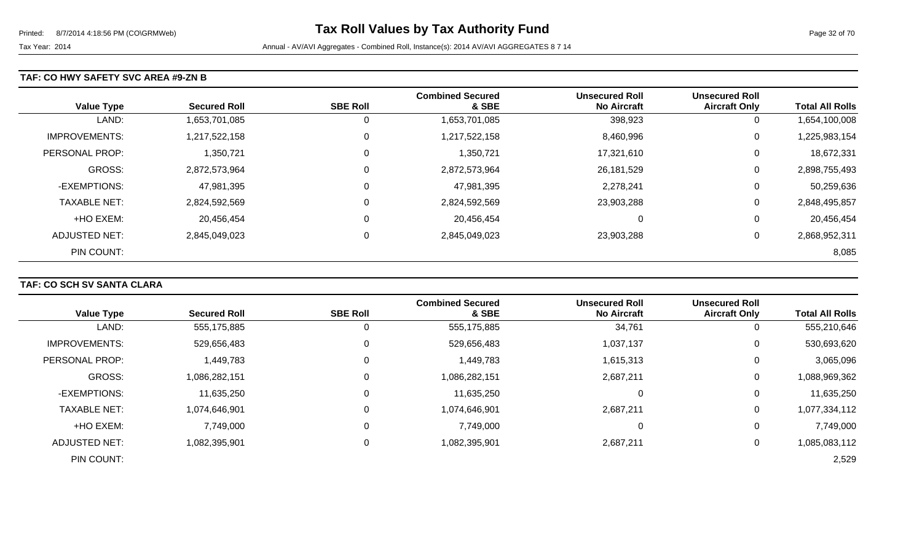#### **TAF: CO HWY SAFETY SVC AREA #9-ZN B**

| <b>Value Type</b>    | <b>Secured Roll</b> | <b>SBE Roll</b> | <b>Combined Secured</b><br>& SBE | <b>Unsecured Roll</b><br><b>No Aircraft</b> | <b>Unsecured Roll</b><br><b>Aircraft Only</b> | <b>Total All Rolls</b> |
|----------------------|---------------------|-----------------|----------------------------------|---------------------------------------------|-----------------------------------------------|------------------------|
| LAND:                | 1,653,701,085       | 0               | 1,653,701,085                    | 398,923                                     | 0                                             | 1,654,100,008          |
| <b>IMPROVEMENTS:</b> | 1,217,522,158       | $\overline{0}$  | 1,217,522,158                    | 8,460,996                                   | 0                                             | 1,225,983,154          |
| PERSONAL PROP:       | 1,350,721           | $\overline{0}$  | 1,350,721                        | 17,321,610                                  | 0                                             | 18,672,331             |
| <b>GROSS:</b>        | 2,872,573,964       | $\overline{0}$  | 2,872,573,964                    | 26,181,529                                  | 0                                             | 2,898,755,493          |
| -EXEMPTIONS:         | 47,981,395          | $\overline{0}$  | 47,981,395                       | 2,278,241                                   | 0                                             | 50,259,636             |
| <b>TAXABLE NET:</b>  | 2,824,592,569       | $\mathbf 0$     | 2,824,592,569                    | 23,903,288                                  | 0                                             | 2,848,495,857          |
| +HO EXEM:            | 20,456,454          | 0               | 20,456,454                       | 0                                           | 0                                             | 20,456,454             |
| ADJUSTED NET:        | 2,845,049,023       | $\mathbf 0$     | 2,845,049,023                    | 23,903,288                                  | 0                                             | 2,868,952,311          |
| PIN COUNT:           |                     |                 |                                  |                                             |                                               | 8,085                  |

### **TAF: CO SCH SV SANTA CLARA**

|                      |                     |                 | <b>Combined Secured</b> | <b>Unsecured Roll</b> | <b>Unsecured Roll</b> |                        |
|----------------------|---------------------|-----------------|-------------------------|-----------------------|-----------------------|------------------------|
| <b>Value Type</b>    | <b>Secured Roll</b> | <b>SBE Roll</b> | & SBE                   | <b>No Aircraft</b>    | <b>Aircraft Only</b>  | <b>Total All Rolls</b> |
| LAND:                | 555,175,885         | O               | 555,175,885             | 34,761                | $\overline{0}$        | 555,210,646            |
| <b>IMPROVEMENTS:</b> | 529,656,483         | 0               | 529,656,483             | 1,037,137             | 0                     | 530,693,620            |
| PERSONAL PROP:       | 1,449,783           | 0               | 1,449,783               | 1,615,313             | 0                     | 3,065,096              |
| <b>GROSS:</b>        | 1,086,282,151       | 0               | 1,086,282,151           | 2,687,211             | 0                     | 1,088,969,362          |
| -EXEMPTIONS:         | 11,635,250          | 0               | 11,635,250              |                       | 0                     | 11,635,250             |
| <b>TAXABLE NET:</b>  | 1,074,646,901       | $\Omega$        | 1,074,646,901           | 2,687,211             | 0                     | 1,077,334,112          |
| +HO EXEM:            | 7,749,000           | $\mathbf{0}$    | 7,749,000               |                       | 0                     | 7,749,000              |
| <b>ADJUSTED NET:</b> | 1,082,395,901       | 0               | 1,082,395,901           | 2,687,211             | 0                     | 1,085,083,112          |
| PIN COUNT:           |                     |                 |                         |                       |                       | 2,529                  |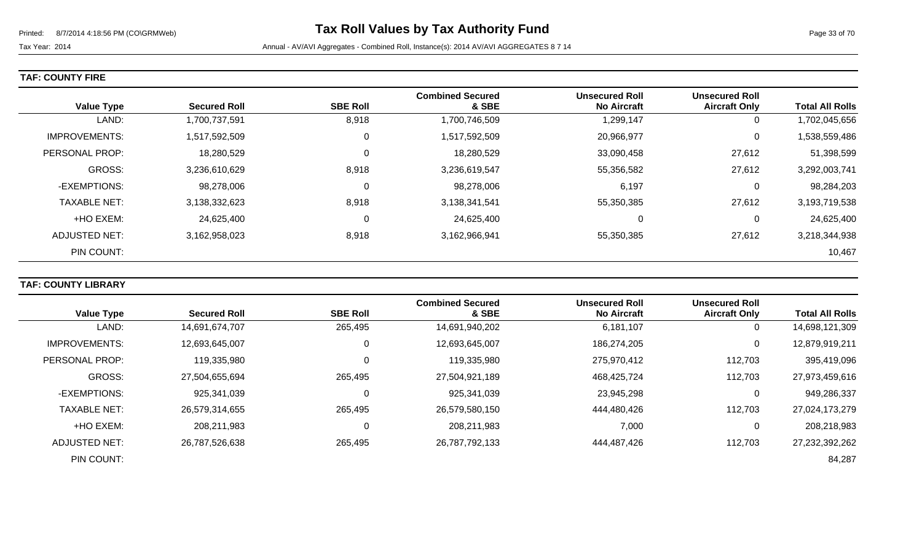| <b>TAF: COUNTY FIRE</b> |  |  |
|-------------------------|--|--|
|-------------------------|--|--|

| <b>Value Type</b>    | <b>Secured Roll</b> | <b>SBE Roll</b> | <b>Combined Secured</b><br>& SBE | <b>Unsecured Roll</b><br><b>No Aircraft</b> | <b>Unsecured Roll</b><br><b>Aircraft Only</b> | <b>Total All Rolls</b> |
|----------------------|---------------------|-----------------|----------------------------------|---------------------------------------------|-----------------------------------------------|------------------------|
| LAND:                | 1,700,737,591       | 8,918           | 1,700,746,509                    | 1,299,147                                   | 0                                             | 1,702,045,656          |
| <b>IMPROVEMENTS:</b> | 1,517,592,509       | $\pmb{0}$       | 1,517,592,509                    | 20,966,977                                  | 0                                             | 1,538,559,486          |
| PERSONAL PROP:       | 18,280,529          | $\Omega$        | 18,280,529                       | 33,090,458                                  | 27,612                                        | 51,398,599             |
| <b>GROSS:</b>        | 3,236,610,629       | 8,918           | 3,236,619,547                    | 55,356,582                                  | 27,612                                        | 3,292,003,741          |
| -EXEMPTIONS:         | 98,278,006          | 0               | 98,278,006                       | 6,197                                       | 0                                             | 98,284,203             |
| <b>TAXABLE NET:</b>  | 3,138,332,623       | 8,918           | 3,138,341,541                    | 55,350,385                                  | 27,612                                        | 3,193,719,538          |
| +HO EXEM:            | 24,625,400          | 0               | 24,625,400                       | 0                                           | 0                                             | 24,625,400             |
| ADJUSTED NET:        | 3,162,958,023       | 8,918           | 3,162,966,941                    | 55,350,385                                  | 27,612                                        | 3,218,344,938          |
| PIN COUNT:           |                     |                 |                                  |                                             |                                               | 10,467                 |

### **TAF: COUNTY LIBRARY**

|                      |                     |                 | <b>Combined Secured</b> | <b>Unsecured Roll</b> | <b>Unsecured Roll</b> |                        |
|----------------------|---------------------|-----------------|-------------------------|-----------------------|-----------------------|------------------------|
| <b>Value Type</b>    | <b>Secured Roll</b> | <b>SBE Roll</b> | & SBE                   | <b>No Aircraft</b>    | <b>Aircraft Only</b>  | <b>Total All Rolls</b> |
| LAND:                | 14,691,674,707      | 265,495         | 14,691,940,202          | 6,181,107             | 0                     | 14,698,121,309         |
| <b>IMPROVEMENTS:</b> | 12,693,645,007      | 0               | 12,693,645,007          | 186,274,205           | 0                     | 12,879,919,211         |
| PERSONAL PROP:       | 119,335,980         | 0               | 119,335,980             | 275,970,412           | 112,703               | 395,419,096            |
| <b>GROSS:</b>        | 27,504,655,694      | 265,495         | 27,504,921,189          | 468,425,724           | 112,703               | 27,973,459,616         |
| -EXEMPTIONS:         | 925,341,039         | $\Omega$        | 925,341,039             | 23,945,298            | 0                     | 949,286,337            |
| <b>TAXABLE NET:</b>  | 26,579,314,655      | 265,495         | 26,579,580,150          | 444.480.426           | 112,703               | 27,024,173,279         |
| +HO EXEM:            | 208,211,983         | 0               | 208,211,983             | 7,000                 | 0                     | 208,218,983            |
| ADJUSTED NET:        | 26,787,526,638      | 265,495         | 26,787,792,133          | 444,487,426           | 112,703               | 27,232,392,262         |
| PIN COUNT:           |                     |                 |                         |                       |                       | 84,287                 |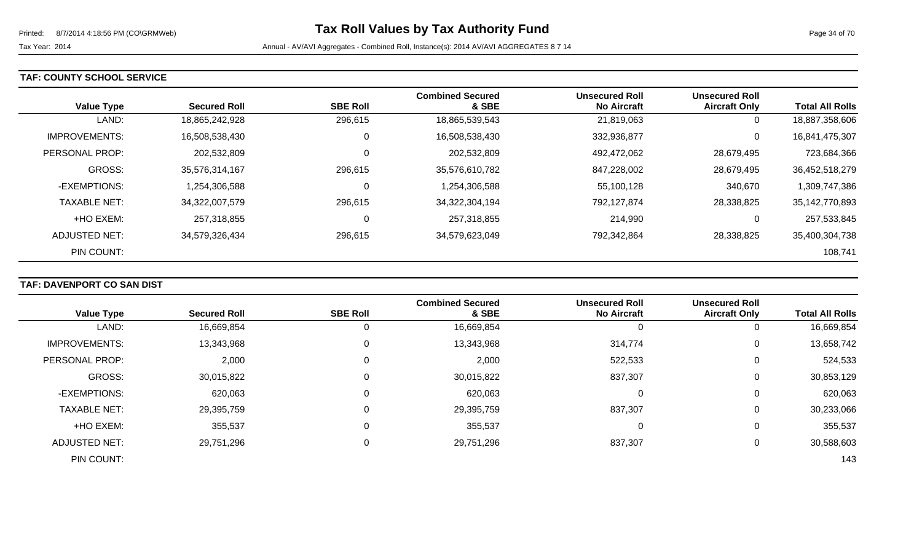#### **TAF: COUNTY SCHOOL SERVICE**

| <b>Value Type</b>    | <b>Secured Roll</b> | <b>SBE Roll</b> | <b>Combined Secured</b><br>& SBE | <b>Unsecured Roll</b><br><b>No Aircraft</b> | <b>Unsecured Roll</b><br><b>Aircraft Only</b> | <b>Total All Rolls</b> |
|----------------------|---------------------|-----------------|----------------------------------|---------------------------------------------|-----------------------------------------------|------------------------|
| LAND:                | 18,865,242,928      | 296,615         | 18,865,539,543                   | 21,819,063                                  | 0                                             | 18,887,358,606         |
| <b>IMPROVEMENTS:</b> | 16,508,538,430      | 0               | 16,508,538,430                   | 332,936,877                                 | 0                                             | 16,841,475,307         |
| PERSONAL PROP:       | 202,532,809         | 0               | 202,532,809                      | 492,472,062                                 | 28,679,495                                    | 723,684,366            |
| <b>GROSS:</b>        | 35,576,314,167      | 296,615         | 35,576,610,782                   | 847,228,002                                 | 28,679,495                                    | 36,452,518,279         |
| -EXEMPTIONS:         | 1,254,306,588       | 0               | 1,254,306,588                    | 55,100,128                                  | 340,670                                       | 1,309,747,386          |
| <b>TAXABLE NET:</b>  | 34,322,007,579      | 296,615         | 34,322,304,194                   | 792,127,874                                 | 28,338,825                                    | 35, 142, 770, 893      |
| +HO EXEM:            | 257,318,855         | 0               | 257,318,855                      | 214,990                                     | 0                                             | 257,533,845            |
| ADJUSTED NET:        | 34,579,326,434      | 296,615         | 34,579,623,049                   | 792,342,864                                 | 28,338,825                                    | 35,400,304,738         |
| PIN COUNT:           |                     |                 |                                  |                                             |                                               | 108,741                |

### **TAF: DAVENPORT CO SAN DIST**

|                      |                     |                 | <b>Combined Secured</b> | <b>Unsecured Roll</b> | <b>Unsecured Roll</b> |                        |
|----------------------|---------------------|-----------------|-------------------------|-----------------------|-----------------------|------------------------|
| <b>Value Type</b>    | <b>Secured Roll</b> | <b>SBE Roll</b> | & SBE                   | <b>No Aircraft</b>    | <b>Aircraft Only</b>  | <b>Total All Rolls</b> |
| LAND:                | 16,669,854          | 0               | 16,669,854              |                       | 0                     | 16,669,854             |
| <b>IMPROVEMENTS:</b> | 13,343,968          | 0               | 13,343,968              | 314,774               | 0                     | 13,658,742             |
| PERSONAL PROP:       | 2,000               | 0               | 2,000                   | 522,533               | $\overline{0}$        | 524,533                |
| GROSS:               | 30,015,822          | 0               | 30,015,822              | 837,307               | 0                     | 30,853,129             |
| -EXEMPTIONS:         | 620,063             | 0               | 620,063                 | 0                     | 0                     | 620,063                |
| <b>TAXABLE NET:</b>  | 29,395,759          | 0               | 29,395,759              | 837,307               | 0                     | 30,233,066             |
| +HO EXEM:            | 355,537             | $\mathbf 0$     | 355,537                 | 0                     | 0                     | 355,537                |
| <b>ADJUSTED NET:</b> | 29,751,296          | 0               | 29,751,296              | 837,307               | $\mathbf 0$           | 30,588,603             |
| PIN COUNT:           |                     |                 |                         |                       |                       | 143                    |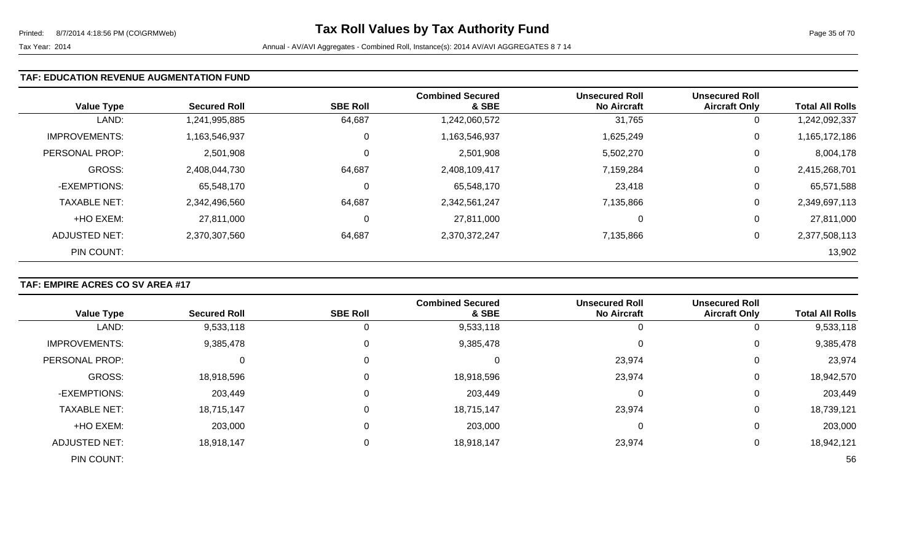#### **TAF: EDUCATION REVENUE AUGMENTATION FUND**

| <b>Value Type</b>    | <b>Secured Roll</b> | <b>SBE Roll</b> | <b>Combined Secured</b><br>& SBE | <b>Unsecured Roll</b><br><b>No Aircraft</b> | <b>Unsecured Roll</b><br><b>Aircraft Only</b> | <b>Total All Rolls</b> |
|----------------------|---------------------|-----------------|----------------------------------|---------------------------------------------|-----------------------------------------------|------------------------|
| LAND:                | 1,241,995,885       | 64,687          | 1,242,060,572                    | 31,765                                      | 0                                             | 1,242,092,337          |
| <b>IMPROVEMENTS:</b> | 1,163,546,937       | 0               | 1,163,546,937                    | 1,625,249                                   | 0                                             | 1,165,172,186          |
| PERSONAL PROP:       | 2,501,908           | 0               | 2,501,908                        | 5,502,270                                   | 0                                             | 8,004,178              |
| GROSS:               | 2,408,044,730       | 64,687          | 2,408,109,417                    | 7,159,284                                   | 0                                             | 2,415,268,701          |
| -EXEMPTIONS:         | 65,548,170          | 0               | 65,548,170                       | 23,418                                      | 0                                             | 65,571,588             |
| <b>TAXABLE NET:</b>  | 2,342,496,560       | 64,687          | 2,342,561,247                    | 7,135,866                                   | 0                                             | 2,349,697,113          |
| +HO EXEM:            | 27,811,000          | 0               | 27,811,000                       | 0                                           | 0                                             | 27,811,000             |
| ADJUSTED NET:        | 2,370,307,560       | 64,687          | 2,370,372,247                    | 7,135,866                                   | 0                                             | 2,377,508,113          |
| PIN COUNT:           |                     |                 |                                  |                                             |                                               | 13,902                 |

#### **TAF: EMPIRE ACRES CO SV AREA #17**

|                      |                     |                 | <b>Combined Secured</b> | <b>Unsecured Roll</b> | <b>Unsecured Roll</b> |                        |
|----------------------|---------------------|-----------------|-------------------------|-----------------------|-----------------------|------------------------|
| <b>Value Type</b>    | <b>Secured Roll</b> | <b>SBE Roll</b> | & SBE                   | <b>No Aircraft</b>    | <b>Aircraft Only</b>  | <b>Total All Rolls</b> |
| LAND:                | 9,533,118           | 0               | 9,533,118               | 0                     |                       | 9,533,118              |
| <b>IMPROVEMENTS:</b> | 9,385,478           | 0               | 9,385,478               | 0                     | 0                     | 9,385,478              |
| PERSONAL PROP:       |                     | 0               | 0                       | 23,974                | 0                     | 23,974                 |
| <b>GROSS:</b>        | 18,918,596          | 0               | 18,918,596              | 23,974                | 0                     | 18,942,570             |
| -EXEMPTIONS:         | 203,449             | 0               | 203,449                 | 0                     | 0                     | 203,449                |
| <b>TAXABLE NET:</b>  | 18,715,147          | 0               | 18,715,147              | 23,974                | 0                     | 18,739,121             |
| +HO EXEM:            | 203,000             | 0               | 203,000                 | 0                     | 0                     | 203,000                |
| <b>ADJUSTED NET:</b> | 18,918,147          | 0               | 18,918,147              | 23,974                | 0                     | 18,942,121             |
| PIN COUNT:           |                     |                 |                         |                       |                       | 56                     |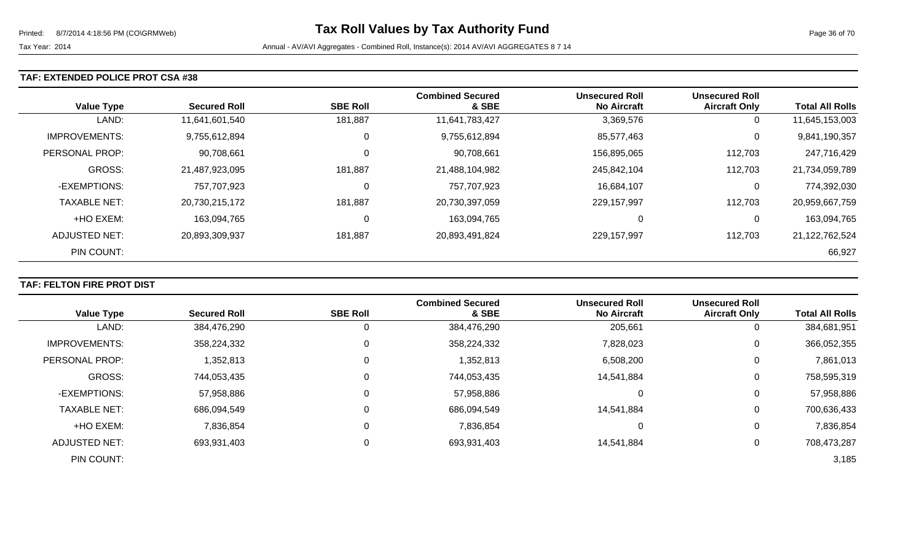#### **TAF: EXTENDED POLICE PROT CSA #38**

| <b>Value Type</b>    | <b>Secured Roll</b> | <b>SBE Roll</b> | <b>Combined Secured</b><br>& SBE | <b>Unsecured Roll</b><br><b>No Aircraft</b> | <b>Unsecured Roll</b><br><b>Aircraft Only</b> | <b>Total All Rolls</b> |
|----------------------|---------------------|-----------------|----------------------------------|---------------------------------------------|-----------------------------------------------|------------------------|
| LAND:                | 11,641,601,540      | 181,887         | 11,641,783,427                   | 3,369,576                                   | 0                                             | 11,645,153,003         |
| <b>IMPROVEMENTS:</b> | 9,755,612,894       | $\mathbf 0$     | 9,755,612,894                    | 85,577,463                                  | 0                                             | 9,841,190,357          |
| PERSONAL PROP:       | 90,708,661          | $\mathbf 0$     | 90,708,661                       | 156,895,065                                 | 112,703                                       | 247,716,429            |
| GROSS:               | 21,487,923,095      | 181,887         | 21,488,104,982                   | 245,842,104                                 | 112,703                                       | 21,734,059,789         |
| -EXEMPTIONS:         | 757,707,923         | 0               | 757,707,923                      | 16,684,107                                  | 0                                             | 774,392,030            |
| <b>TAXABLE NET:</b>  | 20,730,215,172      | 181,887         | 20,730,397,059                   | 229,157,997                                 | 112,703                                       | 20,959,667,759         |
| +HO EXEM:            | 163.094.765         | 0               | 163,094,765                      | 0                                           | 0                                             | 163,094,765            |
| <b>ADJUSTED NET:</b> | 20,893,309,937      | 181,887         | 20,893,491,824                   | 229,157,997                                 | 112,703                                       | 21,122,762,524         |
| PIN COUNT:           |                     |                 |                                  |                                             |                                               | 66,927                 |

### **TAF: FELTON FIRE PROT DIST**

|                      |                     |                 | <b>Combined Secured</b> | <b>Unsecured Roll</b> | <b>Unsecured Roll</b> |                        |
|----------------------|---------------------|-----------------|-------------------------|-----------------------|-----------------------|------------------------|
| <b>Value Type</b>    | <b>Secured Roll</b> | <b>SBE Roll</b> | & SBE                   | <b>No Aircraft</b>    | <b>Aircraft Only</b>  | <b>Total All Rolls</b> |
| LAND:                | 384,476,290         | 0               | 384,476,290             | 205,661               | 0                     | 384,681,951            |
| <b>IMPROVEMENTS:</b> | 358,224,332         | 0               | 358,224,332             | 7,828,023             | 0                     | 366,052,355            |
| PERSONAL PROP:       | 1,352,813           | 0               | 1,352,813               | 6,508,200             | 0                     | 7,861,013              |
| <b>GROSS:</b>        | 744,053,435         | 0               | 744,053,435             | 14,541,884            | 0                     | 758,595,319            |
| -EXEMPTIONS:         | 57,958,886          | 0               | 57,958,886              |                       | 0                     | 57,958,886             |
| <b>TAXABLE NET:</b>  | 686,094,549         | 0               | 686,094,549             | 14,541,884            | 0                     | 700,636,433            |
| +HO EXEM:            | 7,836,854           | 0               | 7,836,854               |                       | 0                     | 7,836,854              |
| <b>ADJUSTED NET:</b> | 693,931,403         | 0               | 693,931,403             | 14,541,884            | 0                     | 708,473,287            |
| PIN COUNT:           |                     |                 |                         |                       |                       | 3,185                  |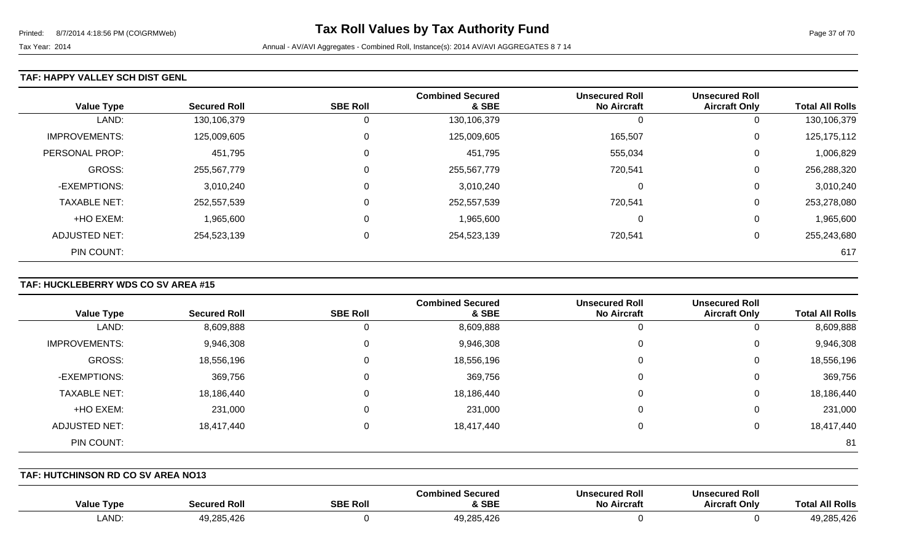#### **TAF: HAPPY VALLEY SCH DIST GENL**

| <b>Value Type</b>    | <b>Secured Roll</b> | <b>SBE Roll</b> | <b>Combined Secured</b><br>& SBE | <b>Unsecured Roll</b><br><b>No Aircraft</b> | <b>Unsecured Roll</b><br><b>Aircraft Only</b> | <b>Total All Rolls</b> |
|----------------------|---------------------|-----------------|----------------------------------|---------------------------------------------|-----------------------------------------------|------------------------|
| LAND:                | 130,106,379         | 0               | 130,106,379                      | U                                           | 0                                             | 130,106,379            |
| <b>IMPROVEMENTS:</b> | 125,009,605         | 0               | 125,009,605                      | 165,507                                     | 0                                             | 125, 175, 112          |
| PERSONAL PROP:       | 451,795             | 0               | 451,795                          | 555,034                                     | 0                                             | 1,006,829              |
| <b>GROSS:</b>        | 255,567,779         | 0               | 255,567,779                      | 720,541                                     | 0                                             | 256,288,320            |
| -EXEMPTIONS:         | 3,010,240           | 0               | 3,010,240                        | 0                                           | 0                                             | 3,010,240              |
| <b>TAXABLE NET:</b>  | 252,557,539         | 0               | 252,557,539                      | 720,541                                     | 0                                             | 253,278,080            |
| +HO EXEM:            | 1,965,600           | 0               | 1,965,600                        | 0                                           | 0                                             | 1,965,600              |
| ADJUSTED NET:        | 254,523,139         | 0               | 254,523,139                      | 720,541                                     | 0                                             | 255,243,680            |
| PIN COUNT:           |                     |                 |                                  |                                             |                                               | 617                    |

### **TAF: HUCKLEBERRY WDS CO SV AREA #15**

|                     |                     |                 | <b>Combined Secured</b> | <b>Unsecured Roll</b> | <b>Unsecured Roll</b> |                        |
|---------------------|---------------------|-----------------|-------------------------|-----------------------|-----------------------|------------------------|
| <b>Value Type</b>   | <b>Secured Roll</b> | <b>SBE Roll</b> | & SBE                   | <b>No Aircraft</b>    | <b>Aircraft Only</b>  | <b>Total All Rolls</b> |
| LAND:               | 8,609,888           | U               | 8,609,888               | 0                     | O                     | 8,609,888              |
| IMPROVEMENTS:       | 9,946,308           | 0               | 9,946,308               | 0                     | 0                     | 9,946,308              |
| GROSS:              | 18,556,196          | 0               | 18,556,196              | 0                     | 0                     | 18,556,196             |
| -EXEMPTIONS:        | 369,756             | 0               | 369,756                 | 0                     | 0                     | 369,756                |
| <b>TAXABLE NET:</b> | 18,186,440          |                 | 18,186,440              | 0                     | 0                     | 18,186,440             |
| +HO EXEM:           | 231,000             | 0               | 231,000                 | 0                     | 0                     | 231,000                |
| ADJUSTED NET:       | 18,417,440          | 0               | 18,417,440              | 0                     | 0                     | 18,417,440             |
| PIN COUNT:          |                     |                 |                         |                       |                       | 81                     |

**TAF: HUTCHINSON RD CO SV AREA NO13** 

| Value Type  | <b>Secured Roll</b> | <b>SBE Roll</b> | Combined Secured<br><b>&amp; SBE</b> | <b>Unsecured Roll</b><br><b>No Aircraft</b> | <b>Unsecured Roll</b><br><b>Aircraft Only</b> | <b>All Rolls</b><br>Гоtа      |
|-------------|---------------------|-----------------|--------------------------------------|---------------------------------------------|-----------------------------------------------|-------------------------------|
| <b>LAND</b> | 49,285,426          |                 | 49.285<br>19,285,426                 |                                             |                                               | 49,285,42 $\prime$<br>285.426 |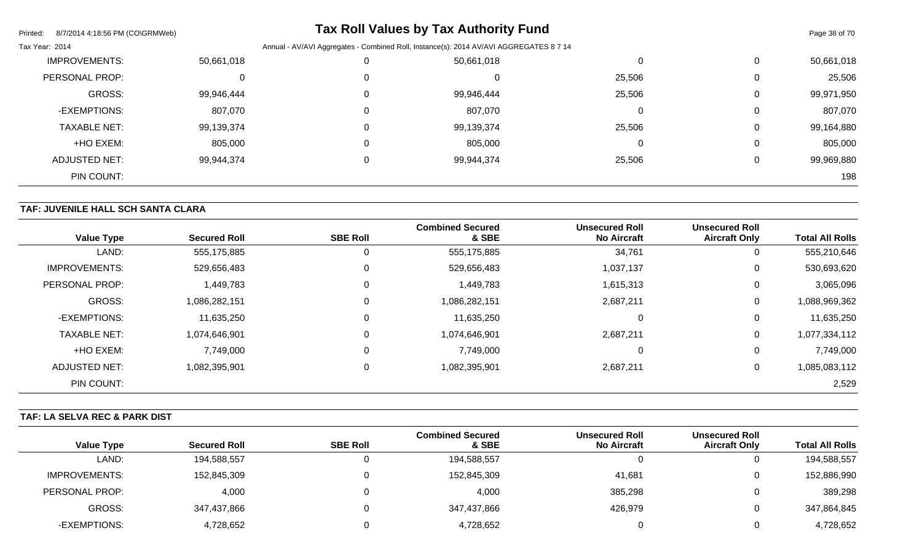| Printed:<br>8/7/2014 4:18:56 PM (CO\GRMWeb) |            | <b>Tax Roll Values by Tax Authority Fund</b>                                           |        |                | Page 38 of 70 |
|---------------------------------------------|------------|----------------------------------------------------------------------------------------|--------|----------------|---------------|
| Tax Year: 2014                              |            | Annual - AV/AVI Aggregates - Combined Roll, Instance(s): 2014 AV/AVI AGGREGATES 8 7 14 |        |                |               |
| <b>IMPROVEMENTS:</b>                        | 50,661,018 | 50,661,018                                                                             | 0      | 0              | 50,661,018    |
| PERSONAL PROP:                              |            | 0                                                                                      | 25,506 | 0              | 25,506        |
| <b>GROSS:</b>                               | 99,946,444 | 99,946,444                                                                             | 25,506 | 0              | 99,971,950    |
| -EXEMPTIONS:                                | 807,070    | 807,070                                                                                | 0      | 0              | 807,070       |
| <b>TAXABLE NET:</b>                         | 99,139,374 | 99,139,374                                                                             | 25,506 | 0              | 99,164,880    |
| +HO EXEM:                                   | 805,000    | 805,000                                                                                | 0      | $\mathbf{0}$   | 805,000       |
| ADJUSTED NET:                               | 99,944,374 | 99,944,374                                                                             | 25,506 | $\overline{0}$ | 99,969,880    |
| PIN COUNT:                                  |            |                                                                                        |        |                | 198           |

# **TAF: JUVENILE HALL SCH SANTA CLARA**

| <b>Value Type</b>    | <b>Secured Roll</b> | <b>SBE Roll</b> | <b>Combined Secured</b><br>& SBE | <b>Unsecured Roll</b><br><b>No Aircraft</b> | <b>Unsecured Roll</b><br><b>Aircraft Only</b> | <b>Total All Rolls</b> |
|----------------------|---------------------|-----------------|----------------------------------|---------------------------------------------|-----------------------------------------------|------------------------|
| LAND:                | 555,175,885         | 0               | 555,175,885                      | 34,761                                      | 0                                             | 555,210,646            |
| <b>IMPROVEMENTS:</b> | 529,656,483         | 0               | 529,656,483                      | 1,037,137                                   | 0                                             | 530,693,620            |
| PERSONAL PROP:       | 1,449,783           | 0               | 1,449,783                        | 1,615,313                                   | 0                                             | 3,065,096              |
| <b>GROSS:</b>        | 1,086,282,151       | $\mathbf 0$     | 1,086,282,151                    | 2,687,211                                   | 0                                             | 1,088,969,362          |
| -EXEMPTIONS:         | 11,635,250          | 0               | 11,635,250                       |                                             | 0                                             | 11,635,250             |
| <b>TAXABLE NET:</b>  | 1,074,646,901       | $\mathbf 0$     | 1,074,646,901                    | 2,687,211                                   | 0                                             | 1,077,334,112          |
| +HO EXEM:            | 7,749,000           | 0               | 7,749,000                        |                                             | 0                                             | 7,749,000              |
| <b>ADJUSTED NET:</b> | 1,082,395,901       | $\mathbf 0$     | 1,082,395,901                    | 2,687,211                                   | 0                                             | 1,085,083,112          |
| PIN COUNT:           |                     |                 |                                  |                                             |                                               | 2,529                  |

## **TAF: LA SELVA REC & PARK DIST**

|                   |                     |                 | <b>Combined Secured</b> | <b>Unsecured Roll</b> | <b>Unsecured Roll</b> |                        |
|-------------------|---------------------|-----------------|-------------------------|-----------------------|-----------------------|------------------------|
| <b>Value Type</b> | <b>Secured Roll</b> | <b>SBE Roll</b> | & SBE                   | <b>No Aircraft</b>    | <b>Aircraft Only</b>  | <b>Total All Rolls</b> |
| LAND:             | 194,588,557         |                 | 194,588,557             |                       |                       | 194,588,557            |
| IMPROVEMENTS:     | 152,845,309         |                 | 152,845,309             | 41,681                |                       | 152,886,990            |
| PERSONAL PROP:    | 4,000               |                 | 4,000                   | 385,298               |                       | 389,298                |
| GROSS:            | 347,437,866         |                 | 347,437,866             | 426,979               |                       | 347,864,845            |
| -EXEMPTIONS:      | 4,728,652           |                 | 4,728,652               |                       |                       | 4,728,652              |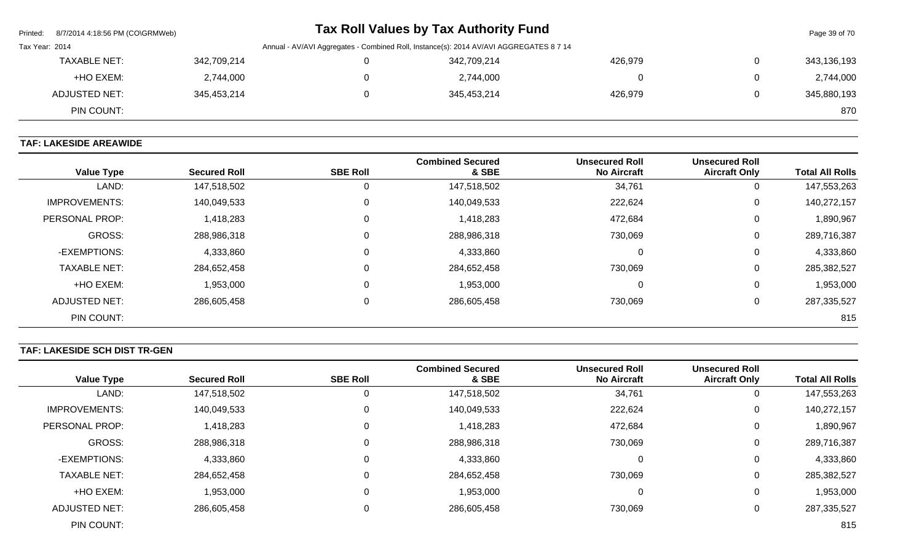| Printed:       | 8/7/2014   4:18:56 PM (CO\GRMWeb) |             | Tax Roll Values by Tax Authority Fund                                                  |         |                | Page 39 of 70 |
|----------------|-----------------------------------|-------------|----------------------------------------------------------------------------------------|---------|----------------|---------------|
| Tax Year: 2014 |                                   |             | Annual - AV/AVI Aggregates - Combined Roll, Instance(s): 2014 AV/AVI AGGREGATES 8 7 14 |         |                |               |
|                | <b>TAXABLE NET:</b>               | 342,709,214 | 342,709,214                                                                            | 426,979 | $\overline{0}$ | 343,136,193   |
|                | +HO EXEM:                         | 2,744,000   | 2,744,000                                                                              |         | 0              | 2,744,000     |
|                | ADJUSTED NET:                     | 345,453,214 | 345,453,214                                                                            | 426,979 | 0              | 345,880,193   |
|                | PIN COUNT:                        |             |                                                                                        |         |                | 870           |

# **TAF: LAKESIDE AREAWIDE**

| <b>Value Type</b>    | <b>Secured Roll</b> | <b>SBE Roll</b> | <b>Combined Secured</b><br>& SBE | <b>Unsecured Roll</b><br><b>No Aircraft</b> | <b>Unsecured Roll</b><br><b>Aircraft Only</b> | <b>Total All Rolls</b> |
|----------------------|---------------------|-----------------|----------------------------------|---------------------------------------------|-----------------------------------------------|------------------------|
| LAND:                | 147,518,502         |                 | 147,518,502                      | 34,761                                      | 0                                             | 147,553,263            |
| <b>IMPROVEMENTS:</b> | 140,049,533         | 0               | 140,049,533                      | 222,624                                     | 0                                             | 140,272,157            |
| PERSONAL PROP:       | 1,418,283           | $\Omega$        | 1,418,283                        | 472,684                                     | 0                                             | 1,890,967              |
| <b>GROSS:</b>        | 288,986,318         | $\Omega$        | 288,986,318                      | 730,069                                     | 0                                             | 289,716,387            |
| -EXEMPTIONS:         | 4,333,860           | $\Omega$        | 4,333,860                        | 0                                           | 0                                             | 4,333,860              |
| <b>TAXABLE NET:</b>  | 284,652,458         | $\Omega$        | 284,652,458                      | 730,069                                     | 0                                             | 285,382,527            |
| +HO EXEM:            | 1,953,000           | 0               | 1,953,000                        | 0                                           | 0                                             | 1,953,000              |
| ADJUSTED NET:        | 286,605,458         |                 | 286,605,458                      | 730,069                                     | 0                                             | 287,335,527            |
| PIN COUNT:           |                     |                 |                                  |                                             |                                               | 815                    |

# **TAF: LAKESIDE SCH DIST TR-GEN**

|                      |                     |                 | <b>Combined Secured</b> | <b>Unsecured Roll</b> | <b>Unsecured Roll</b> |                        |
|----------------------|---------------------|-----------------|-------------------------|-----------------------|-----------------------|------------------------|
| <b>Value Type</b>    | <b>Secured Roll</b> | <b>SBE Roll</b> | & SBE                   | <b>No Aircraft</b>    | <b>Aircraft Only</b>  | <b>Total All Rolls</b> |
| LAND:                | 147,518,502         |                 | 147,518,502             | 34,761                | 0                     | 147,553,263            |
| <b>IMPROVEMENTS:</b> | 140,049,533         | 0               | 140,049,533             | 222,624               | 0                     | 140,272,157            |
| PERSONAL PROP:       | 1,418,283           | 0               | 1,418,283               | 472,684               | 0                     | 1,890,967              |
| GROSS:               | 288,986,318         | 0               | 288,986,318             | 730,069               | 0                     | 289,716,387            |
| -EXEMPTIONS:         | 4,333,860           | 0               | 4,333,860               | 0                     | 0                     | 4,333,860              |
| <b>TAXABLE NET:</b>  | 284,652,458         | 0               | 284,652,458             | 730,069               | 0                     | 285,382,527            |
| +HO EXEM:            | 1,953,000           | 0               | 1,953,000               | $\Omega$              | 0                     | 1,953,000              |
| <b>ADJUSTED NET:</b> | 286,605,458         | 0               | 286,605,458             | 730,069               | 0                     | 287,335,527            |
| PIN COUNT:           |                     |                 |                         |                       |                       | 815                    |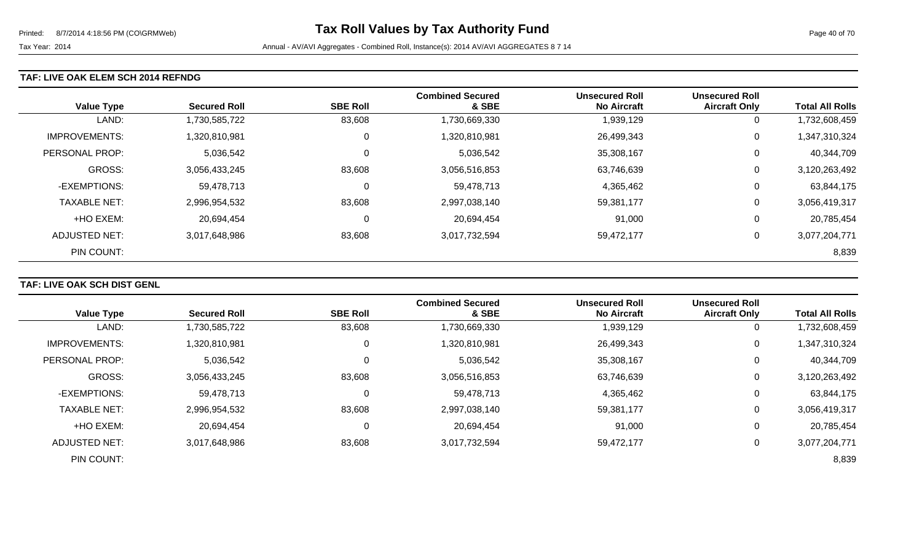#### **TAF: LIVE OAK ELEM SCH 2014 REFNDG**

| <b>Value Type</b>    | <b>Secured Roll</b> | <b>SBE Roll</b> | <b>Combined Secured</b><br>& SBE | <b>Unsecured Roll</b><br><b>No Aircraft</b> | <b>Unsecured Roll</b><br><b>Aircraft Only</b> | <b>Total All Rolls</b> |
|----------------------|---------------------|-----------------|----------------------------------|---------------------------------------------|-----------------------------------------------|------------------------|
| LAND:                | 1,730,585,722       | 83,608          | 1,730,669,330                    | 1,939,129                                   | 0                                             | 1,732,608,459          |
| <b>IMPROVEMENTS:</b> | 1,320,810,981       | 0               | 1,320,810,981                    | 26,499,343                                  | 0                                             | 1,347,310,324          |
| PERSONAL PROP:       | 5,036,542           | 0               | 5,036,542                        | 35,308,167                                  | 0                                             | 40,344,709             |
| <b>GROSS:</b>        | 3,056,433,245       | 83,608          | 3,056,516,853                    | 63,746,639                                  | 0                                             | 3,120,263,492          |
| -EXEMPTIONS:         | 59,478,713          | 0               | 59,478,713                       | 4,365,462                                   | 0                                             | 63,844,175             |
| <b>TAXABLE NET:</b>  | 2,996,954,532       | 83,608          | 2,997,038,140                    | 59,381,177                                  | 0                                             | 3,056,419,317          |
| +HO EXEM:            | 20,694,454          | 0               | 20,694,454                       | 91,000                                      | 0                                             | 20,785,454             |
| ADJUSTED NET:        | 3,017,648,986       | 83,608          | 3,017,732,594                    | 59,472,177                                  | 0                                             | 3,077,204,771          |
| PIN COUNT:           |                     |                 |                                  |                                             |                                               | 8,839                  |

### **TAF: LIVE OAK SCH DIST GENL**

|                      |                     |                 | <b>Combined Secured</b> | <b>Unsecured Roll</b> | <b>Unsecured Roll</b> |                        |
|----------------------|---------------------|-----------------|-------------------------|-----------------------|-----------------------|------------------------|
| <b>Value Type</b>    | <b>Secured Roll</b> | <b>SBE Roll</b> | & SBE                   | <b>No Aircraft</b>    | <b>Aircraft Only</b>  | <b>Total All Rolls</b> |
| LAND:                | 1,730,585,722       | 83,608          | 1,730,669,330           | 1,939,129             | 0                     | 1,732,608,459          |
| <b>IMPROVEMENTS:</b> | 1,320,810,981       | 0               | 1,320,810,981           | 26,499,343            | 0                     | 1,347,310,324          |
| PERSONAL PROP:       | 5,036,542           | 0               | 5,036,542               | 35,308,167            | 0                     | 40,344,709             |
| <b>GROSS:</b>        | 3,056,433,245       | 83,608          | 3,056,516,853           | 63,746,639            | $\mathbf 0$           | 3,120,263,492          |
| -EXEMPTIONS:         | 59,478,713          | 0               | 59,478,713              | 4,365,462             | 0                     | 63,844,175             |
| <b>TAXABLE NET:</b>  | 2,996,954,532       | 83,608          | 2,997,038,140           | 59,381,177            | 0                     | 3,056,419,317          |
| +HO EXEM:            | 20,694,454          | 0               | 20,694,454              | 91,000                | 0                     | 20,785,454             |
| ADJUSTED NET:        | 3,017,648,986       | 83,608          | 3,017,732,594           | 59,472,177            | 0                     | 3,077,204,771          |
| PIN COUNT:           |                     |                 |                         |                       |                       | 8,839                  |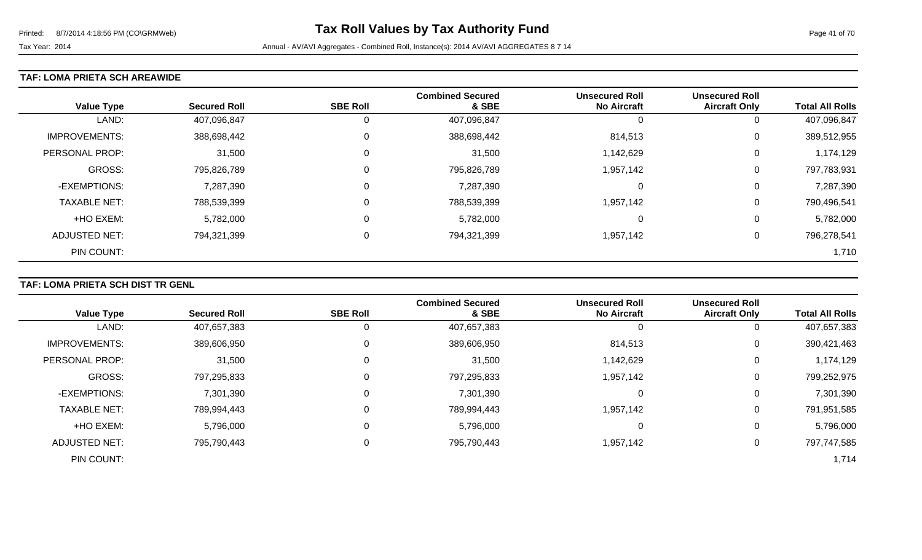#### **TAF: LOMA PRIETA SCH AREAWIDE**

| <b>Value Type</b>    | <b>Secured Roll</b> | <b>SBE Roll</b> | <b>Combined Secured</b><br>& SBE | <b>Unsecured Roll</b><br><b>No Aircraft</b> | <b>Unsecured Roll</b><br><b>Aircraft Only</b> | <b>Total All Rolls</b> |
|----------------------|---------------------|-----------------|----------------------------------|---------------------------------------------|-----------------------------------------------|------------------------|
| LAND:                | 407,096,847         |                 | 407,096,847                      |                                             | 0                                             | 407,096,847            |
| <b>IMPROVEMENTS:</b> | 388,698,442         | $\Omega$        | 388,698,442                      | 814,513                                     | 0                                             | 389,512,955            |
| PERSONAL PROP:       | 31,500              | 0               | 31,500                           | 1,142,629                                   | 0                                             | 1,174,129              |
| GROSS:               | 795,826,789         |                 | 795,826,789                      | 1,957,142                                   | 0                                             | 797,783,931            |
| -EXEMPTIONS:         | 7,287,390           | $\Omega$        | 7,287,390                        | $\Omega$                                    | 0                                             | 7,287,390              |
| <b>TAXABLE NET:</b>  | 788,539,399         | $\Omega$        | 788,539,399                      | 1,957,142                                   | 0                                             | 790,496,541            |
| +HO EXEM:            | 5,782,000           | $\Omega$        | 5,782,000                        | -0                                          | 0                                             | 5,782,000              |
| ADJUSTED NET:        | 794,321,399         | 0               | 794,321,399                      | 1,957,142                                   | 0                                             | 796,278,541            |
| PIN COUNT:           |                     |                 |                                  |                                             |                                               | 1,710                  |

### **TAF: LOMA PRIETA SCH DIST TR GENL**

|                       |                     |                 | <b>Combined Secured</b> | <b>Unsecured Roll</b> | <b>Unsecured Roll</b> |                        |
|-----------------------|---------------------|-----------------|-------------------------|-----------------------|-----------------------|------------------------|
| <b>Value Type</b>     | <b>Secured Roll</b> | <b>SBE Roll</b> | & SBE                   | <b>No Aircraft</b>    | <b>Aircraft Only</b>  | <b>Total All Rolls</b> |
| LAND:                 | 407,657,383         |                 | 407,657,383             | O                     | U                     | 407,657,383            |
| <b>IMPROVEMENTS:</b>  | 389,606,950         |                 | 389,606,950             | 814,513               | 0                     | 390,421,463            |
| <b>PERSONAL PROP:</b> | 31,500              |                 | 31,500                  | 1,142,629             | 0                     | 1,174,129              |
| <b>GROSS:</b>         | 797,295,833         |                 | 797,295,833             | 1,957,142             | $\mathbf 0$           | 799,252,975            |
| -EXEMPTIONS:          | 7,301,390           |                 | 7,301,390               | 0                     | 0                     | 7,301,390              |
| <b>TAXABLE NET:</b>   | 789,994,443         |                 | 789,994,443             | 1,957,142             | 0                     | 791,951,585            |
| +HO EXEM:             | 5,796,000           |                 | 5,796,000               | 0                     | 0                     | 5,796,000              |
| <b>ADJUSTED NET:</b>  | 795,790,443         |                 | 795,790,443             | 1,957,142             | 0                     | 797,747,585            |
| PIN COUNT:            |                     |                 |                         |                       |                       | 1,714                  |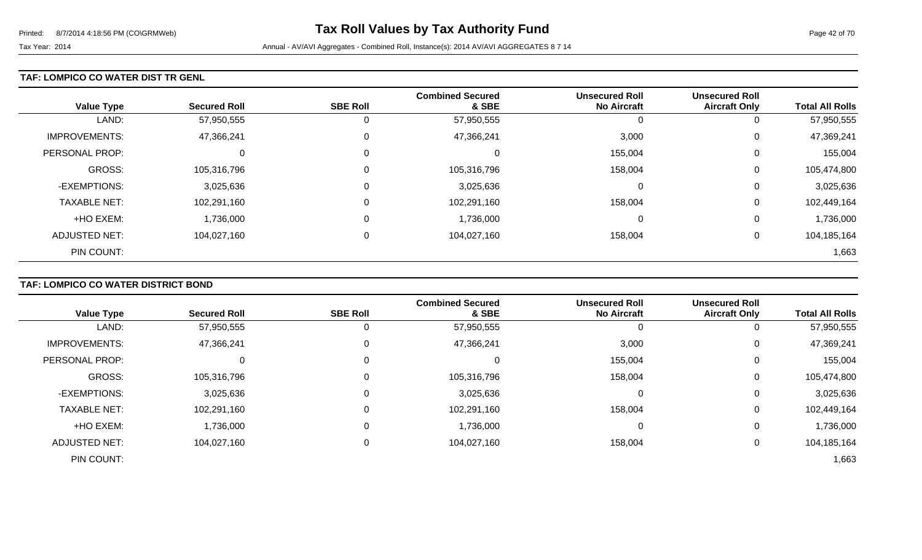#### **TAF: LOMPICO CO WATER DIST TR GENL**

| <b>Value Type</b>    | <b>Secured Roll</b> | <b>SBE Roll</b> | <b>Combined Secured</b><br>& SBE | <b>Unsecured Roll</b><br><b>No Aircraft</b> | <b>Unsecured Roll</b><br><b>Aircraft Only</b> | <b>Total All Rolls</b> |
|----------------------|---------------------|-----------------|----------------------------------|---------------------------------------------|-----------------------------------------------|------------------------|
| LAND:                | 57,950,555          | 0               | 57,950,555                       | -0                                          | 0                                             | 57,950,555             |
| <b>IMPROVEMENTS:</b> | 47,366,241          | $\Omega$        | 47,366,241                       | 3,000                                       | 0                                             | 47,369,241             |
| PERSONAL PROP:       | 0                   | $\Omega$        | 0                                | 155,004                                     | 0                                             | 155,004                |
| GROSS:               | 105,316,796         | $\Omega$        | 105,316,796                      | 158,004                                     | 0                                             | 105,474,800            |
| -EXEMPTIONS:         | 3,025,636           | $\Omega$        | 3,025,636                        | $\Omega$                                    | 0                                             | 3,025,636              |
| <b>TAXABLE NET:</b>  | 102,291,160         | $\Omega$        | 102,291,160                      | 158,004                                     | 0                                             | 102,449,164            |
| +HO EXEM:            | 1,736,000           | 0               | 1,736,000                        | 0                                           | 0                                             | 1,736,000              |
| ADJUSTED NET:        | 104,027,160         | 0               | 104,027,160                      | 158,004                                     | 0                                             | 104,185,164            |
| PIN COUNT:           |                     |                 |                                  |                                             |                                               | 1,663                  |

### **TAF: LOMPICO CO WATER DISTRICT BOND**

|                      |                     |                 | <b>Combined Secured</b> | <b>Unsecured Roll</b> | <b>Unsecured Roll</b> |                        |
|----------------------|---------------------|-----------------|-------------------------|-----------------------|-----------------------|------------------------|
| <b>Value Type</b>    | <b>Secured Roll</b> | <b>SBE Roll</b> | & SBE                   | <b>No Aircraft</b>    | <b>Aircraft Only</b>  | <b>Total All Rolls</b> |
| LAND:                | 57,950,555          |                 | 57,950,555              | 0                     |                       | 57,950,555             |
| <b>IMPROVEMENTS:</b> | 47,366,241          | 0               | 47,366,241              | 3,000                 | 0                     | 47,369,241             |
| PERSONAL PROP:       |                     | 0               | 0                       | 155,004               | 0                     | 155,004                |
| GROSS:               | 105,316,796         | 0               | 105,316,796             | 158,004               | 0                     | 105,474,800            |
| -EXEMPTIONS:         | 3,025,636           | 0               | 3,025,636               | $\Omega$              | 0                     | 3,025,636              |
| <b>TAXABLE NET:</b>  | 102,291,160         | $\Omega$        | 102,291,160             | 158,004               | 0                     | 102,449,164            |
| +HO EXEM:            | 1,736,000           | 0               | 1,736,000               | 0                     | 0                     | 1,736,000              |
| <b>ADJUSTED NET:</b> | 104,027,160         | 0               | 104,027,160             | 158,004               | 0                     | 104,185,164            |
| PIN COUNT:           |                     |                 |                         |                       |                       | 1,663                  |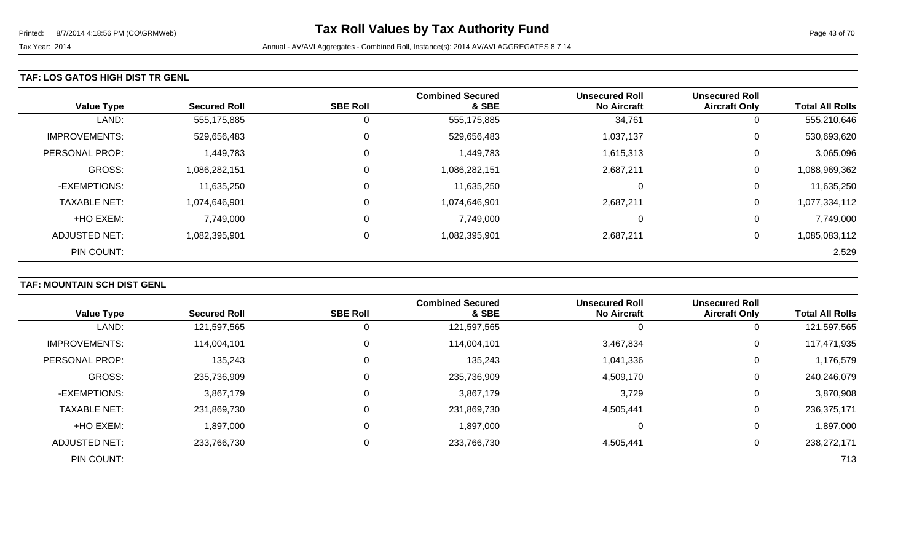#### **TAF: LOS GATOS HIGH DIST TR GENL**

| <b>Value Type</b>    | <b>Secured Roll</b> | <b>SBE Roll</b> | <b>Combined Secured</b><br>& SBE | <b>Unsecured Roll</b><br><b>No Aircraft</b> | <b>Unsecured Roll</b><br><b>Aircraft Only</b> | <b>Total All Rolls</b> |
|----------------------|---------------------|-----------------|----------------------------------|---------------------------------------------|-----------------------------------------------|------------------------|
| LAND:                | 555,175,885         | $\mathbf 0$     | 555,175,885                      | 34,761                                      | 0                                             | 555,210,646            |
| <b>IMPROVEMENTS:</b> | 529,656,483         | $\mathbf 0$     | 529,656,483                      | 1,037,137                                   | 0                                             | 530,693,620            |
| PERSONAL PROP:       | 1,449,783           | $\mathbf 0$     | 1,449,783                        | 1,615,313                                   | 0                                             | 3,065,096              |
| <b>GROSS:</b>        | 1,086,282,151       | $\mathbf 0$     | 1,086,282,151                    | 2,687,211                                   | 0                                             | 1,088,969,362          |
| -EXEMPTIONS:         | 11,635,250          | $\mathbf 0$     | 11,635,250                       | 0                                           | 0                                             | 11,635,250             |
| <b>TAXABLE NET:</b>  | 1,074,646,901       | $\mathbf 0$     | 1,074,646,901                    | 2,687,211                                   | 0                                             | 1,077,334,112          |
| +HO EXEM:            | 7,749,000           | $\mathbf 0$     | 7,749,000                        | 0                                           | 0                                             | 7,749,000              |
| <b>ADJUSTED NET:</b> | 1,082,395,901       | 0               | 1,082,395,901                    | 2,687,211                                   | 0                                             | 1,085,083,112          |
| PIN COUNT:           |                     |                 |                                  |                                             |                                               | 2,529                  |

### **TAF: MOUNTAIN SCH DIST GENL**

|                       |                     |                 | <b>Combined Secured</b> | <b>Unsecured Roll</b> | <b>Unsecured Roll</b> |                        |
|-----------------------|---------------------|-----------------|-------------------------|-----------------------|-----------------------|------------------------|
| <b>Value Type</b>     | <b>Secured Roll</b> | <b>SBE Roll</b> | & SBE                   | <b>No Aircraft</b>    | <b>Aircraft Only</b>  | <b>Total All Rolls</b> |
| LAND:                 | 121,597,565         | 0               | 121,597,565             |                       | 0                     | 121,597,565            |
| <b>IMPROVEMENTS:</b>  | 114,004,101         | 0               | 114,004,101             | 3,467,834             | 0                     | 117,471,935            |
| <b>PERSONAL PROP:</b> | 135,243             | 0               | 135,243                 | 1,041,336             | 0                     | 1,176,579              |
| <b>GROSS:</b>         | 235,736,909         | $\Omega$        | 235,736,909             | 4,509,170             | $\mathbf 0$           | 240,246,079            |
| -EXEMPTIONS:          | 3,867,179           | 0               | 3,867,179               | 3,729                 | 0                     | 3,870,908              |
| <b>TAXABLE NET:</b>   | 231,869,730         | 0               | 231,869,730             | 4,505,441             | 0                     | 236,375,171            |
| +HO EXEM:             | 1,897,000           | $\mathbf 0$     | 1,897,000               | 0                     | 0                     | 1,897,000              |
| <b>ADJUSTED NET:</b>  | 233,766,730         | 0               | 233,766,730             | 4,505,441             | 0                     | 238,272,171            |
| PIN COUNT:            |                     |                 |                         |                       |                       | 713                    |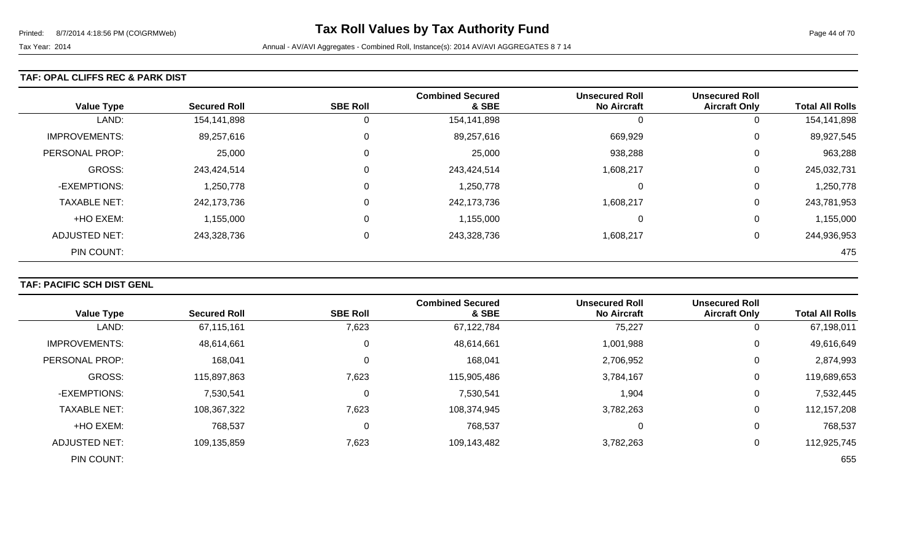#### **TAF: OPAL CLIFFS REC & PARK DIST**

| <b>Value Type</b>    | <b>Secured Roll</b> | <b>SBE Roll</b> | <b>Combined Secured</b><br>& SBE | <b>Unsecured Roll</b><br><b>No Aircraft</b> | <b>Unsecured Roll</b><br><b>Aircraft Only</b> | <b>Total All Rolls</b> |
|----------------------|---------------------|-----------------|----------------------------------|---------------------------------------------|-----------------------------------------------|------------------------|
| LAND:                | 154,141,898         | 0               | 154,141,898                      | 0                                           | 0                                             | 154,141,898            |
| <b>IMPROVEMENTS:</b> | 89,257,616          | 0               | 89,257,616                       | 669,929                                     | 0                                             | 89,927,545             |
| PERSONAL PROP:       | 25,000              | $\mathbf 0$     | 25,000                           | 938,288                                     | 0                                             | 963,288                |
| <b>GROSS:</b>        | 243,424,514         | 0               | 243,424,514                      | 1,608,217                                   | 0                                             | 245,032,731            |
| -EXEMPTIONS:         | 1,250,778           | $\mathbf 0$     | 1,250,778                        | 0                                           | 0                                             | 1,250,778              |
| <b>TAXABLE NET:</b>  | 242,173,736         | 0               | 242,173,736                      | 1,608,217                                   | 0                                             | 243,781,953            |
| +HO EXEM:            | 1,155,000           | $\mathbf 0$     | 1,155,000                        | 0                                           | 0                                             | 1,155,000              |
| <b>ADJUSTED NET:</b> | 243,328,736         | 0               | 243,328,736                      | 1,608,217                                   | 0                                             | 244,936,953            |
| PIN COUNT:           |                     |                 |                                  |                                             |                                               | 475                    |

### **TAF: PACIFIC SCH DIST GENL**

|                      |                     |                 | <b>Combined Secured</b> | <b>Unsecured Roll</b> | <b>Unsecured Roll</b> |                        |
|----------------------|---------------------|-----------------|-------------------------|-----------------------|-----------------------|------------------------|
| <b>Value Type</b>    | <b>Secured Roll</b> | <b>SBE Roll</b> | & SBE                   | <b>No Aircraft</b>    | <b>Aircraft Only</b>  | <b>Total All Rolls</b> |
| LAND:                | 67,115,161          | 7,623           | 67,122,784              | 75,227                |                       | 67,198,011             |
| <b>IMPROVEMENTS:</b> | 48,614,661          | 0               | 48,614,661              | 1,001,988             | 0                     | 49,616,649             |
| PERSONAL PROP:       | 168,041             | 0               | 168,041                 | 2,706,952             | 0                     | 2,874,993              |
| <b>GROSS:</b>        | 115,897,863         | 7,623           | 115,905,486             | 3,784,167             | 0                     | 119,689,653            |
| -EXEMPTIONS:         | 7,530,541           | $\pmb{0}$       | 7,530,541               | 1,904                 | 0                     | 7,532,445              |
| <b>TAXABLE NET:</b>  | 108,367,322         | 7,623           | 108,374,945             | 3,782,263             | $\mathbf{0}$          | 112,157,208            |
| +HO EXEM:            | 768,537             | 0               | 768,537                 | 0                     | 0                     | 768,537                |
| <b>ADJUSTED NET:</b> | 109,135,859         | 7,623           | 109,143,482             | 3,782,263             | 0                     | 112,925,745            |
| PIN COUNT:           |                     |                 |                         |                       |                       | 655                    |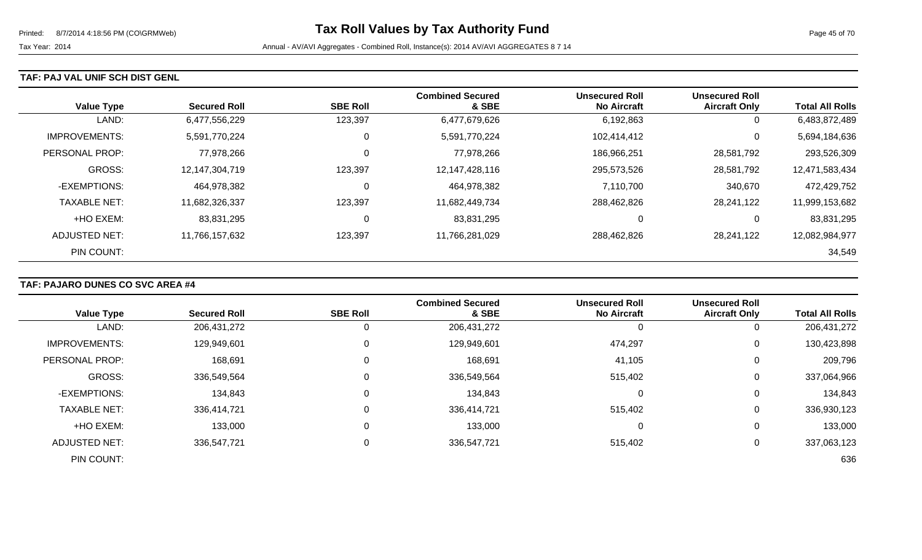#### **TAF: PAJ VAL UNIF SCH DIST GENL**

| <b>Value Type</b>    | <b>Secured Roll</b> | <b>SBE Roll</b> | <b>Combined Secured</b><br>& SBE | <b>Unsecured Roll</b><br><b>No Aircraft</b> | <b>Unsecured Roll</b><br><b>Aircraft Only</b> | <b>Total All Rolls</b> |
|----------------------|---------------------|-----------------|----------------------------------|---------------------------------------------|-----------------------------------------------|------------------------|
| LAND:                | 6,477,556,229       | 123,397         | 6,477,679,626                    | 6,192,863                                   | 0                                             | 6,483,872,489          |
| <b>IMPROVEMENTS:</b> | 5,591,770,224       | 0               | 5,591,770,224                    | 102,414,412                                 | 0                                             | 5,694,184,636          |
| PERSONAL PROP:       | 77,978,266          | 0               | 77,978,266                       | 186,966,251                                 | 28,581,792                                    | 293,526,309            |
| GROSS:               | 12,147,304,719      | 123,397         | 12,147,428,116                   | 295,573,526                                 | 28,581,792                                    | 12,471,583,434         |
| -EXEMPTIONS:         | 464,978,382         | 0               | 464,978,382                      | 7,110,700                                   | 340,670                                       | 472,429,752            |
| <b>TAXABLE NET:</b>  | 11,682,326,337      | 123,397         | 11,682,449,734                   | 288,462,826                                 | 28,241,122                                    | 11,999,153,682         |
| +HO EXEM:            | 83,831,295          | 0               | 83,831,295                       | 0                                           | 0                                             | 83,831,295             |
| <b>ADJUSTED NET:</b> | 11,766,157,632      | 123,397         | 11,766,281,029                   | 288,462,826                                 | 28,241,122                                    | 12,082,984,977         |
| PIN COUNT:           |                     |                 |                                  |                                             |                                               | 34,549                 |

### **TAF: PAJARO DUNES CO SVC AREA #4**

|                       |                     |                 | <b>Combined Secured</b> | <b>Unsecured Roll</b> | <b>Unsecured Roll</b> |                        |
|-----------------------|---------------------|-----------------|-------------------------|-----------------------|-----------------------|------------------------|
| <b>Value Type</b>     | <b>Secured Roll</b> | <b>SBE Roll</b> | & SBE                   | <b>No Aircraft</b>    | <b>Aircraft Only</b>  | <b>Total All Rolls</b> |
| LAND:                 | 206, 431, 272       | 0               | 206,431,272             |                       | $\overline{0}$        | 206, 431, 272          |
| <b>IMPROVEMENTS:</b>  | 129,949,601         | 0               | 129,949,601             | 474,297               | 0                     | 130,423,898            |
| <b>PERSONAL PROP:</b> | 168,691             | 0               | 168,691                 | 41,105                | 0                     | 209,796                |
| <b>GROSS:</b>         | 336,549,564         | $\Omega$        | 336,549,564             | 515,402               | 0                     | 337,064,966            |
| -EXEMPTIONS:          | 134,843             | 0               | 134,843                 |                       | 0                     | 134,843                |
| <b>TAXABLE NET:</b>   | 336,414,721         | $\mathbf{0}$    | 336,414,721             | 515,402               | 0                     | 336,930,123            |
| +HO EXEM:             | 133,000             | $\Omega$        | 133,000                 | 0                     | 0                     | 133,000                |
| <b>ADJUSTED NET:</b>  | 336,547,721         | 0               | 336,547,721             | 515,402               | 0                     | 337,063,123            |
| PIN COUNT:            |                     |                 |                         |                       |                       | 636                    |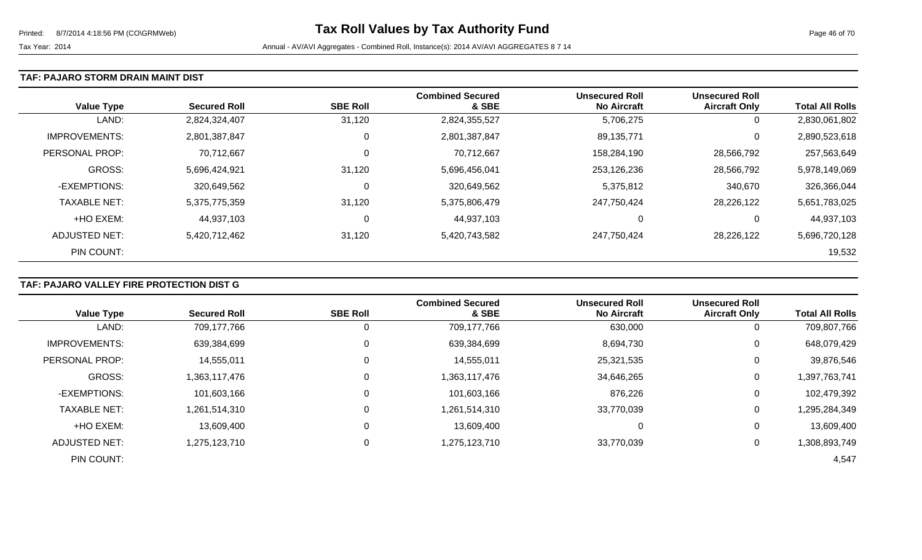#### **TAF: PAJARO STORM DRAIN MAINT DIST**

| <b>Value Type</b>    | <b>Secured Roll</b> | <b>SBE Roll</b> | <b>Combined Secured</b><br>& SBE | <b>Unsecured Roll</b><br><b>No Aircraft</b> | <b>Unsecured Roll</b><br><b>Aircraft Only</b> | <b>Total All Rolls</b> |
|----------------------|---------------------|-----------------|----------------------------------|---------------------------------------------|-----------------------------------------------|------------------------|
| LAND:                | 2,824,324,407       | 31,120          | 2,824,355,527                    | 5,706,275                                   | 0                                             | 2,830,061,802          |
| <b>IMPROVEMENTS:</b> | 2,801,387,847       | 0               | 2,801,387,847                    | 89,135,771                                  | 0                                             | 2,890,523,618          |
| PERSONAL PROP:       | 70,712,667          | 0               | 70,712,667                       | 158,284,190                                 | 28,566,792                                    | 257,563,649            |
| <b>GROSS:</b>        | 5,696,424,921       | 31,120          | 5,696,456,041                    | 253,126,236                                 | 28,566,792                                    | 5,978,149,069          |
| -EXEMPTIONS:         | 320,649,562         | 0               | 320,649,562                      | 5,375,812                                   | 340,670                                       | 326,366,044            |
| <b>TAXABLE NET:</b>  | 5,375,775,359       | 31,120          | 5,375,806,479                    | 247,750,424                                 | 28,226,122                                    | 5,651,783,025          |
| +HO EXEM:            | 44,937,103          | 0               | 44,937,103                       | 0                                           | 0                                             | 44,937,103             |
| ADJUSTED NET:        | 5,420,712,462       | 31,120          | 5,420,743,582                    | 247,750,424                                 | 28,226,122                                    | 5,696,720,128          |
| PIN COUNT:           |                     |                 |                                  |                                             |                                               | 19,532                 |

# **TAF: PAJARO VALLEY FIRE PROTECTION DIST G**

|                      |                     |                 | <b>Combined Secured</b> | <b>Unsecured Roll</b> | <b>Unsecured Roll</b> |                        |
|----------------------|---------------------|-----------------|-------------------------|-----------------------|-----------------------|------------------------|
| <b>Value Type</b>    | <b>Secured Roll</b> | <b>SBE Roll</b> | & SBE                   | <b>No Aircraft</b>    | <b>Aircraft Only</b>  | <b>Total All Rolls</b> |
| LAND:                | 709,177,766         | 0               | 709,177,766             | 630,000               | 0                     | 709,807,766            |
| <b>IMPROVEMENTS:</b> | 639,384,699         | 0               | 639,384,699             | 8,694,730             | 0                     | 648,079,429            |
| PERSONAL PROP:       | 14,555,011          | 0               | 14,555,011              | 25,321,535            | 0                     | 39,876,546             |
| <b>GROSS:</b>        | 1,363,117,476       | $\Omega$        | 1,363,117,476           | 34,646,265            | 0                     | 1,397,763,741          |
| -EXEMPTIONS:         | 101,603,166         | 0               | 101,603,166             | 876,226               | 0                     | 102,479,392            |
| <b>TAXABLE NET:</b>  | 1,261,514,310       | $\mathbf{0}$    | 1,261,514,310           | 33,770,039            | 0                     | 1,295,284,349          |
| +HO EXEM:            | 13,609,400          | $\mathbf 0$     | 13,609,400              | 0                     | 0                     | 13,609,400             |
| ADJUSTED NET:        | 1,275,123,710       | 0               | 1,275,123,710           | 33,770,039            | 0                     | 1,308,893,749          |
| PIN COUNT:           |                     |                 |                         |                       |                       | 4,547                  |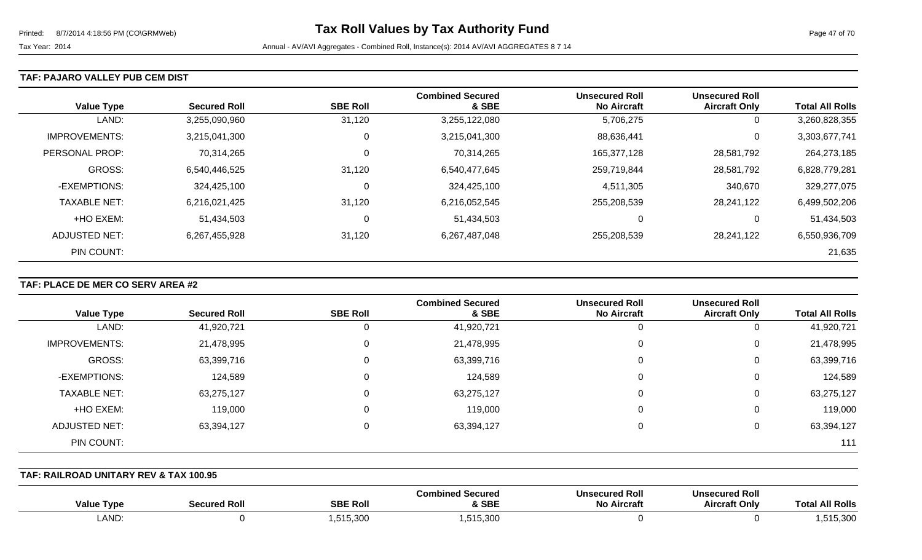#### **TAF: PAJARO VALLEY PUB CEM DIST**

| <b>Value Type</b>    | <b>Secured Roll</b> | <b>SBE Roll</b> | <b>Combined Secured</b><br>& SBE | <b>Unsecured Roll</b><br><b>No Aircraft</b> | <b>Unsecured Roll</b><br><b>Aircraft Only</b> | <b>Total All Rolls</b> |
|----------------------|---------------------|-----------------|----------------------------------|---------------------------------------------|-----------------------------------------------|------------------------|
| LAND:                | 3,255,090,960       | 31,120          | 3,255,122,080                    | 5,706,275                                   | 0                                             | 3,260,828,355          |
| <b>IMPROVEMENTS:</b> | 3,215,041,300       | 0               | 3,215,041,300                    | 88,636,441                                  | 0                                             | 3,303,677,741          |
| PERSONAL PROP:       | 70,314,265          | 0               | 70,314,265                       | 165,377,128                                 | 28,581,792                                    | 264,273,185            |
| <b>GROSS:</b>        | 6,540,446,525       | 31,120          | 6,540,477,645                    | 259,719,844                                 | 28,581,792                                    | 6,828,779,281          |
| -EXEMPTIONS:         | 324,425,100         | 0               | 324,425,100                      | 4,511,305                                   | 340,670                                       | 329,277,075            |
| <b>TAXABLE NET:</b>  | 6,216,021,425       | 31,120          | 6,216,052,545                    | 255,208,539                                 | 28,241,122                                    | 6,499,502,206          |
| +HO EXEM:            | 51,434,503          | 0               | 51,434,503                       | 0                                           | 0                                             | 51,434,503             |
| ADJUSTED NET:        | 6,267,455,928       | 31,120          | 6,267,487,048                    | 255,208,539                                 | 28,241,122                                    | 6,550,936,709          |
| PIN COUNT:           |                     |                 |                                  |                                             |                                               | 21,635                 |

### **TAF: PLACE DE MER CO SERV AREA #2**

|                      |                     |                 | <b>Combined Secured</b> | <b>Unsecured Roll</b> | <b>Unsecured Roll</b> |                        |
|----------------------|---------------------|-----------------|-------------------------|-----------------------|-----------------------|------------------------|
| <b>Value Type</b>    | <b>Secured Roll</b> | <b>SBE Roll</b> | & SBE                   | <b>No Aircraft</b>    | <b>Aircraft Only</b>  | <b>Total All Rolls</b> |
| LAND:                | 41,920,721          | 0               | 41,920,721              | U                     | U                     | 41,920,721             |
| <b>IMPROVEMENTS:</b> | 21,478,995          | 0               | 21,478,995              | 0                     | 0                     | 21,478,995             |
| GROSS:               | 63,399,716          | 0               | 63,399,716              | 0                     | 0                     | 63,399,716             |
| -EXEMPTIONS:         | 124,589             | 0               | 124,589                 | 0                     | 0                     | 124,589                |
| <b>TAXABLE NET:</b>  | 63,275,127          | 0               | 63,275,127              | 0                     | 0                     | 63,275,127             |
| +HO EXEM:            | 119,000             | $\Omega$        | 119,000                 | 0                     | 0                     | 119,000                |
| <b>ADJUSTED NET:</b> | 63,394,127          | $\Omega$        | 63,394,127              | 0                     | 0                     | 63,394,127             |
| PIN COUNT:           |                     |                 |                         |                       |                       | 111                    |

#### **TAF: RAILROAD UNITARY REV & TAX 100.95**

| <b>Value Type</b> | Secured Roll | <b>SBE Roll</b>      | ed Secured<br><b>Combined</b><br>& SBE | Unsecured Roll<br>No /<br><b>Cran</b> | <b>Unsecured Roll</b><br>ıft Onlv<br>Aircraf' | <b>All Rolls</b><br>Гоtа |
|-------------------|--------------|----------------------|----------------------------------------|---------------------------------------|-----------------------------------------------|--------------------------|
| _AND:             |              | 515.300<br>1,515,300 | ,515,300                               |                                       |                                               | EAE 000<br>، 300,615, ،  |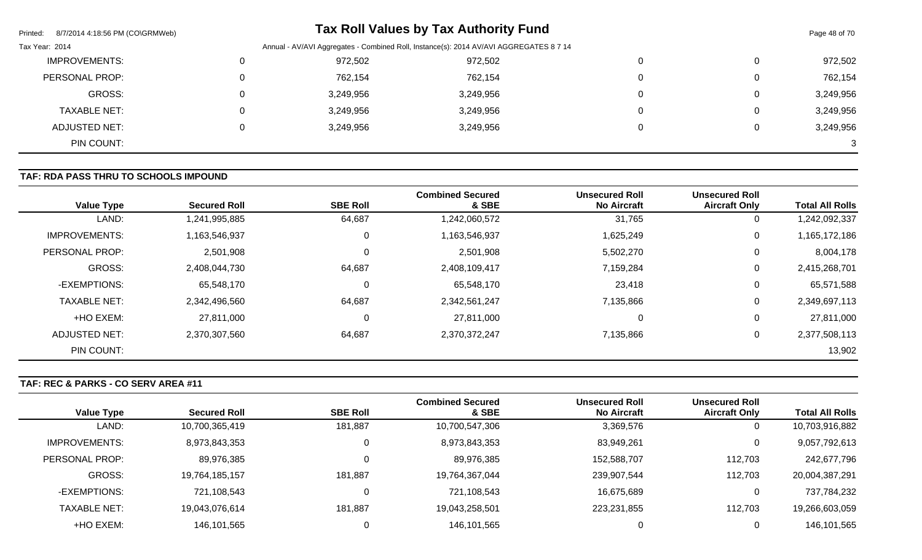| Printed:<br>8/7/2014 4:18:56 PM (CO\GRMWeb) |           | <b>Tax Roll Values by Tax Authority Fund</b>                                           |          | Page 48 of 70 |
|---------------------------------------------|-----------|----------------------------------------------------------------------------------------|----------|---------------|
| Tax Year: 2014                              |           | Annual - AV/AVI Aggregates - Combined Roll, Instance(s): 2014 AV/AVI AGGREGATES 8 7 14 |          |               |
| <b>IMPROVEMENTS:</b>                        | 972,502   | 972,502                                                                                | $\Omega$ | 972,502       |
| PERSONAL PROP:                              | 762,154   | 762,154                                                                                | 0        | 762,154       |
| GROSS:                                      | 3,249,956 | 3,249,956                                                                              | $\Omega$ | 3,249,956     |
| <b>TAXABLE NET:</b>                         | 3,249,956 | 3,249,956                                                                              | 0        | 3,249,956     |
| ADJUSTED NET:                               | 3,249,956 | 3,249,956                                                                              | $\Omega$ | 3,249,956     |
| PIN COUNT:                                  |           |                                                                                        |          |               |

# **TAF: RDA PASS THRU TO SCHOOLS IMPOUND**

| <b>Value Type</b>    | <b>Secured Roll</b> | <b>SBE Roll</b> | <b>Combined Secured</b><br>& SBE | <b>Unsecured Roll</b><br><b>No Aircraft</b> | <b>Unsecured Roll</b><br><b>Aircraft Only</b> | <b>Total All Rolls</b> |
|----------------------|---------------------|-----------------|----------------------------------|---------------------------------------------|-----------------------------------------------|------------------------|
| LAND:                | 1,241,995,885       | 64,687          | 1,242,060,572                    | 31,765                                      | 0                                             | 1,242,092,337          |
| <b>IMPROVEMENTS:</b> | 1,163,546,937       | 0               | 1,163,546,937                    | 1,625,249                                   | $\mathbf 0$                                   | 1,165,172,186          |
| PERSONAL PROP:       | 2,501,908           | 0               | 2,501,908                        | 5,502,270                                   | 0                                             | 8,004,178              |
| <b>GROSS:</b>        | 2,408,044,730       | 64,687          | 2,408,109,417                    | 7,159,284                                   | 0                                             | 2,415,268,701          |
| -EXEMPTIONS:         | 65,548,170          | $\mathbf 0$     | 65,548,170                       | 23,418                                      | $\mathbf 0$                                   | 65,571,588             |
| <b>TAXABLE NET:</b>  | 2,342,496,560       | 64,687          | 2,342,561,247                    | 7,135,866                                   | 0                                             | 2,349,697,113          |
| +HO EXEM:            | 27,811,000          | $\mathbf 0$     | 27,811,000                       | 0                                           | 0                                             | 27,811,000             |
| ADJUSTED NET:        | 2,370,307,560       | 64,687          | 2,370,372,247                    | 7,135,866                                   | $\mathbf 0$                                   | 2,377,508,113          |
| PIN COUNT:           |                     |                 |                                  |                                             |                                               | 13,902                 |

**TAF: REC & PARKS - CO SERV AREA #11** 

|                        | <b>Unsecured Roll</b> | <b>Unsecured Roll</b> | <b>Combined Secured</b> |                 |                     |                      |
|------------------------|-----------------------|-----------------------|-------------------------|-----------------|---------------------|----------------------|
| <b>Total All Rolls</b> | <b>Aircraft Only</b>  | <b>No Aircraft</b>    | & SBE                   | <b>SBE Roll</b> | <b>Secured Roll</b> | <b>Value Type</b>    |
| 10,703,916,882         | $\Omega$              | 3,369,576             | 10,700,547,306          | 181,887         | 10,700,365,419      | LAND:                |
| 9,057,792,613          | 0                     | 83,949,261            | 8,973,843,353           |                 | 8,973,843,353       | <b>IMPROVEMENTS:</b> |
| 242,677,796            | 112,703               | 152,588,707           | 89,976,385              |                 | 89,976,385          | PERSONAL PROP:       |
| 20,004,387,291         | 112,703               | 239,907,544           | 19,764,367,044          | 181,887         | 19,764,185,157      | GROSS:               |
| 737,784,232            | 0                     | 16,675,689            | 721,108,543             |                 | 721,108,543         | -EXEMPTIONS:         |
| 19,266,603,059         | 112,703               | 223,231,855           | 19,043,258,501          | 181,887         | 19,043,076,614      | <b>TAXABLE NET:</b>  |
| 146,101,565            | 0                     |                       | 146,101,565             |                 | 146,101,565         | +HO EXEM:            |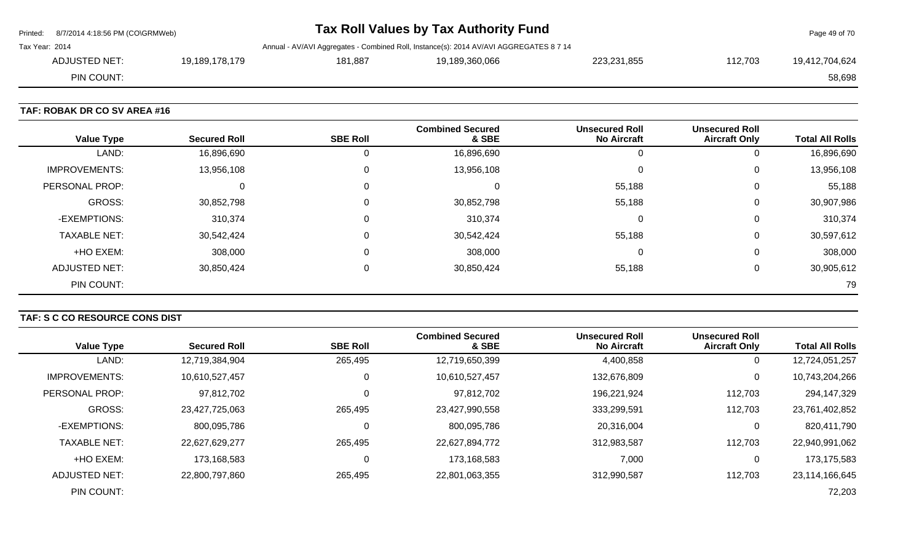| Page 49 of 70  |         |             | Tax Roll Values by Tax Authority Fund                                                  |         |                | Printed: 8/7/2014 4:18:56 PM (CO\GRMWeb) |                |
|----------------|---------|-------------|----------------------------------------------------------------------------------------|---------|----------------|------------------------------------------|----------------|
|                |         |             | Annual - AV/AVI Aggregates - Combined Roll, Instance(s): 2014 AV/AVI AGGREGATES 8 7 14 |         |                |                                          | Tax Year: 2014 |
| 19,412,704,624 | 112.703 | 223,231,855 | 19.189.360.066                                                                         | 181.887 | 19.189.178.179 | ADJUSTED NET:                            |                |
| 58,698         |         |             |                                                                                        |         |                | PIN COUNT:                               |                |
|                |         |             |                                                                                        |         |                |                                          |                |

**TAF: ROBAK DR CO SV AREA #16** 

| <b>Value Type</b>    | <b>Secured Roll</b> | <b>SBE Roll</b> | <b>Combined Secured</b><br>& SBE | <b>Unsecured Roll</b><br><b>No Aircraft</b> | <b>Unsecured Roll</b><br><b>Aircraft Only</b> | <b>Total All Rolls</b> |
|----------------------|---------------------|-----------------|----------------------------------|---------------------------------------------|-----------------------------------------------|------------------------|
| LAND:                | 16,896,690          | 0               | 16,896,690                       | 0                                           | O                                             | 16,896,690             |
| <b>IMPROVEMENTS:</b> | 13,956,108          | 0               | 13,956,108                       | 0                                           | 0                                             | 13,956,108             |
| PERSONAL PROP:       |                     | 0               | 0                                | 55,188                                      | 0                                             | 55,188                 |
| GROSS:               | 30,852,798          | 0               | 30,852,798                       | 55,188                                      | 0                                             | 30,907,986             |
| -EXEMPTIONS:         | 310,374             | 0               | 310,374                          | 0                                           | 0                                             | 310,374                |
| <b>TAXABLE NET:</b>  | 30,542,424          | $\Omega$        | 30,542,424                       | 55,188                                      | 0                                             | 30,597,612             |
| +HO EXEM:            | 308,000             | 0               | 308,000                          | 0                                           | 0                                             | 308,000                |
| <b>ADJUSTED NET:</b> | 30,850,424          | $\Omega$        | 30,850,424                       | 55,188                                      | 0                                             | 30,905,612             |
| PIN COUNT:           |                     |                 |                                  |                                             |                                               | 79                     |

### **TAF: S C CO RESOURCE CONS DIST**

| <b>Value Type</b>     | <b>Secured Roll</b> | <b>SBE Roll</b> | <b>Combined Secured</b><br>& SBE | <b>Unsecured Roll</b><br><b>No Aircraft</b> | <b>Unsecured Roll</b><br><b>Aircraft Only</b> | <b>Total All Rolls</b> |
|-----------------------|---------------------|-----------------|----------------------------------|---------------------------------------------|-----------------------------------------------|------------------------|
|                       |                     |                 |                                  |                                             |                                               |                        |
| LAND:                 | 12,719,384,904      | 265,495         | 12,719,650,399                   | 4,400,858                                   | $\mathbf{0}$                                  | 12,724,051,257         |
| IMPROVEMENTS:         | 10,610,527,457      | 0               | 10,610,527,457                   | 132,676,809                                 | 0                                             | 10,743,204,266         |
| <b>PERSONAL PROP:</b> | 97,812,702          | 0               | 97,812,702                       | 196,221,924                                 | 112,703                                       | 294,147,329            |
| GROSS:                | 23,427,725,063      | 265,495         | 23,427,990,558                   | 333,299,591                                 | 112,703                                       | 23,761,402,852         |
| -EXEMPTIONS:          | 800,095,786         | 0               | 800,095,786                      | 20,316,004                                  | 0                                             | 820,411,790            |
| <b>TAXABLE NET:</b>   | 22,627,629,277      | 265,495         | 22,627,894,772                   | 312,983,587                                 | 112,703                                       | 22,940,991,062         |
| +HO EXEM:             | 173,168,583         | 0               | 173,168,583                      | 7,000                                       | 0                                             | 173,175,583            |
| ADJUSTED NET:         | 22,800,797,860      | 265,495         | 22,801,063,355                   | 312,990,587                                 | 112,703                                       | 23,114,166,645         |
| PIN COUNT:            |                     |                 |                                  |                                             |                                               | 72,203                 |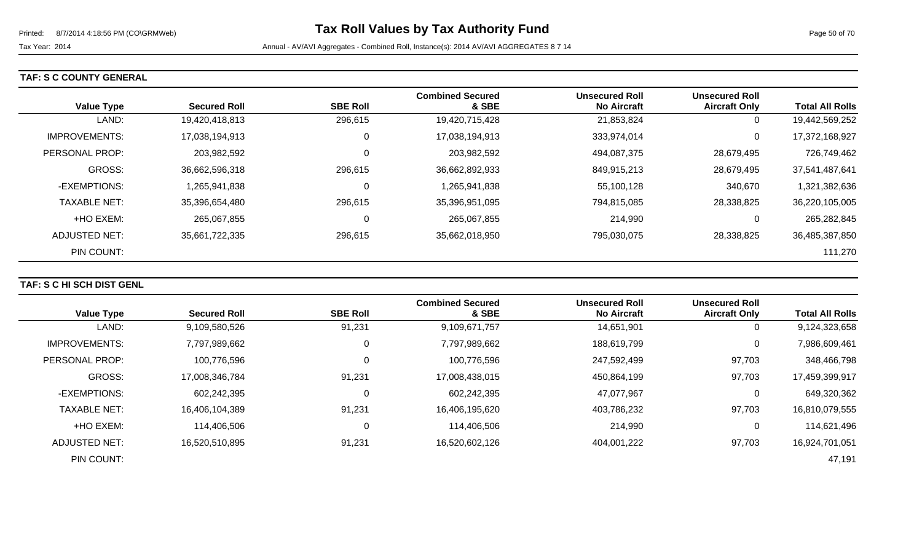### **TAF: S C COUNTY GENERAL**

| <b>Value Type</b>    | <b>Secured Roll</b> | <b>SBE Roll</b> | <b>Combined Secured</b><br>& SBE | <b>Unsecured Roll</b><br><b>No Aircraft</b> | <b>Unsecured Roll</b><br><b>Aircraft Only</b> | <b>Total All Rolls</b> |
|----------------------|---------------------|-----------------|----------------------------------|---------------------------------------------|-----------------------------------------------|------------------------|
| LAND:                | 19,420,418,813      | 296,615         | 19,420,715,428                   | 21,853,824                                  | 0                                             | 19,442,569,252         |
| <b>IMPROVEMENTS:</b> | 17,038,194,913      | 0               | 17,038,194,913                   | 333,974,014                                 | 0                                             | 17,372,168,927         |
| PERSONAL PROP:       | 203,982,592         | 0               | 203,982,592                      | 494,087,375                                 | 28,679,495                                    | 726,749,462            |
| <b>GROSS:</b>        | 36,662,596,318      | 296,615         | 36,662,892,933                   | 849,915,213                                 | 28,679,495                                    | 37,541,487,641         |
| -EXEMPTIONS:         | 1,265,941,838       | 0               | 1,265,941,838                    | 55,100,128                                  | 340,670                                       | 1,321,382,636          |
| <b>TAXABLE NET:</b>  | 35,396,654,480      | 296,615         | 35,396,951,095                   | 794,815,085                                 | 28,338,825                                    | 36,220,105,005         |
| +HO EXEM:            | 265,067,855         | 0               | 265,067,855                      | 214,990                                     | 0                                             | 265,282,845            |
| ADJUSTED NET:        | 35,661,722,335      | 296,615         | 35,662,018,950                   | 795,030,075                                 | 28,338,825                                    | 36,485,387,850         |
| PIN COUNT:           |                     |                 |                                  |                                             |                                               | 111,270                |

### **TAF: S C HI SCH DIST GENL**

|                      |                     |                 | <b>Combined Secured</b> | <b>Unsecured Roll</b> | <b>Unsecured Roll</b> |                        |
|----------------------|---------------------|-----------------|-------------------------|-----------------------|-----------------------|------------------------|
| <b>Value Type</b>    | <b>Secured Roll</b> | <b>SBE Roll</b> | & SBE                   | <b>No Aircraft</b>    | <b>Aircraft Only</b>  | <b>Total All Rolls</b> |
| LAND:                | 9,109,580,526       | 91,231          | 9,109,671,757           | 14,651,901            | 0                     | 9,124,323,658          |
| <b>IMPROVEMENTS:</b> | 7,797,989,662       | 0               | 7,797,989,662           | 188,619,799           | 0                     | 7,986,609,461          |
| PERSONAL PROP:       | 100,776,596         | 0               | 100,776,596             | 247,592,499           | 97,703                | 348,466,798            |
| GROSS:               | 17,008,346,784      | 91,231          | 17,008,438,015          | 450,864,199           | 97,703                | 17,459,399,917         |
| -EXEMPTIONS:         | 602,242,395         | 0               | 602,242,395             | 47,077,967            | 0                     | 649,320,362            |
| <b>TAXABLE NET:</b>  | 16,406,104,389      | 91,231          | 16,406,195,620          | 403,786,232           | 97,703                | 16,810,079,555         |
| +HO EXEM:            | 114,406,506         | 0               | 114,406,506             | 214,990               | 0                     | 114,621,496            |
| <b>ADJUSTED NET:</b> | 16,520,510,895      | 91,231          | 16,520,602,126          | 404,001,222           | 97,703                | 16,924,701,051         |
| PIN COUNT:           |                     |                 |                         |                       |                       | 47,191                 |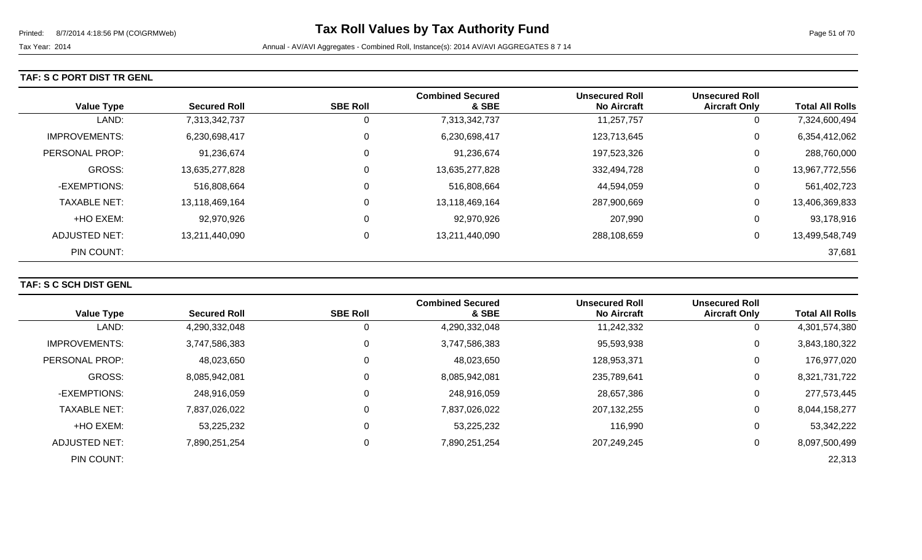### **TAF: S C PORT DIST TR GENL**

| <b>Value Type</b>    | <b>Secured Roll</b> | <b>SBE Roll</b> | <b>Combined Secured</b><br>& SBE | <b>Unsecured Roll</b><br><b>No Aircraft</b> | <b>Unsecured Roll</b><br><b>Aircraft Only</b> | <b>Total All Rolls</b> |
|----------------------|---------------------|-----------------|----------------------------------|---------------------------------------------|-----------------------------------------------|------------------------|
| LAND:                | 7,313,342,737       | 0               | 7,313,342,737                    | 11,257,757                                  | 0                                             | 7,324,600,494          |
| <b>IMPROVEMENTS:</b> | 6,230,698,417       | $\overline{0}$  | 6,230,698,417                    | 123,713,645                                 | 0                                             | 6,354,412,062          |
| PERSONAL PROP:       | 91,236,674          | 0               | 91,236,674                       | 197,523,326                                 | 0                                             | 288,760,000            |
| <b>GROSS:</b>        | 13,635,277,828      | $\overline{0}$  | 13,635,277,828                   | 332,494,728                                 | 0                                             | 13,967,772,556         |
| -EXEMPTIONS:         | 516,808,664         | $\overline{0}$  | 516,808,664                      | 44,594,059                                  | 0                                             | 561,402,723            |
| <b>TAXABLE NET:</b>  | 13,118,469,164      | $\overline{0}$  | 13,118,469,164                   | 287,900,669                                 | 0                                             | 13,406,369,833         |
| +HO EXEM:            | 92,970,926          | $\mathbf 0$     | 92,970,926                       | 207,990                                     | 0                                             | 93,178,916             |
| <b>ADJUSTED NET:</b> | 13,211,440,090      | $\overline{0}$  | 13,211,440,090                   | 288,108,659                                 | 0                                             | 13,499,548,749         |
| PIN COUNT:           |                     |                 |                                  |                                             |                                               | 37,681                 |

#### **TAF: S C SCH DIST GENL**

|                      |                     |                 | <b>Combined Secured</b> | <b>Unsecured Roll</b> | <b>Unsecured Roll</b> |                        |
|----------------------|---------------------|-----------------|-------------------------|-----------------------|-----------------------|------------------------|
| <b>Value Type</b>    | <b>Secured Roll</b> | <b>SBE Roll</b> | & SBE                   | <b>No Aircraft</b>    | <b>Aircraft Only</b>  | <b>Total All Rolls</b> |
| LAND:                | 4,290,332,048       | 0               | 4,290,332,048           | 11,242,332            | 0                     | 4,301,574,380          |
| <b>IMPROVEMENTS:</b> | 3,747,586,383       | 0               | 3,747,586,383           | 95,593,938            | 0                     | 3,843,180,322          |
| PERSONAL PROP:       | 48,023,650          |                 | 48,023,650              | 128,953,371           | 0                     | 176,977,020            |
| GROSS:               | 8,085,942,081       |                 | 8,085,942,081           | 235,789,641           | 0                     | 8,321,731,722          |
| -EXEMPTIONS:         | 248,916,059         | 0               | 248,916,059             | 28,657,386            | 0                     | 277,573,445            |
| <b>TAXABLE NET:</b>  | 7,837,026,022       |                 | 7,837,026,022           | 207,132,255           | 0                     | 8,044,158,277          |
| +HO EXEM:            | 53,225,232          | 0               | 53,225,232              | 116,990               | 0                     | 53,342,222             |
| ADJUSTED NET:        | 7,890,251,254       | 0               | 7,890,251,254           | 207,249,245           | 0                     | 8,097,500,499          |
| PIN COUNT:           |                     |                 |                         |                       |                       | 22,313                 |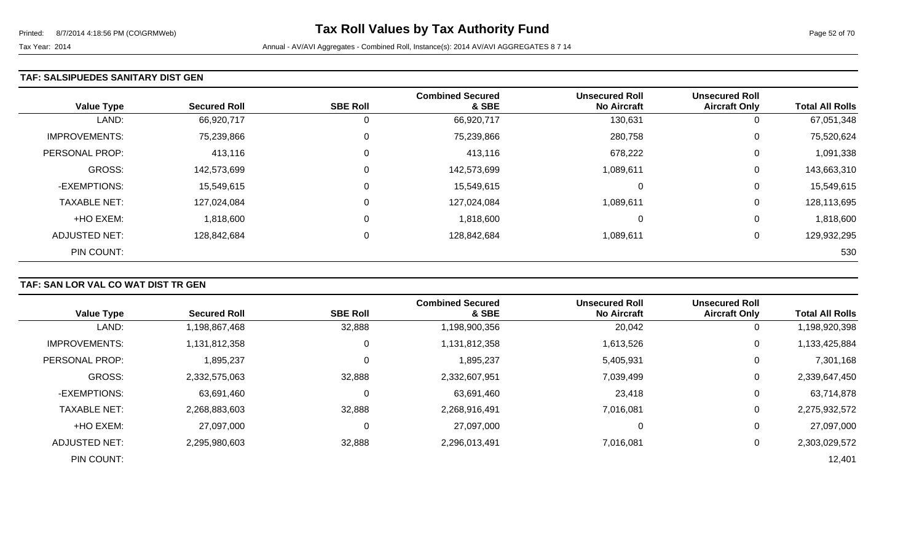#### **TAF: SALSIPUEDES SANITARY DIST GEN**

| <b>Value Type</b>    | <b>Secured Roll</b> | <b>SBE Roll</b> | <b>Combined Secured</b><br>& SBE | <b>Unsecured Roll</b><br><b>No Aircraft</b> | <b>Unsecured Roll</b><br><b>Aircraft Only</b> | <b>Total All Rolls</b> |
|----------------------|---------------------|-----------------|----------------------------------|---------------------------------------------|-----------------------------------------------|------------------------|
| LAND:                | 66,920,717          |                 | 66,920,717                       | 130,631                                     | 0                                             | 67,051,348             |
| <b>IMPROVEMENTS:</b> | 75,239,866          | 0               | 75,239,866                       | 280,758                                     | 0                                             | 75,520,624             |
| PERSONAL PROP:       | 413,116             | $\Omega$        | 413,116                          | 678,222                                     | 0                                             | 1,091,338              |
| <b>GROSS:</b>        | 142,573,699         |                 | 142,573,699                      | 1,089,611                                   | 0                                             | 143,663,310            |
| -EXEMPTIONS:         | 15,549,615          | $\Omega$        | 15,549,615                       | 0                                           | 0                                             | 15,549,615             |
| <b>TAXABLE NET:</b>  | 127,024,084         | $\Omega$        | 127,024,084                      | 1,089,611                                   | 0                                             | 128,113,695            |
| +HO EXEM:            | 1,818,600           | 0               | 1,818,600                        | 0                                           | 0                                             | 1,818,600              |
| ADJUSTED NET:        | 128,842,684         | 0               | 128,842,684                      | 1,089,611                                   | 0                                             | 129,932,295            |
| PIN COUNT:           |                     |                 |                                  |                                             |                                               | 530                    |

### **TAF: SAN LOR VAL CO WAT DIST TR GEN**

| <b>Value Type</b>    | <b>Secured Roll</b> | <b>SBE Roll</b> | <b>Combined Secured</b><br>& SBE | <b>Unsecured Roll</b><br><b>No Aircraft</b> | <b>Unsecured Roll</b><br><b>Aircraft Only</b> | <b>Total All Rolls</b> |
|----------------------|---------------------|-----------------|----------------------------------|---------------------------------------------|-----------------------------------------------|------------------------|
| LAND:                | 1,198,867,468       | 32,888          | 1,198,900,356                    | 20,042                                      | 0                                             | 1,198,920,398          |
| <b>IMPROVEMENTS:</b> | 1,131,812,358       | 0               | 1,131,812,358                    | 1,613,526                                   | $\mathbf 0$                                   | 1,133,425,884          |
| PERSONAL PROP:       | 1,895,237           | $\Omega$        | 1,895,237                        | 5,405,931                                   | 0                                             | 7,301,168              |
| <b>GROSS:</b>        | 2,332,575,063       | 32,888          | 2,332,607,951                    | 7,039,499                                   | 0                                             | 2,339,647,450          |
| -EXEMPTIONS:         | 63,691,460          | C               | 63,691,460                       | 23,418                                      | 0                                             | 63,714,878             |
| <b>TAXABLE NET:</b>  | 2,268,883,603       | 32,888          | 2,268,916,491                    | 7,016,081                                   | $\mathbf 0$                                   | 2,275,932,572          |
| +HO EXEM:            | 27,097,000          | 0               | 27,097,000                       |                                             | 0                                             | 27,097,000             |
| ADJUSTED NET:        | 2,295,980,603       | 32,888          | 2,296,013,491                    | 7,016,081                                   | 0                                             | 2,303,029,572          |
| PIN COUNT:           |                     |                 |                                  |                                             |                                               | 12,401                 |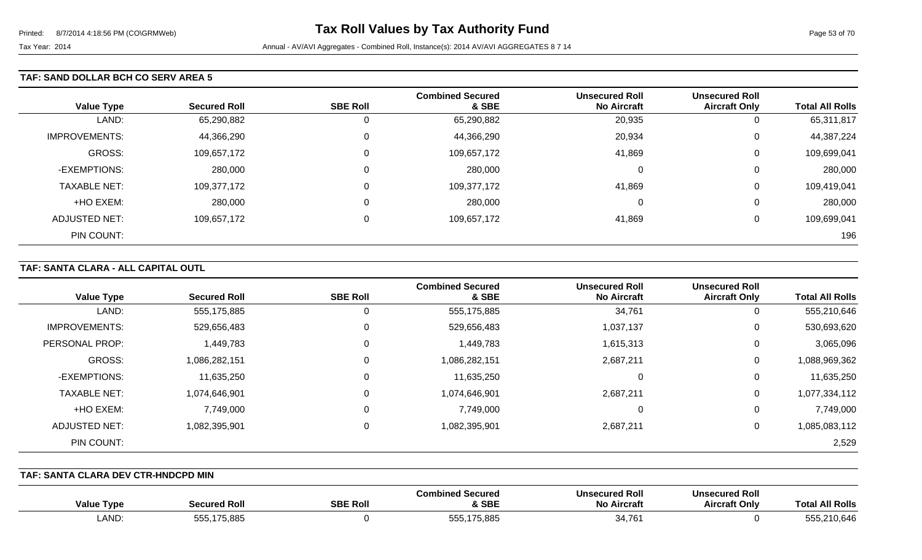#### **TAF: SAND DOLLAR BCH CO SERV AREA 5**

| <b>Value Type</b>    | <b>Secured Roll</b> | <b>SBE Roll</b> | <b>Combined Secured</b><br>& SBE | <b>Unsecured Roll</b><br><b>No Aircraft</b> | <b>Unsecured Roll</b><br><b>Aircraft Only</b> | <b>Total All Rolls</b> |
|----------------------|---------------------|-----------------|----------------------------------|---------------------------------------------|-----------------------------------------------|------------------------|
| LAND:                | 65,290,882          |                 | 65,290,882                       | 20,935                                      | 0                                             | 65,311,817             |
| <b>IMPROVEMENTS:</b> | 44,366,290          | $\Omega$        | 44,366,290                       | 20,934                                      | 0                                             | 44,387,224             |
| GROSS:               | 109,657,172         |                 | 109,657,172                      | 41,869                                      | 0                                             | 109,699,041            |
| -EXEMPTIONS:         | 280,000             |                 | 280,000                          |                                             | 0                                             | 280,000                |
| <b>TAXABLE NET:</b>  | 109,377,172         |                 | 109,377,172                      | 41,869                                      | 0                                             | 109,419,041            |
| +HO EXEM:            | 280,000             |                 | 280,000                          |                                             | 0                                             | 280,000                |
| ADJUSTED NET:        | 109,657,172         | $\Omega$        | 109,657,172                      | 41,869                                      | 0                                             | 109,699,041            |
| PIN COUNT:           |                     |                 |                                  |                                             |                                               | 196                    |

#### **TAF: SANTA CLARA - ALL CAPITAL OUTL**

| <b>Value Type</b>    | <b>Secured Roll</b> | <b>SBE Roll</b> | <b>Combined Secured</b><br>& SBE | <b>Unsecured Roll</b><br><b>No Aircraft</b> | <b>Unsecured Roll</b><br><b>Aircraft Only</b> | <b>Total All Rolls</b> |
|----------------------|---------------------|-----------------|----------------------------------|---------------------------------------------|-----------------------------------------------|------------------------|
| LAND:                | 555,175,885         | 0               | 555,175,885                      | 34,761                                      | 0                                             | 555,210,646            |
| <b>IMPROVEMENTS:</b> | 529,656,483         | 0               | 529,656,483                      | 1,037,137                                   | 0                                             | 530,693,620            |
| PERSONAL PROP:       | 1,449,783           | 0               | 1,449,783                        | 1,615,313                                   | 0                                             | 3,065,096              |
| GROSS:               | 1,086,282,151       | 0               | 1,086,282,151                    | 2,687,211                                   | 0                                             | 1,088,969,362          |
| -EXEMPTIONS:         | 11,635,250          | 0               | 11,635,250                       | 0                                           | 0                                             | 11,635,250             |
| <b>TAXABLE NET:</b>  | 1,074,646,901       | 0               | 1,074,646,901                    | 2,687,211                                   | 0                                             | 1,077,334,112          |
| +HO EXEM:            | 7,749,000           | 0               | 7,749,000                        | 0                                           | 0                                             | 7,749,000              |
| ADJUSTED NET:        | 1,082,395,901       | 0               | 1,082,395,901                    | 2,687,211                                   | 0                                             | 1,085,083,112          |
| PIN COUNT:           |                     |                 |                                  |                                             |                                               | 2,529                  |

**TAF: SANTA CLARA DEV CTR-HNDCPD MIN** 

| <b>Type</b><br>Value | <b>Secured Rol</b>      | <b>SBE Roll</b> | <b>Combined Secured</b><br>& SBE | <b>Unsecured Roll</b><br><b>No Aircraft</b> | secured Roll<br>Uns<br><b>Aircraft Only</b> | <b>All Rolls</b><br>Tota                              |
|----------------------|-------------------------|-----------------|----------------------------------|---------------------------------------------|---------------------------------------------|-------------------------------------------------------|
| LAND:                | ,175,885<br>555<br>JJJ, |                 | 75,885<br>555<br>JJJ,            | λ۶<br>J4. I U I                             |                                             | $---$<br>$\sim$ $\sim$ $\sim$ $\sim$<br>nh.<br>10.040 |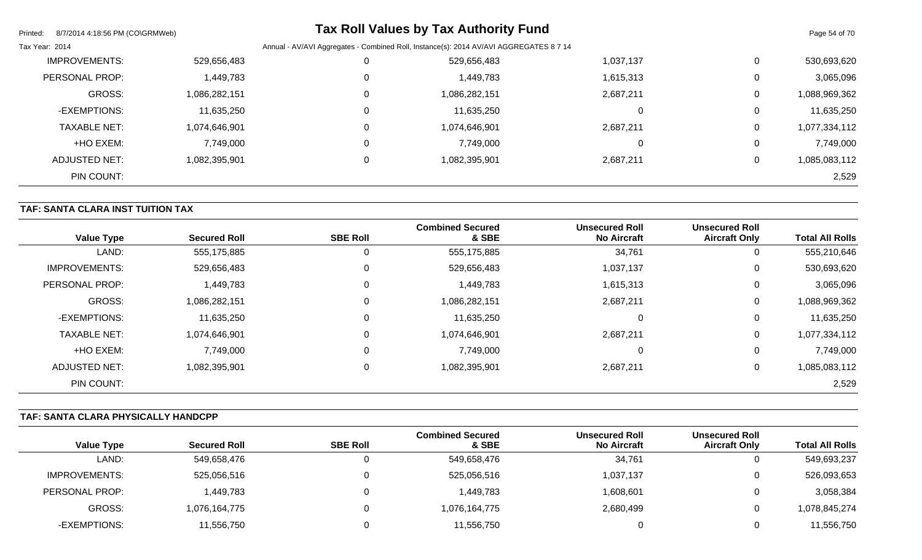| 8/7/2014 4:18:56 PM (CO\GRMWeb)<br>Printed: |               | Tax Roll Values by Tax Authority Fund                                                  |           |   | Page 54 of 70 |
|---------------------------------------------|---------------|----------------------------------------------------------------------------------------|-----------|---|---------------|
| Tax Year: 2014                              |               | Annual - AV/AVI Aggregates - Combined Roll, Instance(s): 2014 AV/AVI AGGREGATES 8 7 14 |           |   |               |
| <b>IMPROVEMENTS:</b>                        | 529,656,483   | 529,656,483                                                                            | 1,037,137 | 0 | 530,693,620   |
| PERSONAL PROP:                              | 1,449,783     | 1,449,783                                                                              | 1,615,313 | 0 | 3,065,096     |
| <b>GROSS:</b>                               | 1,086,282,151 | 1,086,282,151                                                                          | 2,687,211 | 0 | 1,088,969,362 |
| -EXEMPTIONS:                                | 11,635,250    | 11,635,250                                                                             | 0         | 0 | 11,635,250    |
| <b>TAXABLE NET:</b>                         | 1,074,646,901 | 1,074,646,901                                                                          | 2,687,211 | 0 | 1,077,334,112 |
| +HO EXEM:                                   | 7,749,000     | 7,749,000                                                                              | 0         | 0 | 7,749,000     |
| ADJUSTED NET:                               | 1,082,395,901 | 1,082,395,901                                                                          | 2,687,211 | 0 | 1,085,083,112 |
| PIN COUNT:                                  |               |                                                                                        |           |   | 2,529         |

# **TAF: SANTA CLARA INST TUITION TAX**

| <b>Value Type</b>    | <b>Secured Roll</b> | <b>SBE Roll</b> | <b>Combined Secured</b><br>& SBE | <b>Unsecured Roll</b><br><b>No Aircraft</b> | <b>Unsecured Roll</b><br><b>Aircraft Only</b> | <b>Total All Rolls</b> |
|----------------------|---------------------|-----------------|----------------------------------|---------------------------------------------|-----------------------------------------------|------------------------|
| LAND:                | 555,175,885         | 0               | 555,175,885                      | 34,761                                      | υ                                             | 555,210,646            |
| <b>IMPROVEMENTS:</b> | 529,656,483         | $\mathbf 0$     | 529,656,483                      | 1,037,137                                   | U                                             | 530,693,620            |
| PERSONAL PROP:       | 1,449,783           | 0               | 1,449,783                        | 1,615,313                                   | υ                                             | 3,065,096              |
| <b>GROSS:</b>        | 1,086,282,151       | $\mathbf 0$     | 1,086,282,151                    | 2,687,211                                   | 0                                             | 1,088,969,362          |
| -EXEMPTIONS:         | 11,635,250          | 0               | 11,635,250                       | $\Omega$                                    | U                                             | 11,635,250             |
| <b>TAXABLE NET:</b>  | 1,074,646,901       | $\mathbf 0$     | 1,074,646,901                    | 2,687,211                                   | 0                                             | 1,077,334,112          |
| +HO EXEM:            | 7,749,000           | 0               | 7,749,000                        | $\Omega$                                    | 0                                             | 7,749,000              |
| ADJUSTED NET:        | 1,082,395,901       | 0               | 1,082,395,901                    | 2,687,211                                   | 0                                             | 1,085,083,112          |
| PIN COUNT:           |                     |                 |                                  |                                             |                                               | 2,529                  |

## **TAF: SANTA CLARA PHYSICALLY HANDCPP**

|                   |                     |                 | <b>Combined Secured</b> | <b>Unsecured Roll</b> | <b>Unsecured Roll</b> |                        |
|-------------------|---------------------|-----------------|-------------------------|-----------------------|-----------------------|------------------------|
| <b>Value Type</b> | <b>Secured Roll</b> | <b>SBE Roll</b> | & SBE                   | <b>No Aircraft</b>    | <b>Aircraft Only</b>  | <b>Total All Rolls</b> |
| LAND:             | 549,658,476         |                 | 549,658,476             | 34,761                | υ                     | 549,693,237            |
| IMPROVEMENTS:     | 525,056,516         |                 | 525,056,516             | 1,037,137             | 0                     | 526,093,653            |
| PERSONAL PROP:    | ,449,783            |                 | 1,449,783               | 1,608,601             | 0                     | 3,058,384              |
| GROSS:            | 1,076,164,775       |                 | 1,076,164,775           | 2,680,499             | 0                     | 1,078,845,274          |
| -EXEMPTIONS:      | 11,556,750          |                 | 11,556,750              |                       | 0                     | 11,556,750             |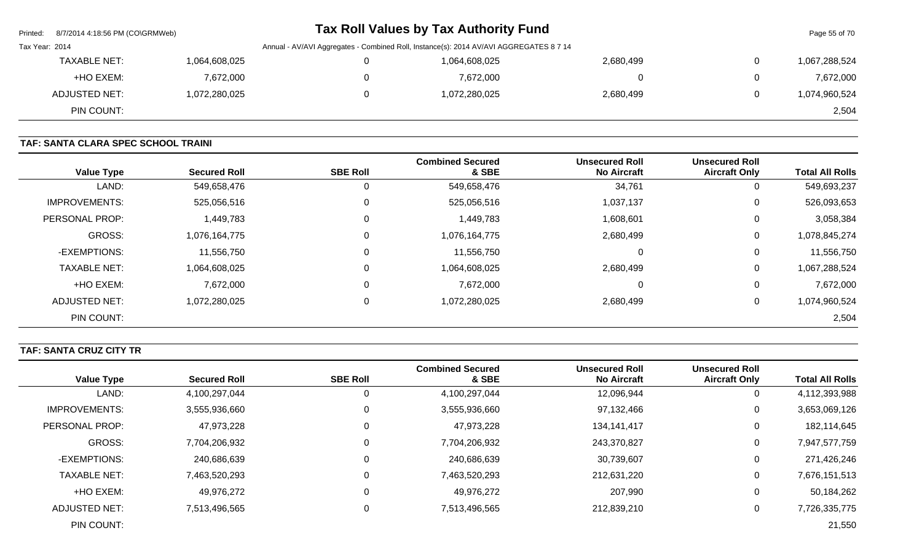| Printed:       | 8/7/2014 4:18:56 PM (CO\GRMWeb) |               |                                                                                        | Tax Roll Values by Tax Authority Fund |           |              | Page 55 of 70 |
|----------------|---------------------------------|---------------|----------------------------------------------------------------------------------------|---------------------------------------|-----------|--------------|---------------|
| Tax Year: 2014 |                                 |               | Annual - AV/AVI Aggregates - Combined Roll, Instance(s): 2014 AV/AVI AGGREGATES 8 7 14 |                                       |           |              |               |
|                | <b>TAXABLE NET:</b>             | 1,064,608,025 |                                                                                        | 1,064,608,025                         | 2,680,499 | $\mathbf{0}$ | 1,067,288,524 |
|                | +HO EXEM:                       | 7,672,000     |                                                                                        | 7,672,000                             |           | $\mathbf{0}$ | 7,672,000     |
|                | ADJUSTED NET:                   | 1,072,280,025 |                                                                                        | 1,072,280,025                         | 2,680,499 | 0            | 1,074,960,524 |
|                | PIN COUNT:                      |               |                                                                                        |                                       |           |              | 2,504         |

# **TAF: SANTA CLARA SPEC SCHOOL TRAINI**

| <b>Value Type</b>    | <b>Secured Roll</b> | <b>SBE Roll</b> | <b>Combined Secured</b><br>& SBE | <b>Unsecured Roll</b><br><b>No Aircraft</b> | <b>Unsecured Roll</b><br><b>Aircraft Only</b> | <b>Total All Rolls</b> |
|----------------------|---------------------|-----------------|----------------------------------|---------------------------------------------|-----------------------------------------------|------------------------|
| LAND:                | 549,658,476         | $\mathbf 0$     | 549,658,476                      | 34,761                                      | U                                             | 549,693,237            |
| <b>IMPROVEMENTS:</b> | 525,056,516         | $\mathbf 0$     | 525,056,516                      | 1,037,137                                   | U                                             | 526,093,653            |
| PERSONAL PROP:       | 1,449,783           | 0               | 1,449,783                        | 1,608,601                                   | 0                                             | 3,058,384              |
| <b>GROSS:</b>        | 1,076,164,775       | 0               | 1,076,164,775                    | 2,680,499                                   | 0                                             | 1,078,845,274          |
| -EXEMPTIONS:         | 11,556,750          | 0               | 11,556,750                       | 0                                           | 0                                             | 11,556,750             |
| <b>TAXABLE NET:</b>  | 1,064,608,025       | $\mathbf 0$     | 1,064,608,025                    | 2,680,499                                   | 0                                             | 1,067,288,524          |
| +HO EXEM:            | 7,672,000           | $\mathbf 0$     | 7,672,000                        | 0                                           | 0                                             | 7,672,000              |
| <b>ADJUSTED NET:</b> | 1,072,280,025       | 0               | 1,072,280,025                    | 2,680,499                                   | 0                                             | 1,074,960,524          |
| PIN COUNT:           |                     |                 |                                  |                                             |                                               | 2,504                  |

# **TAF: SANTA CRUZ CITY TR**

| <b>Value Type</b>     | <b>Secured Roll</b> | <b>SBE Roll</b> | <b>Combined Secured</b><br>& SBE | <b>Unsecured Roll</b><br><b>No Aircraft</b> | <b>Unsecured Roll</b><br><b>Aircraft Only</b> | <b>Total All Rolls</b> |
|-----------------------|---------------------|-----------------|----------------------------------|---------------------------------------------|-----------------------------------------------|------------------------|
| LAND:                 | 4,100,297,044       |                 | 4,100,297,044                    | 12,096,944                                  | 0                                             | 4,112,393,988          |
| <b>IMPROVEMENTS:</b>  | 3,555,936,660       |                 | 3,555,936,660                    | 97,132,466                                  | 0                                             | 3,653,069,126          |
|                       |                     |                 |                                  |                                             |                                               |                        |
| <b>PERSONAL PROP:</b> | 47,973,228          |                 | 47,973,228                       | 134, 141, 417                               | 0                                             | 182,114,645            |
| GROSS:                | 7,704,206,932       |                 | 7,704,206,932                    | 243,370,827                                 | 0                                             | 7,947,577,759          |
| -EXEMPTIONS:          | 240,686,639         |                 | 240,686,639                      | 30,739,607                                  | 0                                             | 271,426,246            |
| <b>TAXABLE NET:</b>   | 7,463,520,293       |                 | 7,463,520,293                    | 212.631.220                                 | 0                                             | 7,676,151,513          |
| +HO EXEM:             | 49,976,272          |                 | 49,976,272                       | 207,990                                     | 0                                             | 50,184,262             |
| ADJUSTED NET:         | 7,513,496,565       |                 | 7,513,496,565                    | 212,839,210                                 | 0                                             | 7,726,335,775          |
| PIN COUNT:            |                     |                 |                                  |                                             |                                               | 21,550                 |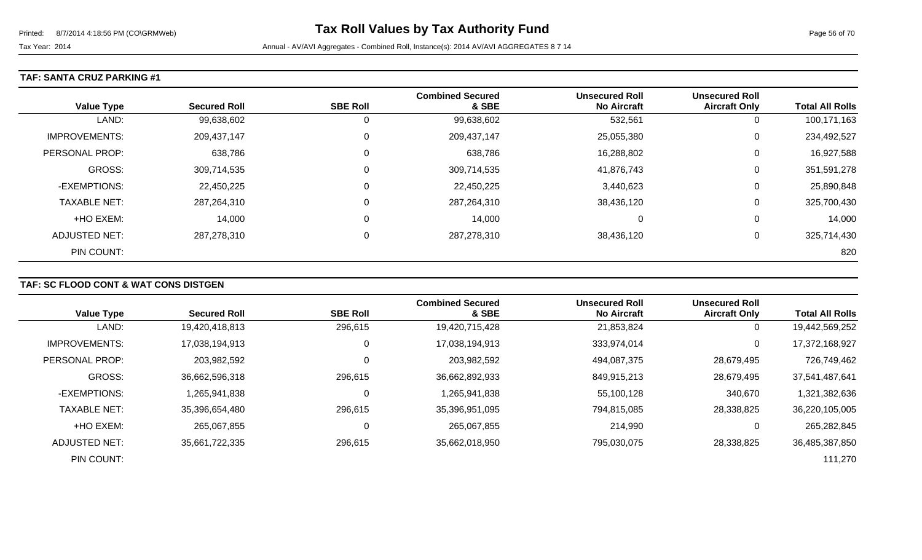#### **TAF: SANTA CRUZ PARKING #1**

| <b>Value Type</b>    | <b>Secured Roll</b> | <b>SBE Roll</b> | <b>Combined Secured</b><br>& SBE | <b>Unsecured Roll</b><br><b>No Aircraft</b> | <b>Unsecured Roll</b><br><b>Aircraft Only</b> | <b>Total All Rolls</b> |
|----------------------|---------------------|-----------------|----------------------------------|---------------------------------------------|-----------------------------------------------|------------------------|
| LAND:                | 99,638,602          | 0               | 99,638,602                       | 532,561                                     | 0                                             | 100,171,163            |
| <b>IMPROVEMENTS:</b> | 209,437,147         | 0               | 209,437,147                      | 25,055,380                                  | 0                                             | 234,492,527            |
| PERSONAL PROP:       | 638,786             | 0               | 638,786                          | 16,288,802                                  | 0                                             | 16,927,588             |
| <b>GROSS:</b>        | 309,714,535         | 0               | 309,714,535                      | 41,876,743                                  | 0                                             | 351,591,278            |
| -EXEMPTIONS:         | 22,450,225          | 0               | 22,450,225                       | 3,440,623                                   | 0                                             | 25,890,848             |
| <b>TAXABLE NET:</b>  | 287,264,310         | 0               | 287,264,310                      | 38,436,120                                  | 0                                             | 325,700,430            |
| +HO EXEM:            | 14,000              | 0               | 14,000                           | $\Omega$                                    | 0                                             | 14,000                 |
| <b>ADJUSTED NET:</b> | 287,278,310         | 0               | 287,278,310                      | 38,436,120                                  | 0                                             | 325,714,430            |
| PIN COUNT:           |                     |                 |                                  |                                             |                                               | 820                    |

### **TAF: SC FLOOD CONT & WAT CONS DISTGEN**

|                      |                     |                 | <b>Combined Secured</b> | <b>Unsecured Roll</b> | <b>Unsecured Roll</b> |                        |
|----------------------|---------------------|-----------------|-------------------------|-----------------------|-----------------------|------------------------|
| <b>Value Type</b>    | <b>Secured Roll</b> | <b>SBE Roll</b> | & SBE                   | <b>No Aircraft</b>    | <b>Aircraft Only</b>  | <b>Total All Rolls</b> |
| LAND:                | 19,420,418,813      | 296,615         | 19,420,715,428          | 21,853,824            | 0                     | 19,442,569,252         |
| <b>IMPROVEMENTS:</b> | 17,038,194,913      | $\Omega$        | 17,038,194,913          | 333,974,014           | $\mathbf 0$           | 17,372,168,927         |
| PERSONAL PROP:       | 203,982,592         | 0               | 203,982,592             | 494,087,375           | 28,679,495            | 726,749,462            |
| GROSS:               | 36,662,596,318      | 296,615         | 36,662,892,933          | 849,915,213           | 28,679,495            | 37,541,487,641         |
| -EXEMPTIONS:         | 1.265.941.838       | $\Omega$        | 1,265,941,838           | 55,100,128            | 340,670               | 1,321,382,636          |
| <b>TAXABLE NET:</b>  | 35,396,654,480      | 296,615         | 35,396,951,095          | 794.815.085           | 28,338,825            | 36,220,105,005         |
| +HO EXEM:            | 265,067,855         | 0               | 265,067,855             | 214,990               | $\mathbf{0}$          | 265,282,845            |
| ADJUSTED NET:        | 35,661,722,335      | 296,615         | 35,662,018,950          | 795,030,075           | 28,338,825            | 36,485,387,850         |
| PIN COUNT:           |                     |                 |                         |                       |                       | 111,270                |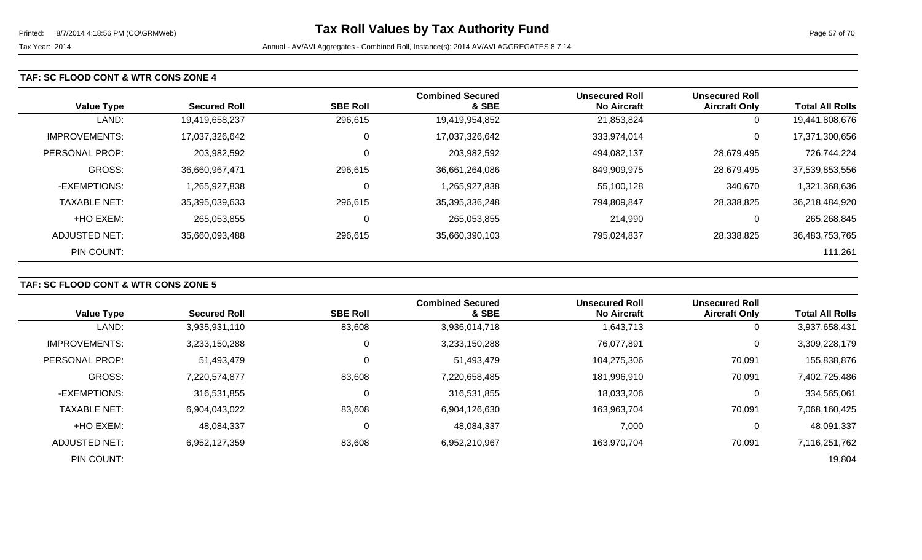#### **TAF: SC FLOOD CONT & WTR CONS ZONE 4**

| <b>Value Type</b>    | <b>Secured Roll</b> | <b>SBE Roll</b> | <b>Combined Secured</b><br>& SBE | <b>Unsecured Roll</b><br><b>No Aircraft</b> | <b>Unsecured Roll</b><br><b>Aircraft Only</b> | <b>Total All Rolls</b> |
|----------------------|---------------------|-----------------|----------------------------------|---------------------------------------------|-----------------------------------------------|------------------------|
| LAND:                | 19,419,658,237      | 296,615         | 19,419,954,852                   | 21,853,824                                  | 0                                             | 19,441,808,676         |
| <b>IMPROVEMENTS:</b> | 17,037,326,642      | 0               | 17,037,326,642                   | 333,974,014                                 | 0                                             | 17,371,300,656         |
| PERSONAL PROP:       | 203,982,592         | 0               | 203,982,592                      | 494,082,137                                 | 28,679,495                                    | 726,744,224            |
| GROSS:               | 36,660,967,471      | 296,615         | 36,661,264,086                   | 849,909,975                                 | 28,679,495                                    | 37,539,853,556         |
| -EXEMPTIONS:         | 1,265,927,838       | 0               | 1,265,927,838                    | 55,100,128                                  | 340,670                                       | 1,321,368,636          |
| <b>TAXABLE NET:</b>  | 35,395,039,633      | 296,615         | 35,395,336,248                   | 794,809,847                                 | 28,338,825                                    | 36,218,484,920         |
| +HO EXEM:            | 265,053,855         | 0               | 265,053,855                      | 214,990                                     | 0                                             | 265,268,845            |
| ADJUSTED NET:        | 35,660,093,488      | 296,615         | 35,660,390,103                   | 795,024,837                                 | 28,338,825                                    | 36,483,753,765         |
| PIN COUNT:           |                     |                 |                                  |                                             |                                               | 111,261                |

### **TAF: SC FLOOD CONT & WTR CONS ZONE 5**

|                      |                     |                 | <b>Combined Secured</b> | <b>Unsecured Roll</b> | <b>Unsecured Roll</b> |                        |
|----------------------|---------------------|-----------------|-------------------------|-----------------------|-----------------------|------------------------|
| <b>Value Type</b>    | <b>Secured Roll</b> | <b>SBE Roll</b> | & SBE                   | <b>No Aircraft</b>    | <b>Aircraft Only</b>  | <b>Total All Rolls</b> |
| LAND:                | 3,935,931,110       | 83,608          | 3,936,014,718           | 1,643,713             | 0                     | 3,937,658,431          |
| <b>IMPROVEMENTS:</b> | 3,233,150,288       | 0               | 3,233,150,288           | 76,077,891            | 0                     | 3,309,228,179          |
| PERSONAL PROP:       | 51,493,479          | 0               | 51,493,479              | 104,275,306           | 70,091                | 155,838,876            |
| <b>GROSS:</b>        | 7,220,574,877       | 83,608          | 7,220,658,485           | 181,996,910           | 70,091                | 7,402,725,486          |
| -EXEMPTIONS:         | 316,531,855         | 0               | 316,531,855             | 18,033,206            | 0                     | 334,565,061            |
| <b>TAXABLE NET:</b>  | 6,904,043,022       | 83,608          | 6,904,126,630           | 163,963,704           | 70,091                | 7,068,160,425          |
| +HO EXEM:            | 48,084,337          | $\mathbf 0$     | 48,084,337              | 7,000                 | 0                     | 48,091,337             |
| ADJUSTED NET:        | 6,952,127,359       | 83,608          | 6,952,210,967           | 163,970,704           | 70,091                | 7,116,251,762          |
| PIN COUNT:           |                     |                 |                         |                       |                       | 19,804                 |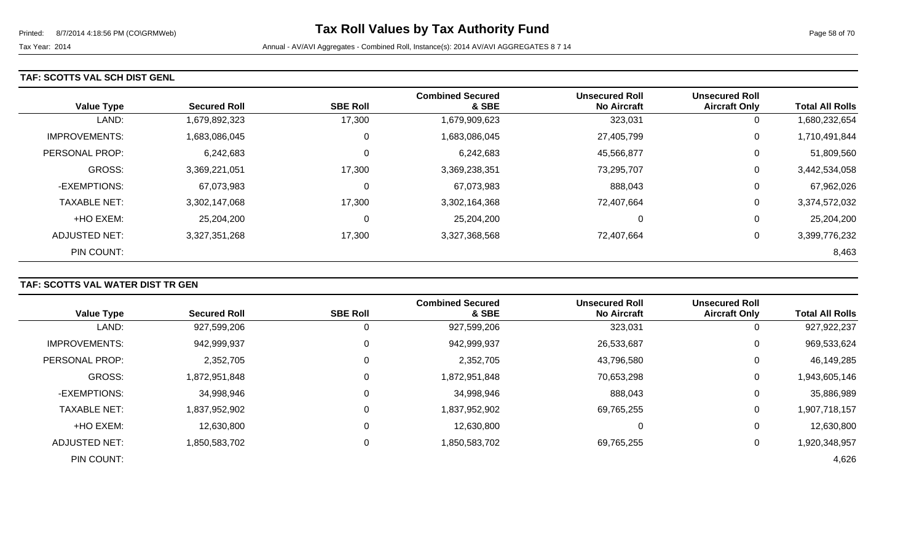#### **TAF: SCOTTS VAL SCH DIST GENL**

| <b>Value Type</b>    | <b>Secured Roll</b> | <b>SBE Roll</b> | <b>Combined Secured</b><br>& SBE | <b>Unsecured Roll</b><br><b>No Aircraft</b> | <b>Unsecured Roll</b><br><b>Aircraft Only</b> | <b>Total All Rolls</b> |
|----------------------|---------------------|-----------------|----------------------------------|---------------------------------------------|-----------------------------------------------|------------------------|
| LAND:                | 1,679,892,323       | 17,300          | 1,679,909,623                    | 323,031                                     | 0                                             | 1,680,232,654          |
| <b>IMPROVEMENTS:</b> | 1,683,086,045       | 0               | 1,683,086,045                    | 27,405,799                                  | 0                                             | 1,710,491,844          |
| PERSONAL PROP:       | 6,242,683           | 0               | 6,242,683                        | 45,566,877                                  | 0                                             | 51,809,560             |
| <b>GROSS:</b>        | 3,369,221,051       | 17,300          | 3,369,238,351                    | 73,295,707                                  | 0                                             | 3,442,534,058          |
| -EXEMPTIONS:         | 67,073,983          | 0               | 67,073,983                       | 888,043                                     | 0                                             | 67,962,026             |
| <b>TAXABLE NET:</b>  | 3,302,147,068       | 17,300          | 3,302,164,368                    | 72,407,664                                  | 0                                             | 3,374,572,032          |
| +HO EXEM:            | 25,204,200          | 0               | 25,204,200                       | 0                                           | 0                                             | 25,204,200             |
| ADJUSTED NET:        | 3,327,351,268       | 17,300          | 3,327,368,568                    | 72,407,664                                  | 0                                             | 3,399,776,232          |
| PIN COUNT:           |                     |                 |                                  |                                             |                                               | 8,463                  |

### **TAF: SCOTTS VAL WATER DIST TR GEN**

|                      |                     |                 | <b>Combined Secured</b> | <b>Unsecured Roll</b> | <b>Unsecured Roll</b> |                        |
|----------------------|---------------------|-----------------|-------------------------|-----------------------|-----------------------|------------------------|
| <b>Value Type</b>    | <b>Secured Roll</b> | <b>SBE Roll</b> | & SBE                   | <b>No Aircraft</b>    | <b>Aircraft Only</b>  | <b>Total All Rolls</b> |
| LAND:                | 927,599,206         | 0               | 927,599,206             | 323,031               | 0                     | 927,922,237            |
| <b>IMPROVEMENTS:</b> | 942,999,937         | 0               | 942,999,937             | 26,533,687            | 0                     | 969,533,624            |
| PERSONAL PROP:       | 2,352,705           | 0               | 2,352,705               | 43,796,580            | 0                     | 46,149,285             |
| <b>GROSS:</b>        | 1,872,951,848       | 0               | 1,872,951,848           | 70,653,298            | 0                     | 1,943,605,146          |
| -EXEMPTIONS:         | 34,998,946          | 0               | 34,998,946              | 888,043               | 0                     | 35,886,989             |
| <b>TAXABLE NET:</b>  | 1,837,952,902       | $\Omega$        | 1,837,952,902           | 69,765,255            | $\mathbf 0$           | 1,907,718,157          |
| +HO EXEM:            | 12,630,800          | 0               | 12,630,800              | 0                     | $\overline{0}$        | 12,630,800             |
| <b>ADJUSTED NET:</b> | 1,850,583,702       | 0               | 1,850,583,702           | 69,765,255            | 0                     | 1,920,348,957          |
| PIN COUNT:           |                     |                 |                         |                       |                       | 4,626                  |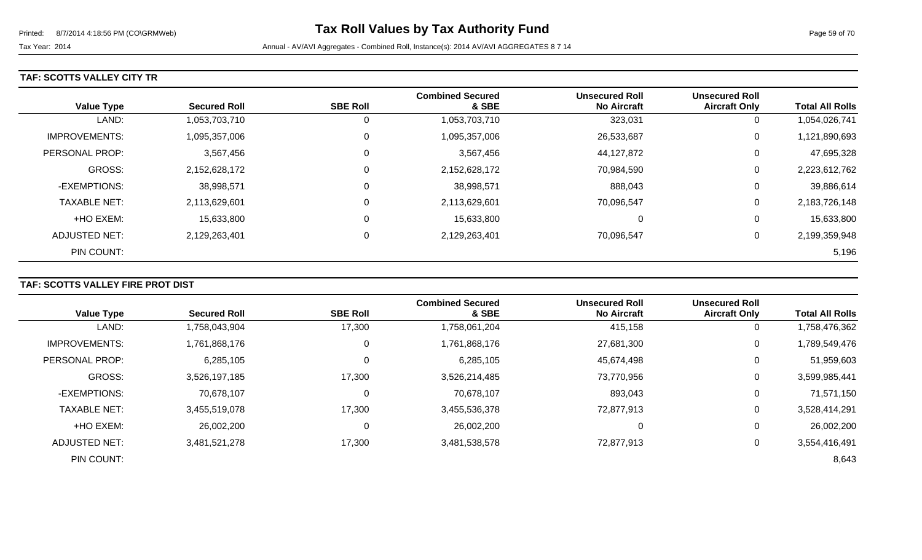#### **TAF: SCOTTS VALLEY CITY TR**

| <b>Value Type</b>    | <b>Secured Roll</b> | <b>SBE Roll</b> | <b>Combined Secured</b><br>& SBE | <b>Unsecured Roll</b><br><b>No Aircraft</b> | <b>Unsecured Roll</b><br><b>Aircraft Only</b> | <b>Total All Rolls</b> |
|----------------------|---------------------|-----------------|----------------------------------|---------------------------------------------|-----------------------------------------------|------------------------|
| LAND:                | 1,053,703,710       | 0               | 1,053,703,710                    | 323,031                                     | 0                                             | 1,054,026,741          |
| <b>IMPROVEMENTS:</b> | 1,095,357,006       | 0               | 1,095,357,006                    | 26,533,687                                  | 0                                             | 1,121,890,693          |
| PERSONAL PROP:       | 3,567,456           | 0               | 3,567,456                        | 44,127,872                                  | 0                                             | 47,695,328             |
| <b>GROSS:</b>        | 2,152,628,172       | 0               | 2,152,628,172                    | 70,984,590                                  | 0                                             | 2,223,612,762          |
| -EXEMPTIONS:         | 38,998,571          | 0               | 38,998,571                       | 888,043                                     | 0                                             | 39,886,614             |
| <b>TAXABLE NET:</b>  | 2,113,629,601       | 0               | 2,113,629,601                    | 70,096,547                                  | 0                                             | 2,183,726,148          |
| +HO EXEM:            | 15,633,800          | 0               | 15,633,800                       | 0                                           | 0                                             | 15,633,800             |
| ADJUSTED NET:        | 2,129,263,401       | 0               | 2,129,263,401                    | 70,096,547                                  | 0                                             | 2,199,359,948          |
| PIN COUNT:           |                     |                 |                                  |                                             |                                               | 5,196                  |

### **TAF: SCOTTS VALLEY FIRE PROT DIST**

| <b>Value Type</b>     | <b>Secured Roll</b> | <b>SBE Roll</b> | <b>Combined Secured</b><br>& SBE | <b>Unsecured Roll</b><br><b>No Aircraft</b> | <b>Unsecured Roll</b><br><b>Aircraft Only</b> | <b>Total All Rolls</b> |
|-----------------------|---------------------|-----------------|----------------------------------|---------------------------------------------|-----------------------------------------------|------------------------|
| LAND:                 | 1,758,043,904       | 17,300          | 1,758,061,204                    | 415,158                                     | 0                                             | 1,758,476,362          |
| <b>IMPROVEMENTS:</b>  | 1,761,868,176       | 0               | 1,761,868,176                    | 27,681,300                                  | $\mathbf 0$                                   | 1,789,549,476          |
| <b>PERSONAL PROP:</b> | 6,285,105           | 0               | 6,285,105                        | 45,674,498                                  | 0                                             | 51,959,603             |
| <b>GROSS:</b>         | 3,526,197,185       | 17,300          | 3,526,214,485                    | 73,770,956                                  | 0                                             | 3,599,985,441          |
| -EXEMPTIONS:          | 70,678,107          | 0               | 70,678,107                       | 893,043                                     | 0                                             | 71,571,150             |
| <b>TAXABLE NET:</b>   | 3,455,519,078       | 17,300          | 3,455,536,378                    | 72,877,913                                  | 0                                             | 3,528,414,291          |
| +HO EXEM:             | 26,002,200          | $\pmb{0}$       | 26,002,200                       | 0                                           | 0                                             | 26,002,200             |
| ADJUSTED NET:         | 3,481,521,278       | 17,300          | 3,481,538,578                    | 72,877,913                                  | 0                                             | 3,554,416,491          |
| PIN COUNT:            |                     |                 |                                  |                                             |                                               | 8,643                  |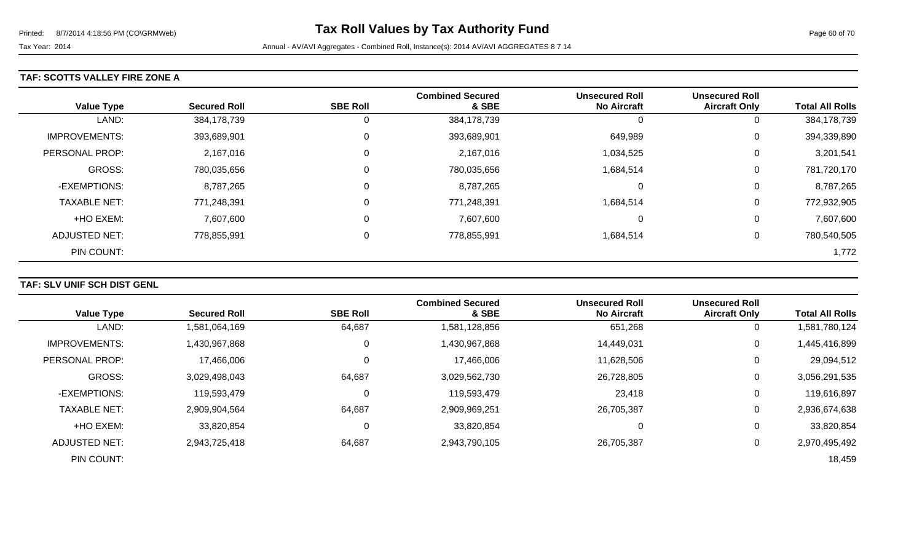### **TAF: SCOTTS VALLEY FIRE ZONE A**

| <b>Value Type</b>    | <b>Secured Roll</b> | <b>SBE Roll</b> | <b>Combined Secured</b><br>& SBE | <b>Unsecured Roll</b><br><b>No Aircraft</b> | <b>Unsecured Roll</b><br><b>Aircraft Only</b> | <b>Total All Rolls</b> |
|----------------------|---------------------|-----------------|----------------------------------|---------------------------------------------|-----------------------------------------------|------------------------|
| LAND:                | 384,178,739         | 0               | 384,178,739                      | U                                           | 0                                             | 384,178,739            |
| <b>IMPROVEMENTS:</b> | 393,689,901         | $\mathbf 0$     | 393,689,901                      | 649,989                                     | 0                                             | 394,339,890            |
| PERSONAL PROP:       | 2,167,016           | 0               | 2,167,016                        | 1,034,525                                   | 0                                             | 3,201,541              |
| <b>GROSS:</b>        | 780,035,656         | $\overline{0}$  | 780,035,656                      | 1,684,514                                   | 0                                             | 781,720,170            |
| -EXEMPTIONS:         | 8,787,265           | $\mathbf 0$     | 8,787,265                        | O                                           | 0                                             | 8,787,265              |
| <b>TAXABLE NET:</b>  | 771,248,391         | $\mathbf 0$     | 771,248,391                      | 1,684,514                                   | 0                                             | 772,932,905            |
| +HO EXEM:            | 7,607,600           | $\mathbf 0$     | 7,607,600                        | 0                                           | 0                                             | 7,607,600              |
| ADJUSTED NET:        | 778,855,991         | 0               | 778,855,991                      | 1,684,514                                   | 0                                             | 780,540,505            |
| PIN COUNT:           |                     |                 |                                  |                                             |                                               | 1,772                  |

### **TAF: SLV UNIF SCH DIST GENL**

| <b>Value Type</b>     | <b>Secured Roll</b> | <b>SBE Roll</b> | <b>Combined Secured</b><br>& SBE | <b>Unsecured Roll</b><br><b>No Aircraft</b> | <b>Unsecured Roll</b><br><b>Aircraft Only</b> | <b>Total All Rolls</b> |
|-----------------------|---------------------|-----------------|----------------------------------|---------------------------------------------|-----------------------------------------------|------------------------|
| LAND:                 | 1,581,064,169       | 64,687          | 1,581,128,856                    | 651,268                                     | 0                                             | 1,581,780,124          |
| <b>IMPROVEMENTS:</b>  | 1,430,967,868       | 0               | 1,430,967,868                    | 14,449,031                                  | 0                                             | 1,445,416,899          |
| <b>PERSONAL PROP:</b> | 17,466,006          |                 | 17,466,006                       | 11,628,506                                  | 0                                             | 29,094,512             |
| <b>GROSS:</b>         | 3,029,498,043       | 64,687          | 3,029,562,730                    | 26,728,805                                  | 0                                             | 3,056,291,535          |
| -EXEMPTIONS:          | 119,593,479         |                 | 119,593,479                      | 23,418                                      | 0                                             | 119,616,897            |
| <b>TAXABLE NET:</b>   | 2,909,904,564       | 64,687          | 2,909,969,251                    | 26,705,387                                  | $\mathbf 0$                                   | 2,936,674,638          |
| +HO EXEM:             | 33,820,854          | 0               | 33,820,854                       | 0                                           | 0                                             | 33,820,854             |
| ADJUSTED NET:         | 2,943,725,418       | 64,687          | 2,943,790,105                    | 26,705,387                                  | 0                                             | 2,970,495,492          |
| PIN COUNT:            |                     |                 |                                  |                                             |                                               | 18,459                 |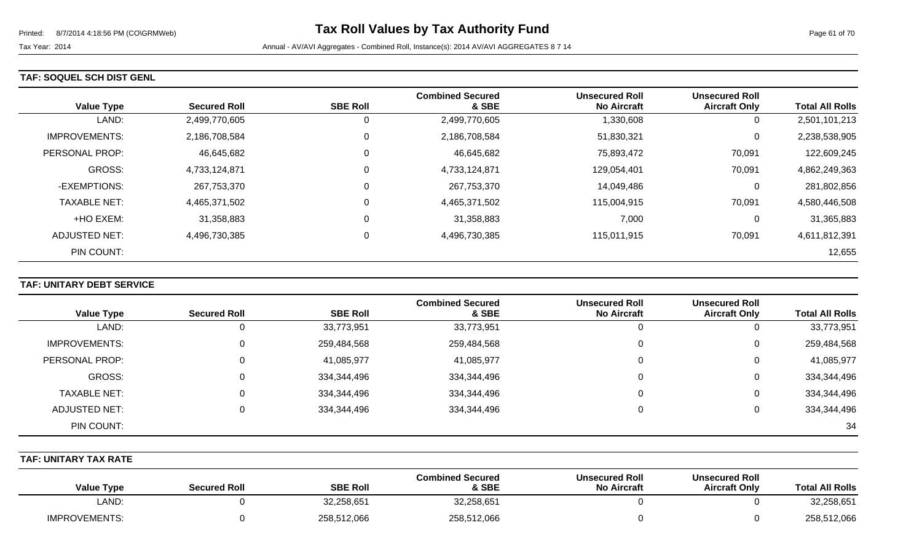#### **TAF: SOQUEL SCH DIST GENL**

| <b>Value Type</b>    | <b>Secured Roll</b> | <b>SBE Roll</b> | <b>Combined Secured</b><br>& SBE | <b>Unsecured Roll</b><br><b>No Aircraft</b> | <b>Unsecured Roll</b><br><b>Aircraft Only</b> | <b>Total All Rolls</b> |
|----------------------|---------------------|-----------------|----------------------------------|---------------------------------------------|-----------------------------------------------|------------------------|
| LAND:                | 2,499,770,605       | 0               | 2,499,770,605                    | 1,330,608                                   | 0                                             | 2,501,101,213          |
| <b>IMPROVEMENTS:</b> | 2,186,708,584       | 0               | 2,186,708,584                    | 51,830,321                                  | 0                                             | 2,238,538,905          |
| PERSONAL PROP:       | 46,645,682          | 0               | 46,645,682                       | 75,893,472                                  | 70,091                                        | 122,609,245            |
| <b>GROSS:</b>        | 4,733,124,871       | 0               | 4,733,124,871                    | 129,054,401                                 | 70,091                                        | 4,862,249,363          |
| -EXEMPTIONS:         | 267,753,370         | 0               | 267,753,370                      | 14.049.486                                  | 0                                             | 281,802,856            |
| <b>TAXABLE NET:</b>  | 4,465,371,502       | 0               | 4,465,371,502                    | 115,004,915                                 | 70,091                                        | 4,580,446,508          |
| +HO EXEM:            | 31,358,883          | 0               | 31,358,883                       | 7,000                                       | 0                                             | 31,365,883             |
| <b>ADJUSTED NET:</b> | 4,496,730,385       | 0               | 4,496,730,385                    | 115,011,915                                 | 70,091                                        | 4,611,812,391          |
| PIN COUNT:           |                     |                 |                                  |                                             |                                               | 12,655                 |

### **TAF: UNITARY DEBT SERVICE**

|                      |                     |                 | <b>Combined Secured</b> | <b>Unsecured Roll</b> | <b>Unsecured Roll</b> |                        |
|----------------------|---------------------|-----------------|-------------------------|-----------------------|-----------------------|------------------------|
| <b>Value Type</b>    | <b>Secured Roll</b> | <b>SBE Roll</b> | & SBE                   | <b>No Aircraft</b>    | <b>Aircraft Only</b>  | <b>Total All Rolls</b> |
| LAND:                |                     | 33,773,951      | 33,773,951              | 0                     |                       | 33,773,951             |
| <b>IMPROVEMENTS:</b> |                     | 259,484,568     | 259,484,568             | 0                     | 0                     | 259,484,568            |
| PERSONAL PROP:       |                     | 41,085,977      | 41,085,977              | 0                     | 0                     | 41,085,977             |
| GROSS:               |                     | 334,344,496     | 334,344,496             | 0                     | 0                     | 334,344,496            |
| <b>TAXABLE NET:</b>  | 0                   | 334,344,496     | 334,344,496             | 0                     | 0                     | 334,344,496            |
| ADJUSTED NET:        |                     | 334,344,496     | 334,344,496             | $\Omega$              | 0                     | 334,344,496            |
| PIN COUNT:           |                     |                 |                         |                       |                       | 34                     |

#### **TAF: UNITARY TAX RATE**

| <b>Value Type</b>    | <b>Secured Roll</b> | <b>SBE Roll</b> | <b>Combined Secured</b><br>& SBE | <b>Unsecured Roll</b><br><b>No Aircraft</b> | <b>Unsecured Roll</b><br><b>Aircraft Only</b> | <b>Total All Rolls</b> |
|----------------------|---------------------|-----------------|----------------------------------|---------------------------------------------|-----------------------------------------------|------------------------|
| LAND:                |                     | 32,258,651      | 32,258,651                       |                                             |                                               | 32,258,651             |
| <b>IMPROVEMENTS:</b> |                     | 258,512,066     | 258,512,066                      |                                             |                                               | 258,512,066            |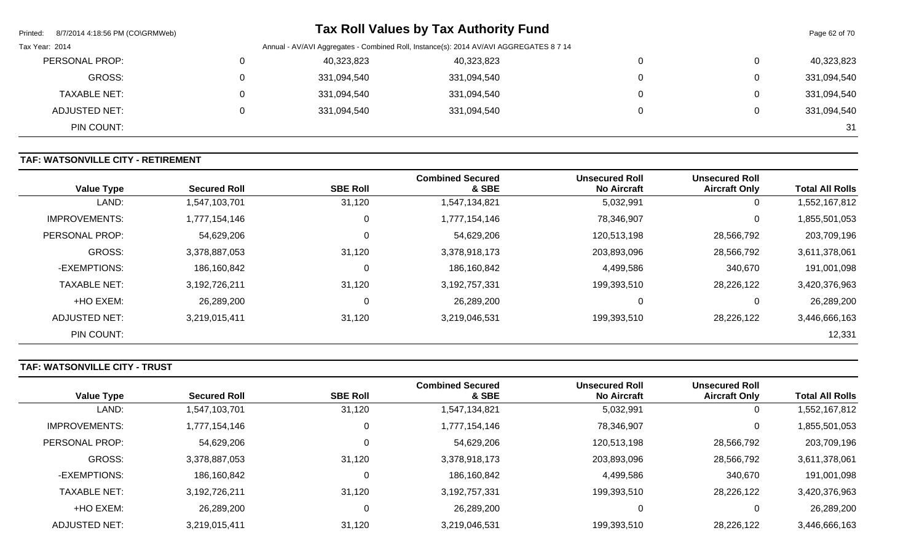| Printed:<br>8/7/2014 4:18:56 PM (CO\GRMWeb) |             | <b>Tax Roll Values by Tax Authority Fund</b>                                           |   |   | Page 62 of 70 |
|---------------------------------------------|-------------|----------------------------------------------------------------------------------------|---|---|---------------|
| Tax Year: 2014                              |             | Annual - AV/AVI Aggregates - Combined Roll, Instance(s): 2014 AV/AVI AGGREGATES 8 7 14 |   |   |               |
| PERSONAL PROP:                              | 40,323,823  | 40,323,823                                                                             | 0 |   | 40,323,823    |
| GROSS:                                      | 331,094,540 | 331,094,540                                                                            | 0 | 0 | 331,094,540   |
| <b>TAXABLE NET:</b>                         | 331,094,540 | 331,094,540                                                                            | 0 |   | 331,094,540   |
| ADJUSTED NET:                               | 331,094,540 | 331,094,540                                                                            | 0 |   | 331,094,540   |
| PIN COUNT:                                  |             |                                                                                        |   |   | 31            |

### **TAF: WATSONVILLE CITY - RETIREMENT**

| <b>Value Type</b>    | <b>Secured Roll</b> | <b>SBE Roll</b> | <b>Combined Secured</b><br>& SBE | <b>Unsecured Roll</b><br><b>No Aircraft</b> | <b>Unsecured Roll</b><br><b>Aircraft Only</b> | <b>Total All Rolls</b> |
|----------------------|---------------------|-----------------|----------------------------------|---------------------------------------------|-----------------------------------------------|------------------------|
| LAND:                | 1,547,103,701       | 31,120          | 1,547,134,821                    | 5,032,991                                   | 0                                             | 1,552,167,812          |
| <b>IMPROVEMENTS:</b> | 1,777,154,146       | 0               | 1,777,154,146                    | 78,346,907                                  | 0                                             | 1,855,501,053          |
| PERSONAL PROP:       | 54,629,206          | $\mathbf 0$     | 54,629,206                       | 120,513,198                                 | 28,566,792                                    | 203,709,196            |
| <b>GROSS:</b>        | 3,378,887,053       | 31,120          | 3,378,918,173                    | 203,893,096                                 | 28,566,792                                    | 3,611,378,061          |
| -EXEMPTIONS:         | 186,160,842         | $\mathbf 0$     | 186,160,842                      | 4,499,586                                   | 340,670                                       | 191,001,098            |
| <b>TAXABLE NET:</b>  | 3,192,726,211       | 31,120          | 3,192,757,331                    | 199,393,510                                 | 28,226,122                                    | 3,420,376,963          |
| +HO EXEM:            | 26,289,200          | 0               | 26,289,200                       | 0                                           | 0                                             | 26,289,200             |
| ADJUSTED NET:        | 3,219,015,411       | 31,120          | 3,219,046,531                    | 199,393,510                                 | 28,226,122                                    | 3,446,666,163          |
| PIN COUNT:           |                     |                 |                                  |                                             |                                               | 12,331                 |

# **TAF: WATSONVILLE CITY - TRUST**

|                      | <b>Secured Roll</b> | <b>SBE Roll</b> | <b>Combined Secured</b><br>& SBE | <b>Unsecured Roll</b> | <b>Unsecured Roll</b> | <b>Total All Rolls</b> |
|----------------------|---------------------|-----------------|----------------------------------|-----------------------|-----------------------|------------------------|
| <b>Value Type</b>    |                     |                 |                                  | <b>No Aircraft</b>    | <b>Aircraft Only</b>  |                        |
| LAND:                | 1,547,103,701       | 31,120          | 1,547,134,821                    | 5,032,991             | 0                     | 1,552,167,812          |
| <b>IMPROVEMENTS:</b> | 1,777,154,146       | 0               | 1,777,154,146                    | 78,346,907            | 0                     | 1,855,501,053          |
| PERSONAL PROP:       | 54,629,206          |                 | 54,629,206                       | 120,513,198           | 28,566,792            | 203,709,196            |
| GROSS:               | 3,378,887,053       | 31,120          | 3,378,918,173                    | 203,893,096           | 28,566,792            | 3,611,378,061          |
| -EXEMPTIONS:         | 186,160,842         |                 | 186,160,842                      | 4,499,586             | 340,670               | 191,001,098            |
| <b>TAXABLE NET:</b>  | 3,192,726,211       | 31,120          | 3,192,757,331                    | 199,393,510           | 28,226,122            | 3,420,376,963          |
| +HO EXEM:            | 26,289,200          |                 | 26,289,200                       | υ                     | 0                     | 26,289,200             |
| ADJUSTED NET:        | 3,219,015,411       | 31,120          | 3,219,046,531                    | 199,393,510           | 28,226,122            | 3,446,666,163          |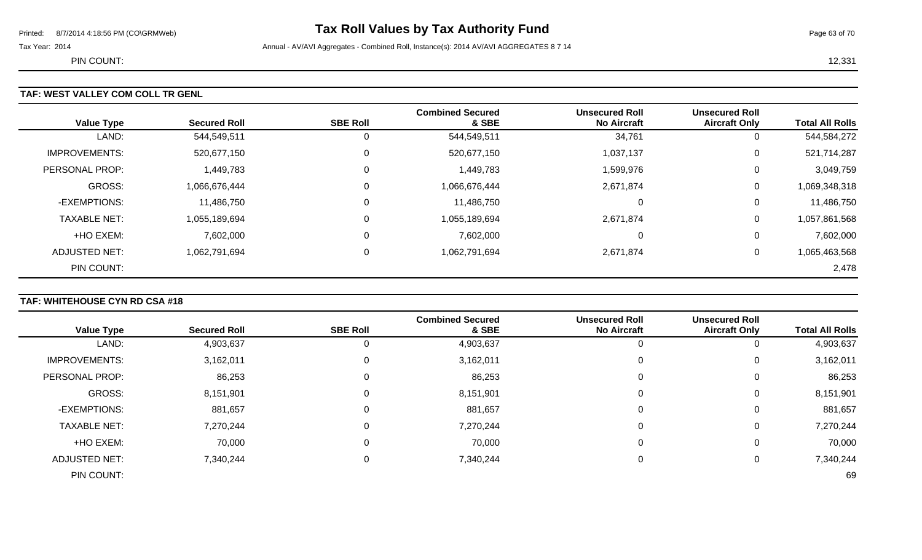# Printed: 8/7/2014 4:18:56 PM (CO\GRMWeb) **Tax Roll Values by Tax Authority Fund** Page 63 of 70

Tax Year: 2014 **Annual - AV/AVI Aggregates - Combined Roll, Instance(s): 2014 AV/AVI AGGREGATES 8 7 14** 

PIN COUNT: 12,331

# **TAF: WEST VALLEY COM COLL TR GENL**

| <b>Value Type</b>    | <b>Secured Roll</b> | <b>SBE Roll</b> | <b>Combined Secured</b><br>& SBE | <b>Unsecured Roll</b><br><b>No Aircraft</b> | <b>Unsecured Roll</b><br><b>Aircraft Only</b> | <b>Total All Rolls</b> |
|----------------------|---------------------|-----------------|----------------------------------|---------------------------------------------|-----------------------------------------------|------------------------|
| LAND:                | 544,549,511         | 0               | 544,549,511                      | 34,761                                      | U                                             | 544,584,272            |
| <b>IMPROVEMENTS:</b> | 520,677,150         | 0               | 520,677,150                      | 1,037,137                                   | U                                             | 521,714,287            |
| PERSONAL PROP:       | 1,449,783           | 0               | 1,449,783                        | 1,599,976                                   | 0                                             | 3,049,759              |
| <b>GROSS:</b>        | 1,066,676,444       | 0               | 1,066,676,444                    | 2,671,874                                   | 0                                             | 1,069,348,318          |
| -EXEMPTIONS:         | 11,486,750          | 0               | 11,486,750                       | 0                                           | 0                                             | 11,486,750             |
| <b>TAXABLE NET:</b>  | 1,055,189,694       | 0               | 1,055,189,694                    | 2,671,874                                   | 0                                             | 1,057,861,568          |
| +HO EXEM:            | 7,602,000           | $\mathbf 0$     | 7,602,000                        | $\mathbf 0$                                 | 0                                             | 7,602,000              |
| <b>ADJUSTED NET:</b> | 1,062,791,694       | 0               | 1,062,791,694                    | 2,671,874                                   | 0                                             | 1,065,463,568          |
| PIN COUNT:           |                     |                 |                                  |                                             |                                               | 2,478                  |

### **TAF: WHITEHOUSE CYN RD CSA #18**

|                      |                     |                 | <b>Combined Secured</b> | <b>Unsecured Roll</b> | <b>Unsecured Roll</b> |                        |
|----------------------|---------------------|-----------------|-------------------------|-----------------------|-----------------------|------------------------|
| <b>Value Type</b>    | <b>Secured Roll</b> | <b>SBE Roll</b> | & SBE                   | <b>No Aircraft</b>    | <b>Aircraft Only</b>  | <b>Total All Rolls</b> |
| LAND:                | 4,903,637           | 0               | 4,903,637               |                       |                       | 4,903,637              |
| <b>IMPROVEMENTS:</b> | 3,162,011           | $\mathbf 0$     | 3,162,011               | 0                     |                       | 3,162,011              |
| PERSONAL PROP:       | 86,253              | $\mathbf 0$     | 86,253                  | 0                     | 0                     | 86,253                 |
| GROSS:               | 8,151,901           | 0               | 8,151,901               | 0                     | 0                     | 8,151,901              |
| -EXEMPTIONS:         | 881,657             | $\mathbf 0$     | 881,657                 | $\Omega$              |                       | 881,657                |
| <b>TAXABLE NET:</b>  | 7,270,244           | $\mathbf 0$     | 7,270,244               | $\Omega$              | 0                     | 7,270,244              |
| +HO EXEM:            | 70,000              | 0               | 70,000                  | $\Omega$              |                       | 70,000                 |
| <b>ADJUSTED NET:</b> | 7,340,244           | 0               | 7,340,244               |                       | 0                     | 7,340,244              |
| PIN COUNT:           |                     |                 |                         |                       |                       | 69                     |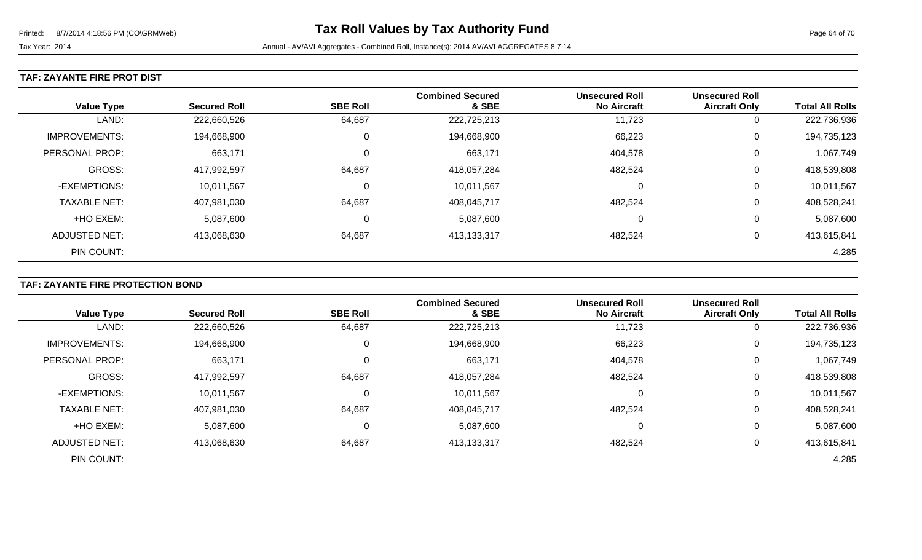#### **TAF: ZAYANTE FIRE PROT DIST**

| <b>Value Type</b>    | <b>Secured Roll</b> | <b>SBE Roll</b> | <b>Combined Secured</b><br>& SBE | <b>Unsecured Roll</b><br><b>No Aircraft</b> | <b>Unsecured Roll</b><br><b>Aircraft Only</b> | <b>Total All Rolls</b> |
|----------------------|---------------------|-----------------|----------------------------------|---------------------------------------------|-----------------------------------------------|------------------------|
| LAND:                | 222,660,526         | 64,687          | 222,725,213                      | 11,723                                      | 0                                             | 222,736,936            |
| <b>IMPROVEMENTS:</b> | 194,668,900         | 0               | 194,668,900                      | 66,223                                      | 0                                             | 194,735,123            |
| PERSONAL PROP:       | 663,171             | 0               | 663,171                          | 404,578                                     | 0                                             | 1,067,749              |
| <b>GROSS:</b>        | 417,992,597         | 64,687          | 418,057,284                      | 482,524                                     | 0                                             | 418,539,808            |
| -EXEMPTIONS:         | 10,011,567          | 0               | 10,011,567                       | 0                                           | 0                                             | 10,011,567             |
| <b>TAXABLE NET:</b>  | 407,981,030         | 64,687          | 408,045,717                      | 482,524                                     | 0                                             | 408,528,241            |
| +HO EXEM:            | 5,087,600           | 0               | 5,087,600                        | 0                                           | 0                                             | 5,087,600              |
| <b>ADJUSTED NET:</b> | 413,068,630         | 64,687          | 413,133,317                      | 482,524                                     | 0                                             | 413,615,841            |
| PIN COUNT:           |                     |                 |                                  |                                             |                                               | 4,285                  |

### **TAF: ZAYANTE FIRE PROTECTION BOND**

|                      |                     |                 | <b>Combined Secured</b> | <b>Unsecured Roll</b> | <b>Unsecured Roll</b> |                        |
|----------------------|---------------------|-----------------|-------------------------|-----------------------|-----------------------|------------------------|
| <b>Value Type</b>    | <b>Secured Roll</b> | <b>SBE Roll</b> | & SBE                   | <b>No Aircraft</b>    | <b>Aircraft Only</b>  | <b>Total All Rolls</b> |
| LAND:                | 222,660,526         | 64,687          | 222,725,213             | 11,723                | 0                     | 222,736,936            |
| <b>IMPROVEMENTS:</b> | 194,668,900         | 0               | 194,668,900             | 66,223                | 0                     | 194,735,123            |
| PERSONAL PROP:       | 663,171             | 0               | 663,171                 | 404,578               | 0                     | 1,067,749              |
| <b>GROSS:</b>        | 417,992,597         | 64,687          | 418,057,284             | 482,524               | $\mathbf 0$           | 418,539,808            |
| -EXEMPTIONS:         | 10,011,567          | 0               | 10,011,567              |                       | 0                     | 10,011,567             |
| <b>TAXABLE NET:</b>  | 407,981,030         | 64,687          | 408,045,717             | 482,524               | 0                     | 408,528,241            |
| +HO EXEM:            | 5,087,600           | $\mathbf 0$     | 5,087,600               |                       | 0                     | 5,087,600              |
| <b>ADJUSTED NET:</b> | 413,068,630         | 64,687          | 413,133,317             | 482,524               | 0                     | 413,615,841            |
| PIN COUNT:           |                     |                 |                         |                       |                       | 4,285                  |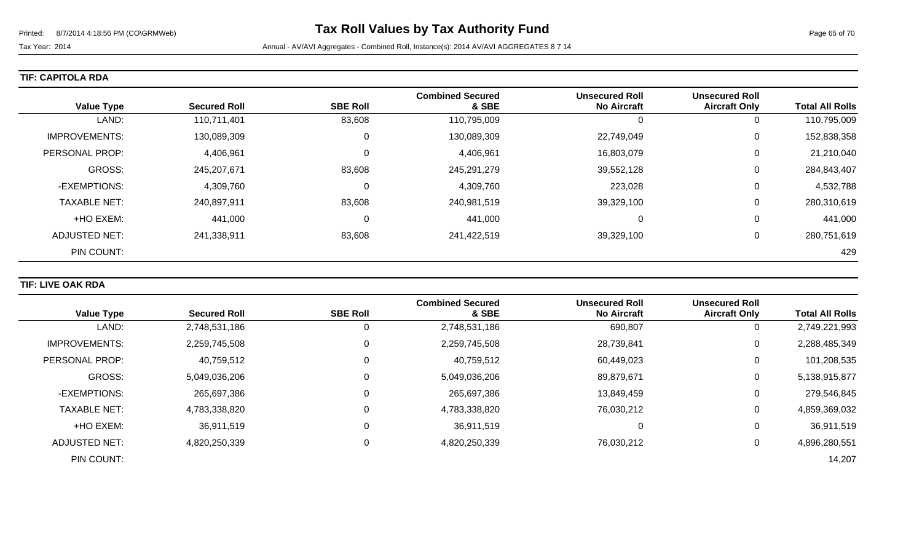### **TIF: CAPITOLA RDA**

| <b>Value Type</b>    | <b>Secured Roll</b> | <b>SBE Roll</b> | <b>Combined Secured</b><br>& SBE | <b>Unsecured Roll</b><br><b>No Aircraft</b> | <b>Unsecured Roll</b><br><b>Aircraft Only</b> | <b>Total All Rolls</b> |
|----------------------|---------------------|-----------------|----------------------------------|---------------------------------------------|-----------------------------------------------|------------------------|
| LAND:                | 110,711,401         | 83,608          | 110,795,009                      | U                                           | 0                                             | 110,795,009            |
| <b>IMPROVEMENTS:</b> | 130,089,309         | 0               | 130,089,309                      | 22,749,049                                  | 0                                             | 152,838,358            |
| PERSONAL PROP:       | 4,406,961           | 0               | 4,406,961                        | 16,803,079                                  | 0                                             | 21,210,040             |
| <b>GROSS:</b>        | 245,207,671         | 83,608          | 245,291,279                      | 39,552,128                                  | 0                                             | 284,843,407            |
| -EXEMPTIONS:         | 4,309,760           | 0               | 4,309,760                        | 223,028                                     | 0                                             | 4,532,788              |
| <b>TAXABLE NET:</b>  | 240,897,911         | 83,608          | 240,981,519                      | 39,329,100                                  | 0                                             | 280,310,619            |
| +HO EXEM:            | 441,000             | 0               | 441,000                          | 0                                           | 0                                             | 441,000                |
| ADJUSTED NET:        | 241,338,911         | 83,608          | 241,422,519                      | 39,329,100                                  | 0                                             | 280,751,619            |
| PIN COUNT:           |                     |                 |                                  |                                             |                                               | 429                    |

### **TIF: LIVE OAK RDA**

| <b>Value Type</b>    | <b>Secured Roll</b> | <b>SBE Roll</b> | <b>Combined Secured</b><br>& SBE | <b>Unsecured Roll</b><br><b>No Aircraft</b> | <b>Unsecured Roll</b><br><b>Aircraft Only</b> | <b>Total All Rolls</b> |
|----------------------|---------------------|-----------------|----------------------------------|---------------------------------------------|-----------------------------------------------|------------------------|
|                      |                     |                 |                                  |                                             |                                               |                        |
| LAND:                | 2,748,531,186       |                 | 2,748,531,186                    | 690,807                                     | $\overline{0}$                                | 2,749,221,993          |
| <b>IMPROVEMENTS:</b> | 2,259,745,508       |                 | 2,259,745,508                    | 28,739,841                                  | $\mathbf 0$                                   | 2,288,485,349          |
| PERSONAL PROP:       | 40,759,512          | 0               | 40,759,512                       | 60,449,023                                  | 0                                             | 101,208,535            |
| <b>GROSS:</b>        | 5,049,036,206       |                 | 5,049,036,206                    | 89,879,671                                  | 0                                             | 5,138,915,877          |
| -EXEMPTIONS:         | 265,697,386         |                 | 265,697,386                      | 13,849,459                                  | 0                                             | 279,546,845            |
| <b>TAXABLE NET:</b>  | 4,783,338,820       |                 | 4,783,338,820                    | 76,030,212                                  | 0                                             | 4,859,369,032          |
| +HO EXEM:            | 36,911,519          |                 | 36,911,519                       |                                             | 0                                             | 36,911,519             |
| ADJUSTED NET:        | 4,820,250,339       | 0               | 4,820,250,339                    | 76,030,212                                  | 0                                             | 4,896,280,551          |
| PIN COUNT:           |                     |                 |                                  |                                             |                                               | 14,207                 |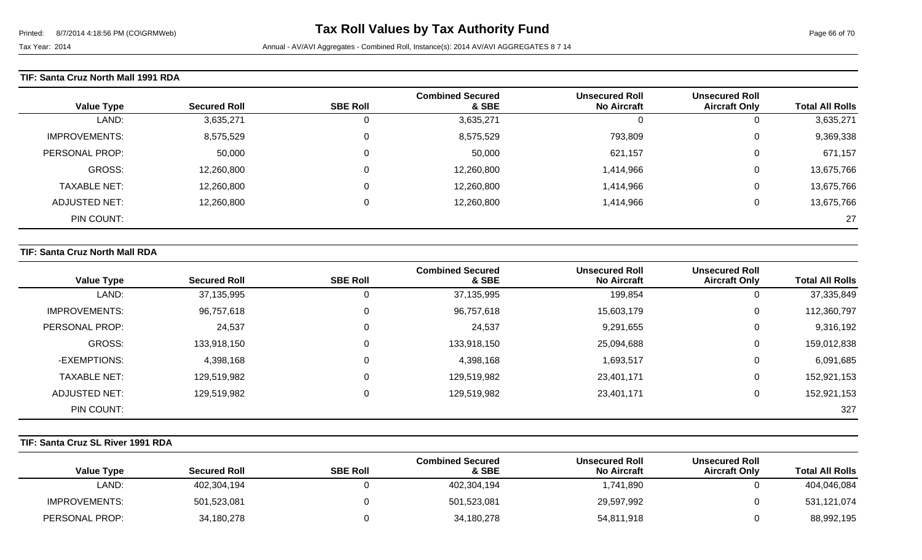#### **TIF: Santa Cruz North Mall 1991 RDA**

| <b>Value Type</b>   | <b>Secured Roll</b> | <b>SBE Roll</b> | <b>Combined Secured</b><br>& SBE | <b>Unsecured Roll</b><br><b>No Aircraft</b> | <b>Unsecured Roll</b><br><b>Aircraft Only</b> | <b>Total All Rolls</b> |
|---------------------|---------------------|-----------------|----------------------------------|---------------------------------------------|-----------------------------------------------|------------------------|
| LAND:               | 3,635,271           |                 | 3,635,271                        |                                             | υ                                             | 3,635,271              |
| IMPROVEMENTS:       | 8,575,529           |                 | 8,575,529                        | 793,809                                     | U                                             | 9,369,338              |
| PERSONAL PROP:      | 50,000              |                 | 50,000                           | 621,157                                     | 0                                             | 671,157                |
| GROSS:              | 12,260,800          |                 | 12,260,800                       | 1,414,966                                   | U                                             | 13,675,766             |
| <b>TAXABLE NET:</b> | 12,260,800          |                 | 12,260,800                       | 1,414,966                                   | 0                                             | 13,675,766             |
| ADJUSTED NET:       | 12,260,800          |                 | 12,260,800                       | 1,414,966                                   | v                                             | 13,675,766             |
| PIN COUNT:          |                     |                 |                                  |                                             |                                               | 27                     |

#### **TIF: Santa Cruz North Mall RDA**

|                       |                     |                 | <b>Combined Secured</b> | <b>Unsecured Roll</b> | <b>Unsecured Roll</b> |                        |
|-----------------------|---------------------|-----------------|-------------------------|-----------------------|-----------------------|------------------------|
| <b>Value Type</b>     | <b>Secured Roll</b> | <b>SBE Roll</b> | & SBE                   | <b>No Aircraft</b>    | <b>Aircraft Only</b>  | <b>Total All Rolls</b> |
| LAND:                 | 37,135,995          | 0               | 37,135,995              | 199,854               | 0                     | 37,335,849             |
| <b>IMPROVEMENTS:</b>  | 96,757,618          | 0               | 96,757,618              | 15,603,179            | 0                     | 112,360,797            |
| <b>PERSONAL PROP:</b> | 24,537              | 0               | 24,537                  | 9,291,655             | 0                     | 9,316,192              |
| GROSS:                | 133,918,150         | 0               | 133,918,150             | 25,094,688            | 0                     | 159,012,838            |
| -EXEMPTIONS:          | 4,398,168           | 0               | 4,398,168               | 1,693,517             | 0                     | 6,091,685              |
| <b>TAXABLE NET:</b>   | 129,519,982         | 0               | 129,519,982             | 23,401,171            | 0                     | 152,921,153            |
| ADJUSTED NET:         | 129,519,982         | 0               | 129,519,982             | 23,401,171            | 0                     | 152,921,153            |
| PIN COUNT:            |                     |                 |                         |                       |                       | 327                    |

#### **TIF: Santa Cruz SL River 1991 RDA**

| <b>Value Type</b>    | <b>Secured Roll</b> | <b>SBE Roll</b> | <b>Combined Secured</b><br>& SBE | Unsecured Roll<br><b>No Aircraft</b> | <b>Unsecured Roll</b><br><b>Aircraft Only</b> | <b>Total All Rolls</b> |
|----------------------|---------------------|-----------------|----------------------------------|--------------------------------------|-----------------------------------------------|------------------------|
| LAND:                | 402,304,194         |                 | 402,304,194                      | 1,741,890                            |                                               | 404,046,084            |
| <b>IMPROVEMENTS:</b> | 501,523,081         |                 | 501,523,081                      | 29,597,992                           |                                               | 531,121,074            |
| PERSONAL PROP:       | 34,180,278          |                 | 34,180,278                       | 54,811,918                           |                                               | 88,992,195             |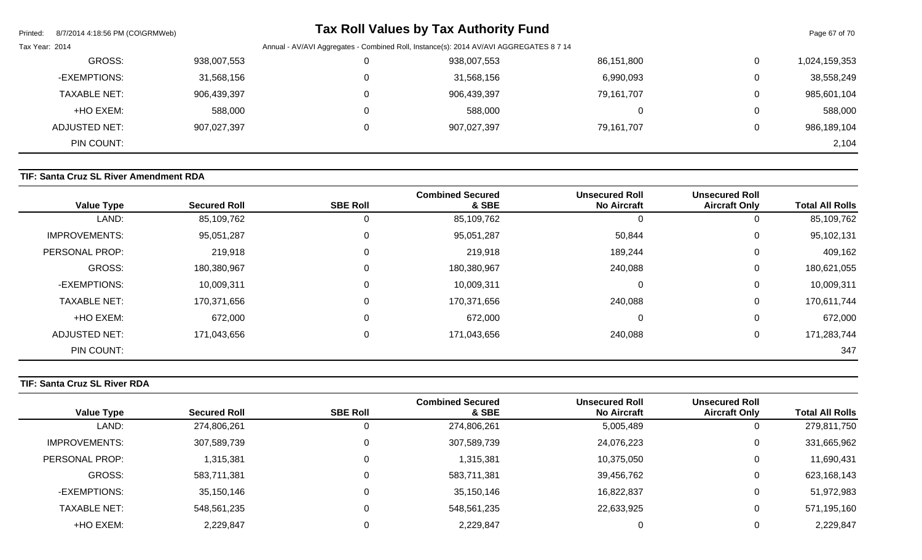| Printed:       | 8/7/2014 4:18:56 PM (CO\GRMWeb) |             |                                                                                        | <b>Tax Roll Values by Tax Authority Fund</b> |            |                | Page 67 of 70 |
|----------------|---------------------------------|-------------|----------------------------------------------------------------------------------------|----------------------------------------------|------------|----------------|---------------|
| Tax Year: 2014 |                                 |             | Annual - AV/AVI Aggregates - Combined Roll, Instance(s): 2014 AV/AVI AGGREGATES 8 7 14 |                                              |            |                |               |
|                | GROSS:                          | 938,007,553 | 0                                                                                      | 938,007,553                                  | 86,151,800 | $\overline{0}$ | 1,024,159,353 |
|                | -EXEMPTIONS:                    | 31,568,156  | 0                                                                                      | 31,568,156                                   | 6,990,093  | $\overline{0}$ | 38,558,249    |
|                | <b>TAXABLE NET:</b>             | 906,439,397 | 0                                                                                      | 906,439,397                                  | 79,161,707 | 0              | 985,601,104   |
|                | +HO EXEM:                       | 588,000     | 0                                                                                      | 588,000                                      |            | $\overline{0}$ | 588,000       |
|                | ADJUSTED NET:                   | 907,027,397 | 0                                                                                      | 907,027,397                                  | 79,161,707 | 0              | 986,189,104   |
|                | PIN COUNT:                      |             |                                                                                        |                                              |            |                | 2,104         |

# **TIF: Santa Cruz SL River Amendment RDA**

| <b>Value Type</b>    | <b>Secured Roll</b> | <b>SBE Roll</b> | <b>Combined Secured</b><br>& SBE | <b>Unsecured Roll</b><br><b>No Aircraft</b> | <b>Unsecured Roll</b><br><b>Aircraft Only</b> | <b>Total All Rolls</b> |
|----------------------|---------------------|-----------------|----------------------------------|---------------------------------------------|-----------------------------------------------|------------------------|
| LAND:                | 85,109,762          | 0               | 85,109,762                       |                                             | 0                                             | 85,109,762             |
| <b>IMPROVEMENTS:</b> | 95,051,287          | 0               | 95,051,287                       | 50,844                                      | 0                                             | 95,102,131             |
| PERSONAL PROP:       | 219,918             | 0               | 219,918                          | 189,244                                     | $\mathbf 0$                                   | 409,162                |
| GROSS:               | 180,380,967         | 0               | 180,380,967                      | 240,088                                     | $\mathbf 0$                                   | 180,621,055            |
| -EXEMPTIONS:         | 10,009,311          | 0               | 10,009,311                       |                                             | 0                                             | 10,009,311             |
| <b>TAXABLE NET:</b>  | 170,371,656         | 0               | 170,371,656                      | 240,088                                     | 0                                             | 170,611,744            |
| +HO EXEM:            | 672,000             | 0               | 672,000                          |                                             | $\mathbf 0$                                   | 672,000                |
| <b>ADJUSTED NET:</b> | 171,043,656         | 0               | 171,043,656                      | 240,088                                     | 0                                             | 171,283,744            |
| PIN COUNT:           |                     |                 |                                  |                                             |                                               | 347                    |

# **TIF: Santa Cruz SL River RDA**

|                      |                     |                 | <b>Combined Secured</b> | <b>Unsecured Roll</b> | <b>Unsecured Roll</b> |                        |
|----------------------|---------------------|-----------------|-------------------------|-----------------------|-----------------------|------------------------|
| <b>Value Type</b>    | <b>Secured Roll</b> | <b>SBE Roll</b> | & SBE                   | <b>No Aircraft</b>    | <b>Aircraft Only</b>  | <b>Total All Rolls</b> |
| LAND:                | 274,806,261         |                 | 274,806,261             | 5,005,489             | 0                     | 279,811,750            |
| <b>IMPROVEMENTS:</b> | 307,589,739         |                 | 307,589,739             | 24,076,223            | 0                     | 331,665,962            |
| PERSONAL PROP:       | 1,315,381           | 0               | 1,315,381               | 10,375,050            | 0                     | 11,690,431             |
| GROSS:               | 583,711,381         |                 | 583,711,381             | 39,456,762            | $\Omega$              | 623,168,143            |
| -EXEMPTIONS:         | 35,150,146          | 0               | 35,150,146              | 16,822,837            | $\Omega$              | 51,972,983             |
| <b>TAXABLE NET:</b>  | 548,561,235         | 0               | 548,561,235             | 22,633,925            | 0                     | 571,195,160            |
| +HO EXEM:            | 2,229,847           |                 | 2,229,847               |                       |                       | 2,229,847              |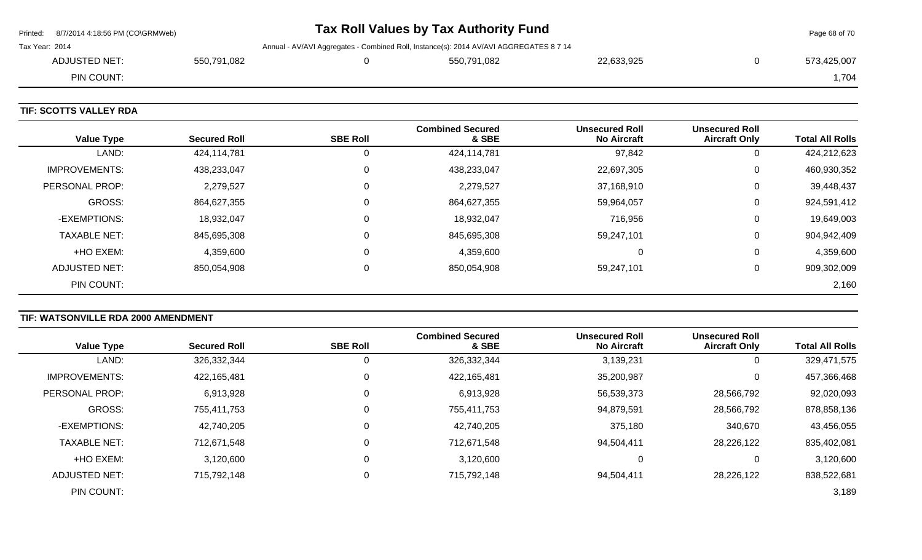| Page 68 of 70 |
|---------------|
|               |
| 573,425,007   |
| 1,704         |
|               |

### **TIF: SCOTTS VALLEY RDA**

| <b>Value Type</b>     | <b>Secured Roll</b> | <b>SBE Roll</b> | <b>Combined Secured</b><br>& SBE | <b>Unsecured Roll</b><br><b>No Aircraft</b> | <b>Unsecured Roll</b><br><b>Aircraft Only</b> | <b>Total All Rolls</b> |
|-----------------------|---------------------|-----------------|----------------------------------|---------------------------------------------|-----------------------------------------------|------------------------|
| LAND:                 | 424,114,781         |                 | 424,114,781                      | 97,842                                      | 0                                             | 424,212,623            |
| <b>IMPROVEMENTS:</b>  | 438,233,047         |                 | 438,233,047                      | 22,697,305                                  | 0                                             | 460,930,352            |
| <b>PERSONAL PROP:</b> | 2,279,527           |                 | 2,279,527                        | 37,168,910                                  | 0                                             | 39,448,437             |
| <b>GROSS:</b>         | 864,627,355         |                 | 864,627,355                      | 59,964,057                                  | 0                                             | 924,591,412            |
| -EXEMPTIONS:          | 18,932,047          | $\Omega$        | 18,932,047                       | 716,956                                     | 0                                             | 19,649,003             |
| <b>TAXABLE NET:</b>   | 845,695,308         |                 | 845,695,308                      | 59,247,101                                  | 0                                             | 904,942,409            |
| +HO EXEM:             | 4,359,600           | $\mathbf{0}$    | 4,359,600                        | $\Omega$                                    | 0                                             | 4,359,600              |
| ADJUSTED NET:         | 850,054,908         |                 | 850,054,908                      | 59,247,101                                  | 0                                             | 909,302,009            |
| PIN COUNT:            |                     |                 |                                  |                                             |                                               | 2,160                  |

# **TIF: WATSONVILLE RDA 2000 AMENDMENT**

|                      |                     |                 | <b>Combined Secured</b> | <b>Unsecured Roll</b> | <b>Unsecured Roll</b> |                        |
|----------------------|---------------------|-----------------|-------------------------|-----------------------|-----------------------|------------------------|
| <b>Value Type</b>    | <b>Secured Roll</b> | <b>SBE Roll</b> | & SBE                   | <b>No Aircraft</b>    | <b>Aircraft Only</b>  | <b>Total All Rolls</b> |
| LAND:                | 326,332,344         | υ               | 326,332,344             | 3,139,231             | U                     | 329,471,575            |
| <b>IMPROVEMENTS:</b> | 422,165,481         | 0               | 422,165,481             | 35,200,987            | 0                     | 457,366,468            |
| PERSONAL PROP:       | 6,913,928           | 0               | 6,913,928               | 56,539,373            | 28,566,792            | 92,020,093             |
| <b>GROSS:</b>        | 755,411,753         | 0               | 755,411,753             | 94,879,591            | 28,566,792            | 878,858,136            |
| -EXEMPTIONS:         | 42,740,205          | 0               | 42,740,205              | 375,180               | 340,670               | 43,456,055             |
| <b>TAXABLE NET:</b>  | 712,671,548         | 0               | 712,671,548             | 94,504,411            | 28,226,122            | 835,402,081            |
| +HO EXEM:            | 3,120,600           | 0               | 3,120,600               | 0                     | 0                     | 3,120,600              |
| ADJUSTED NET:        | 715,792,148         | 0               | 715,792,148             | 94,504,411            | 28,226,122            | 838,522,681            |
| PIN COUNT:           |                     |                 |                         |                       |                       | 3,189                  |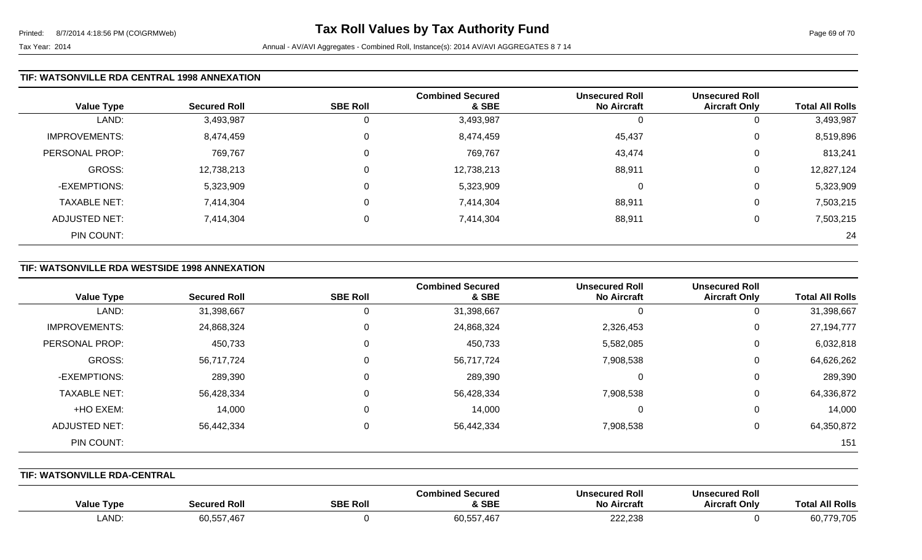#### **TIF: WATSONVILLE RDA CENTRAL 1998 ANNEXATION**

|                      |                     |                 | <b>Combined Secured</b> | <b>Unsecured Roll</b> | <b>Unsecured Roll</b> |                        |
|----------------------|---------------------|-----------------|-------------------------|-----------------------|-----------------------|------------------------|
| <b>Value Type</b>    | <b>Secured Roll</b> | <b>SBE Roll</b> | & SBE                   | <b>No Aircraft</b>    | <b>Aircraft Only</b>  | <b>Total All Rolls</b> |
| LAND:                | 3,493,987           | 0               | 3,493,987               | U                     | 0                     | 3,493,987              |
| <b>IMPROVEMENTS:</b> | 8,474,459           | 0               | 8,474,459               | 45,437                | 0                     | 8,519,896              |
| PERSONAL PROP:       | 769,767             | 0               | 769,767                 | 43,474                | 0                     | 813,241                |
| <b>GROSS:</b>        | 12,738,213          | 0               | 12,738,213              | 88,911                | 0                     | 12,827,124             |
| -EXEMPTIONS:         | 5,323,909           | 0               | 5,323,909               | 0                     | 0                     | 5,323,909              |
| <b>TAXABLE NET:</b>  | 7,414,304           | 0               | 7,414,304               | 88,911                | 0                     | 7,503,215              |
| ADJUSTED NET:        | 7,414,304           | 0               | 7,414,304               | 88,911                | 0                     | 7,503,215              |
| PIN COUNT:           |                     |                 |                         |                       |                       | 24                     |

#### **TIF: WATSONVILLE RDA WESTSIDE 1998 ANNEXATION**

| <b>Value Type</b>    | <b>Secured Roll</b> | <b>SBE Roll</b> | <b>Combined Secured</b><br>& SBE | <b>Unsecured Roll</b><br><b>No Aircraft</b> | <b>Unsecured Roll</b><br><b>Aircraft Only</b> | <b>Total All Rolls</b> |
|----------------------|---------------------|-----------------|----------------------------------|---------------------------------------------|-----------------------------------------------|------------------------|
| LAND:                | 31,398,667          | 0               | 31,398,667                       | <b>U</b>                                    | 0                                             | 31,398,667             |
| <b>IMPROVEMENTS:</b> | 24,868,324          | $\Omega$        | 24,868,324                       | 2,326,453                                   | 0                                             | 27, 194, 777           |
| PERSONAL PROP:       | 450,733             | $\Omega$        | 450,733                          | 5,582,085                                   | 0                                             | 6,032,818              |
| GROSS:               | 56,717,724          | $\Omega$        | 56,717,724                       | 7,908,538                                   | 0                                             | 64,626,262             |
| -EXEMPTIONS:         | 289,390             | 0               | 289,390                          | ∩                                           | 0                                             | 289,390                |
| <b>TAXABLE NET:</b>  | 56,428,334          | 0               | 56,428,334                       | 7,908,538                                   | 0                                             | 64,336,872             |
| +HO EXEM:            | 14,000              | $\Omega$        | 14,000                           | ∩                                           | 0                                             | 14,000                 |
| ADJUSTED NET:        | 56,442,334          | 0               | 56,442,334                       | 7,908,538                                   | 0                                             | 64,350,872             |
| PIN COUNT:           |                     |                 |                                  |                                             |                                               | 151                    |

**TIF: WATSONVILLE RDA-CENTRAL** 

| <b>Value Type</b> | <b>Secured Roll</b>               | <b>SBE Roll</b> | Combined Secured<br>& SBE | <b>Unsecured Roll</b><br>No Aircraft | <b>Unsecured Roll</b><br><b>Aircraft Only</b> | <b>All Rolls</b><br>Tot:             |
|-------------------|-----------------------------------|-----------------|---------------------------|--------------------------------------|-----------------------------------------------|--------------------------------------|
| <b>LAND</b>       | $\sim$<br>חת הי<br>/ 40، / 55، ل. |                 | 60,557,467                | 222,238                              |                                               | 179.707<br>$\sim$ -<br>79,705<br>OU. |